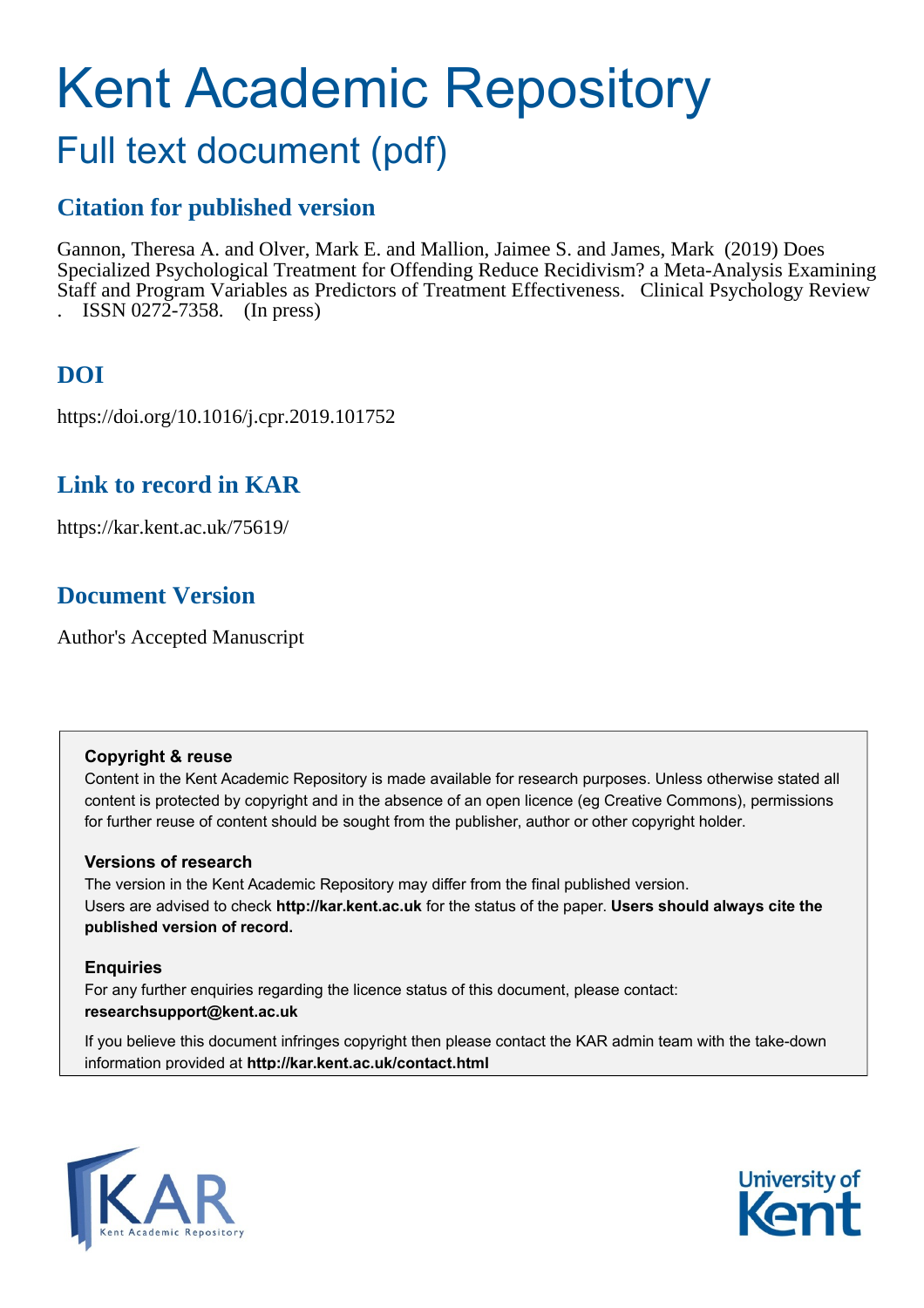# Kent Academic Repository

## Full text document (pdf)

#### **Citation for published version**

Gannon, Theresa A. and Olver, Mark E. and Mallion, Jaimee S. and James, Mark (2019) Does Specialized Psychological Treatment for Offending Reduce Recidivism? a Meta-Analysis Examining Staff and Program Variables as Predictors of Treatment Effectiveness. Clinical Psychology Review . ISSN 0272-7358. (In press)

#### **DOI**

https://doi.org/10.1016/j.cpr.2019.101752

#### **Link to record in KAR**

https://kar.kent.ac.uk/75619/

#### **Document Version**

Author's Accepted Manuscript

#### **Copyright & reuse**

Content in the Kent Academic Repository is made available for research purposes. Unless otherwise stated all content is protected by copyright and in the absence of an open licence (eg Creative Commons), permissions for further reuse of content should be sought from the publisher, author or other copyright holder.

#### **Versions of research**

The version in the Kent Academic Repository may differ from the final published version. Users are advised to check **http://kar.kent.ac.uk** for the status of the paper. **Users should always cite the published version of record.**

#### **Enquiries**

For any further enquiries regarding the licence status of this document, please contact: **researchsupport@kent.ac.uk**

If you believe this document infringes copyright then please contact the KAR admin team with the take-down information provided at **http://kar.kent.ac.uk/contact.html**



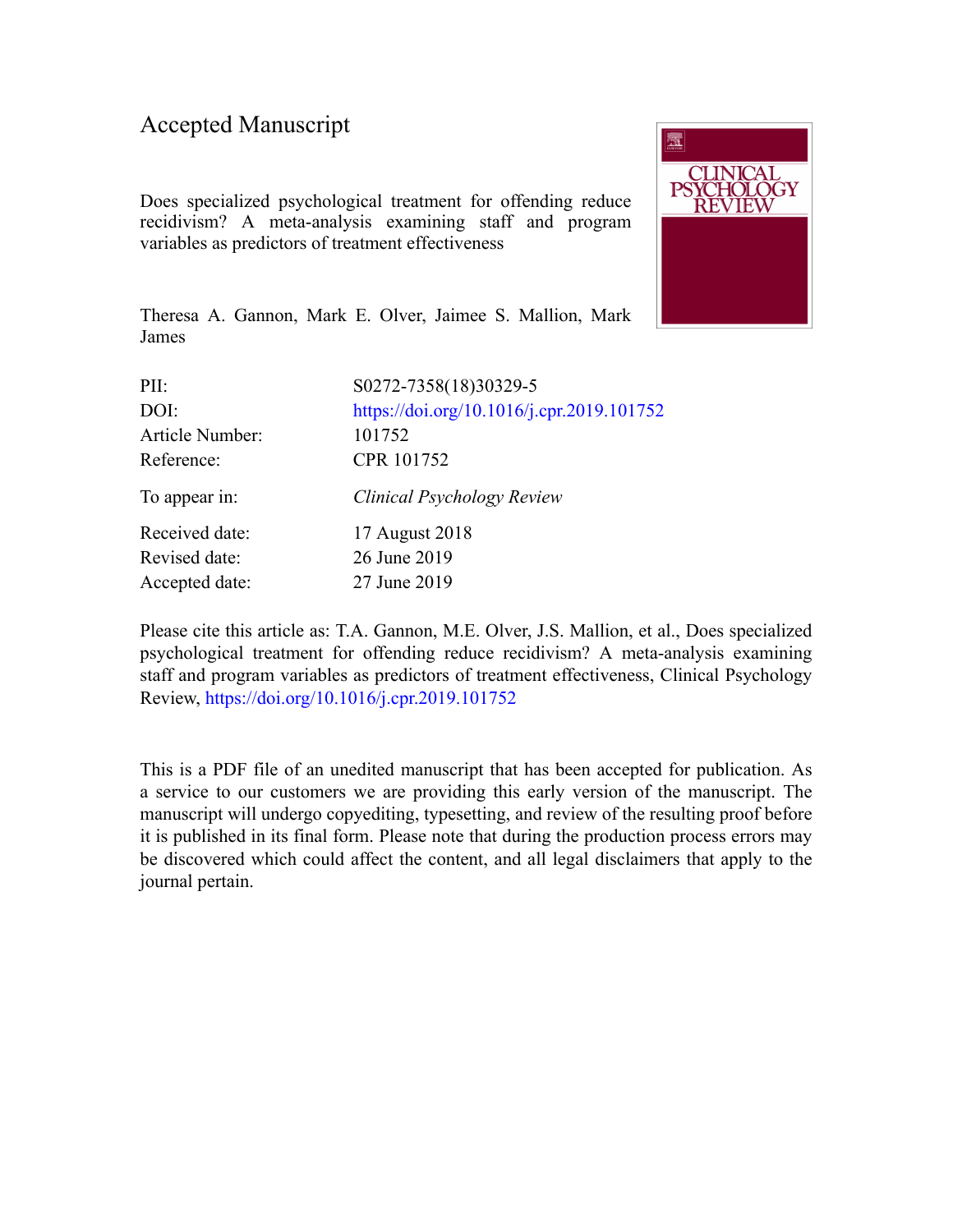#### Accepted Manuscript

Does specialized psychological treatment for offending reduce recidivism? A meta-analysis examining staff and program variables as predictors of treatment effectiveness



Theresa A. Gannon, Mark E. Olver, Jaimee S. Mallion, Mark James

| PII:            | S0272-7358(18)30329-5                     |
|-----------------|-------------------------------------------|
| DOI:            | https://doi.org/10.1016/j.cpr.2019.101752 |
| Article Number: | 101752                                    |
| Reference:      | CPR 101752                                |
| To appear in:   | Clinical Psychology Review                |
| Received date:  | 17 August 2018                            |
| Revised date:   | 26 June 2019                              |
| Accepted date:  | 27 June 2019                              |
|                 |                                           |

Please cite this article as: T.A. Gannon, M.E. Olver, J.S. Mallion, et al., Does specialized psychological treatment for offending reduce recidivism? A meta-analysis examining staff and program variables as predictors of treatment effectiveness, Clinical Psychology Review, <https://doi.org/10.1016/j.cpr.2019.101752>

This is a PDF file of an unedited manuscript that has been accepted for publication. As a service to our customers we are providing this early version of the manuscript. The manuscript will undergo copyediting, typesetting, and review of the resulting proof before it is published in its final form. Please note that during the production process errors may be discovered which could affect the content, and all legal disclaimers that apply to the journal pertain.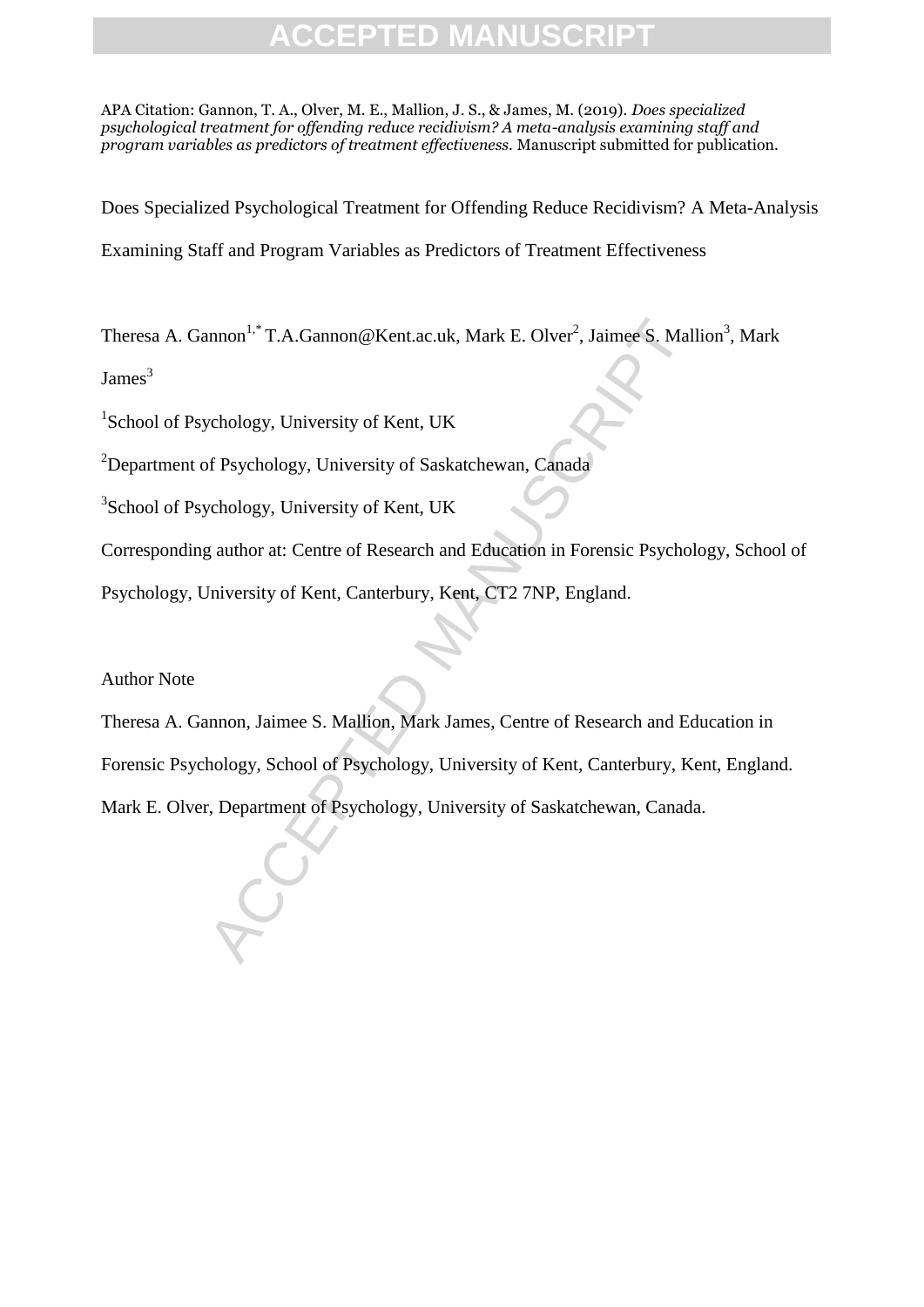APA Citation: Gannon, T. A., Olver, M. E., Mallion, J. S., & James, M. (2019). *Does specialized psychological treatment for offending reduce recidivism? A meta-analysis examining staff and program variables as predictors of treatment effectiveness.* Manuscript submitted for publication.

Does Specialized Psychological Treatment for Offending Reduce Recidivism? A Meta-Analysis Examining Staff and Program Variables as Predictors of Treatment Effectiveness

Theresa A. Gannon<sup>1,\*</sup> T.A.Gannon@Kent.ac.uk, Mark E. Olver<sup>2</sup>, Jaimee S. Mallion<sup>3</sup>, Mark

James $3$ 

<sup>1</sup>School of Psychology, University of Kent, UK

<sup>2</sup>Department of Psychology, University of Saskatchewan, Canada

<sup>3</sup>School of Psychology, University of Kent, UK

Corresponding author at: Centre of Research and Education in Forensic Psychology, School of

Psychology, University of Kent, Canterbury, Kent, CT2 7NP, England.

Author Note

nnon<sup>1,\*</sup> T.A.Gannon@Kent.ac.uk, Mark E. Olver<sup>2</sup>, Jaimee S. Mall<br>
ychology, University of Kent, UK<br>
of Psychology, University of Saskatchewan, Canada<br>
ychology, University of Kent, UK<br>
g author at: Centre of Research and Theresa A. Gannon, Jaimee S. Mallion, Mark James, Centre of Research and Education in Forensic Psychology, School of Psychology, University of Kent, Canterbury, Kent, England. Mark E. Olver, Department of Psychology, University of Saskatchewan, Canada.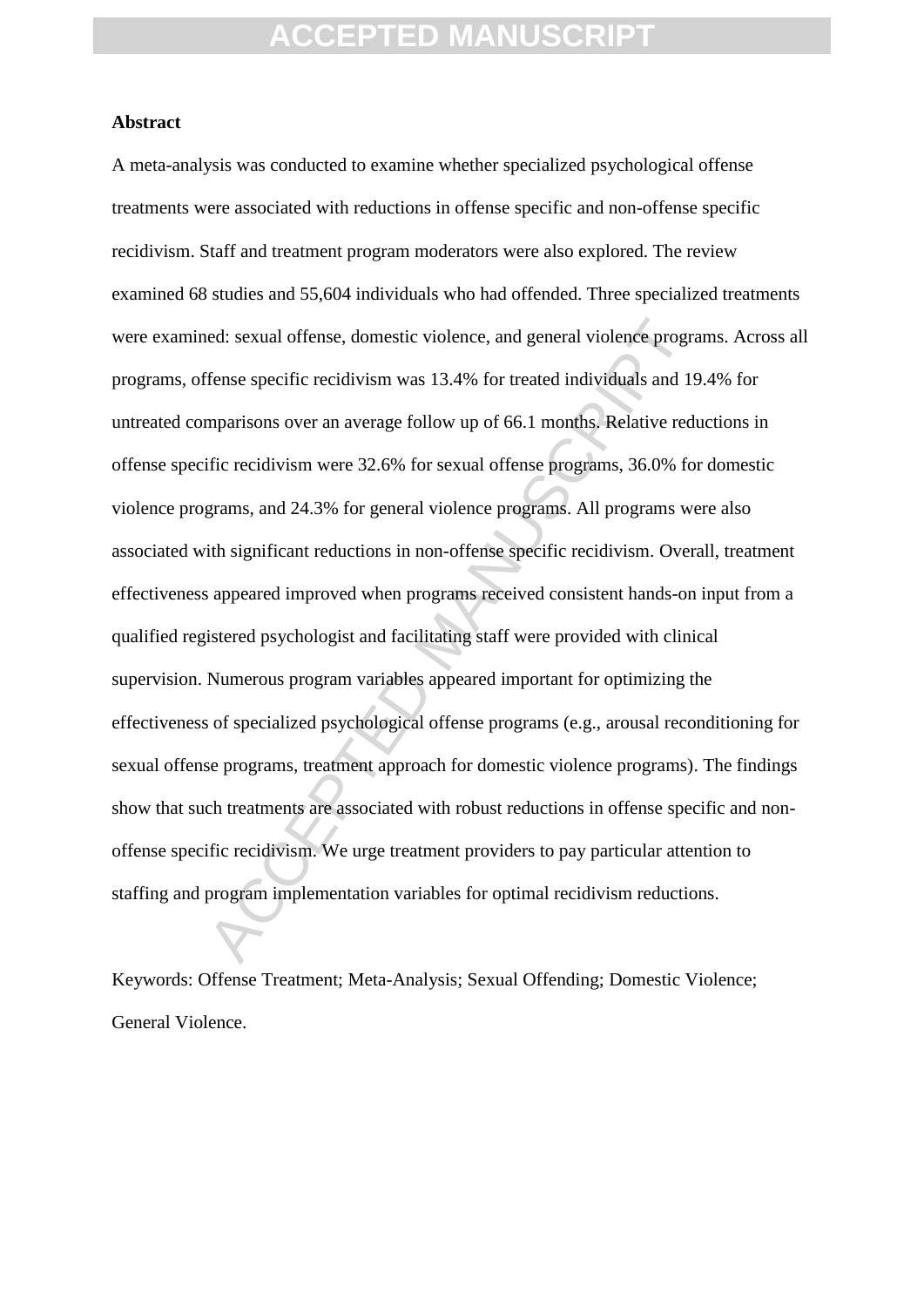#### **Abstract**

ed: sexual offense, domestic violence, and general violence programes and general violence programs and 15 mparisons over an average follow up of 66.1 months. Relative red iffic recidivism were 32.6% for sexual offense pro A meta-analysis was conducted to examine whether specialized psychological offense treatments were associated with reductions in offense specific and non-offense specific recidivism. Staff and treatment program moderators were also explored. The review examined 68 studies and 55,604 individuals who had offended. Three specialized treatments were examined: sexual offense, domestic violence, and general violence programs. Across all programs, offense specific recidivism was 13.4% for treated individuals and 19.4% for untreated comparisons over an average follow up of 66.1 months. Relative reductions in offense specific recidivism were 32.6% for sexual offense programs, 36.0% for domestic violence programs, and 24.3% for general violence programs. All programs were also associated with significant reductions in non-offense specific recidivism. Overall, treatment effectiveness appeared improved when programs received consistent hands-on input from a qualified registered psychologist and facilitating staff were provided with clinical supervision. Numerous program variables appeared important for optimizing the effectiveness of specialized psychological offense programs (e.g., arousal reconditioning for sexual offense programs, treatment approach for domestic violence programs). The findings show that such treatments are associated with robust reductions in offense specific and nonoffense specific recidivism. We urge treatment providers to pay particular attention to staffing and program implementation variables for optimal recidivism reductions.

Keywords: Offense Treatment; Meta-Analysis; Sexual Offending; Domestic Violence; General Violence.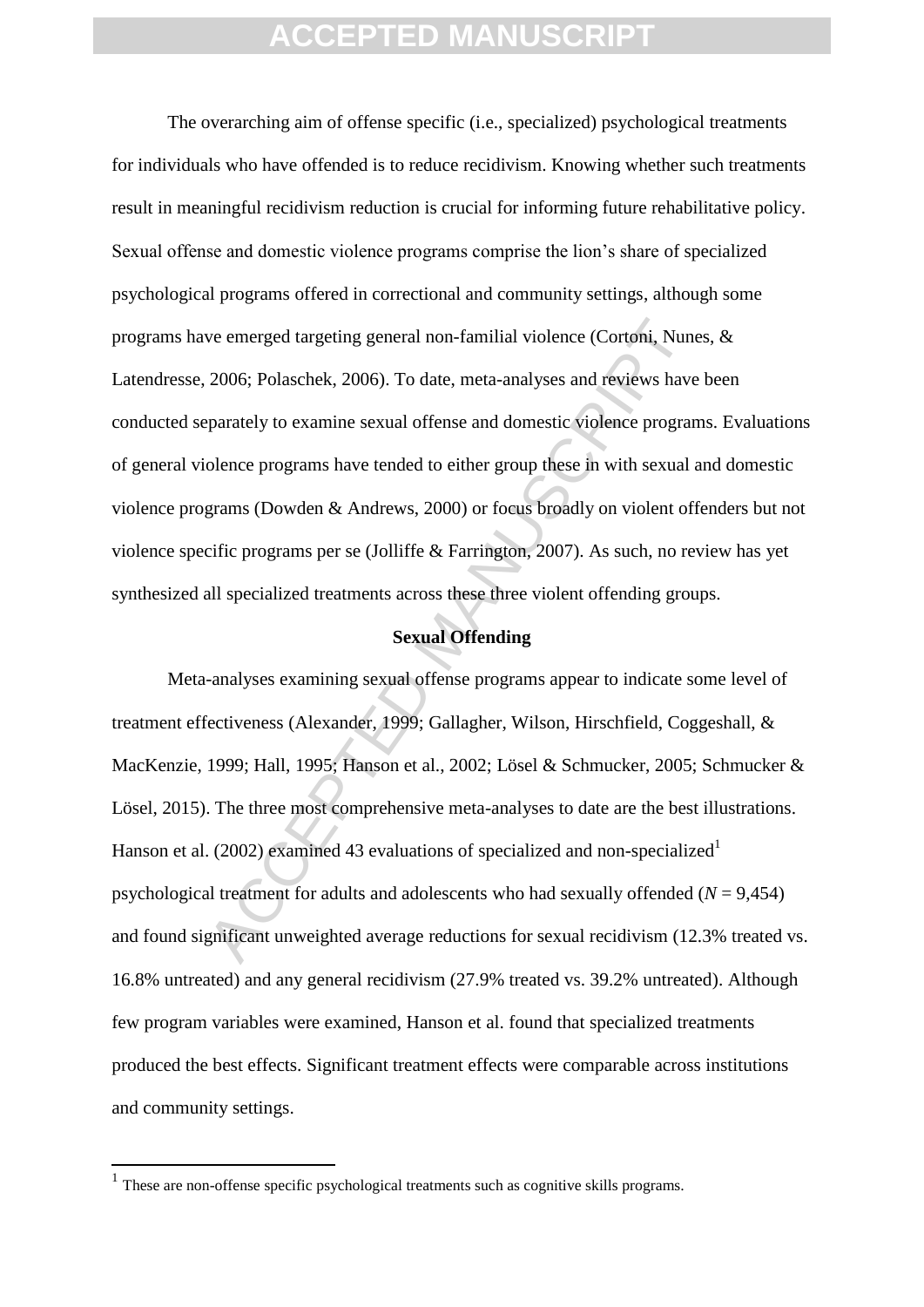The overarching aim of offense specific (i.e., specialized) psychological treatments for individuals who have offended is to reduce recidivism. Knowing whether such treatments result in meaningful recidivism reduction is crucial for informing future rehabilitative policy. Sexual offense and domestic violence programs comprise the lion's share of specialized psychological programs offered in correctional and community settings, although some programs have emerged targeting general non-familial violence (Cortoni, Nunes, & Latendresse, 2006; Polaschek, 2006). To date, meta-analyses and reviews have been conducted separately to examine sexual offense and domestic violence programs. Evaluations of general violence programs have tended to either group these in with sexual and domestic violence programs (Dowden & Andrews, 2000) or focus broadly on violent offenders but not violence specific programs per se (Jolliffe & Farrington, 2007). As such, no review has yet synthesized all specialized treatments across these three violent offending groups.

#### **Sexual Offending**

ive emerged targeting general non-familial violence (Cortoni, Nune 2006; Polaschek, 2006). To date, meta-analyses and reviews have parately to examine sexual offense and domestic violence program olence programs have tende Meta-analyses examining sexual offense programs appear to indicate some level of treatment effectiveness (Alexander, 1999; Gallagher, Wilson, Hirschfield, Coggeshall, & MacKenzie, 1999; Hall, 1995; Hanson et al., 2002; Lösel & Schmucker, 2005; Schmucker & Lösel, 2015). The three most comprehensive meta-analyses to date are the best illustrations. Hanson et al. (2002) examined 43 evaluations of specialized and non-specialized<sup>1</sup> psychological treatment for adults and adolescents who had sexually offended (*N* = 9,454) and found significant unweighted average reductions for sexual recidivism (12.3% treated vs. 16.8% untreated) and any general recidivism (27.9% treated vs. 39.2% untreated). Although few program variables were examined, Hanson et al. found that specialized treatments produced the best effects. Significant treatment effects were comparable across institutions and community settings.

1

<sup>&</sup>lt;sup>1</sup> These are non-offense specific psychological treatments such as cognitive skills programs.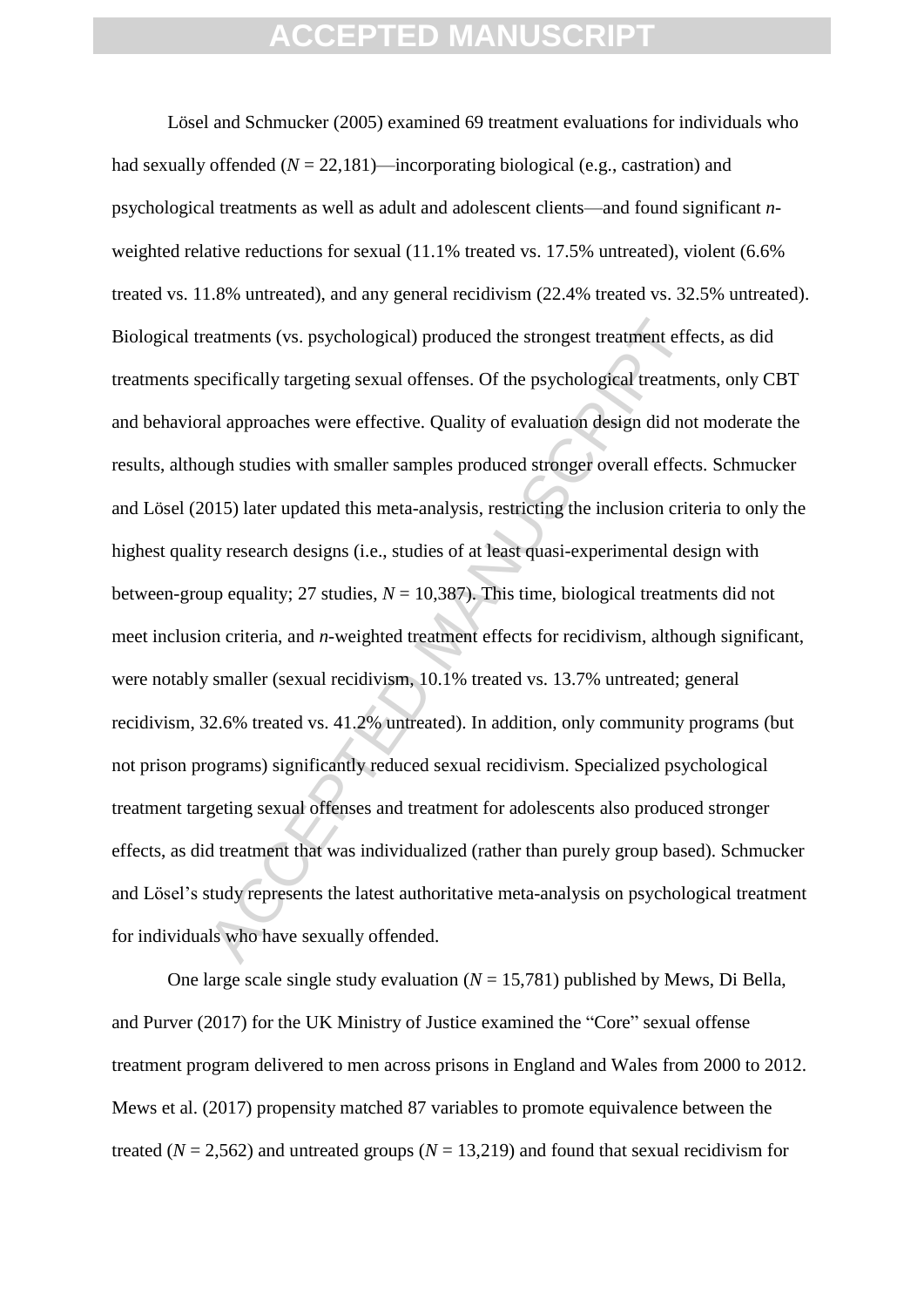eatments (vs. psychological) produced the strongest treatment effectionerifically targeting sexual offenses. Of the psychological treatment all approaches were effective. Quality of evaluation design did not ugh studies wi Lösel and Schmucker (2005) examined 69 treatment evaluations for individuals who had sexually offended  $(N = 22.181)$ —incorporating biological (e.g., castration) and psychological treatments as well as adult and adolescent clients—and found significant *n*weighted relative reductions for sexual (11.1% treated vs. 17.5% untreated), violent (6.6% treated vs. 11.8% untreated), and any general recidivism (22.4% treated vs. 32.5% untreated). Biological treatments (vs. psychological) produced the strongest treatment effects, as did treatments specifically targeting sexual offenses. Of the psychological treatments, only CBT and behavioral approaches were effective. Quality of evaluation design did not moderate the results, although studies with smaller samples produced stronger overall effects. Schmucker and Lösel (2015) later updated this meta-analysis, restricting the inclusion criteria to only the highest quality research designs (i.e., studies of at least quasi-experimental design with between-group equality; 27 studies,  $N = 10,387$ ). This time, biological treatments did not meet inclusion criteria, and *n-*weighted treatment effects for recidivism, although significant, were notably smaller (sexual recidivism, 10.1% treated vs. 13.7% untreated; general recidivism, 32.6% treated vs. 41.2% untreated). In addition, only community programs (but not prison programs) significantly reduced sexual recidivism. Specialized psychological treatment targeting sexual offenses and treatment for adolescents also produced stronger effects, as did treatment that was individualized (rather than purely group based). Schmucker and Lösel's study represents the latest authoritative meta-analysis on psychological treatment for individuals who have sexually offended.

One large scale single study evaluation  $(N = 15,781)$  published by Mews, Di Bella, and Purver (2017) for the UK Ministry of Justice examined the "Core" sexual offense treatment program delivered to men across prisons in England and Wales from 2000 to 2012. Mews et al. (2017) propensity matched 87 variables to promote equivalence between the treated ( $N = 2.562$ ) and untreated groups ( $N = 13,219$ ) and found that sexual recidivism for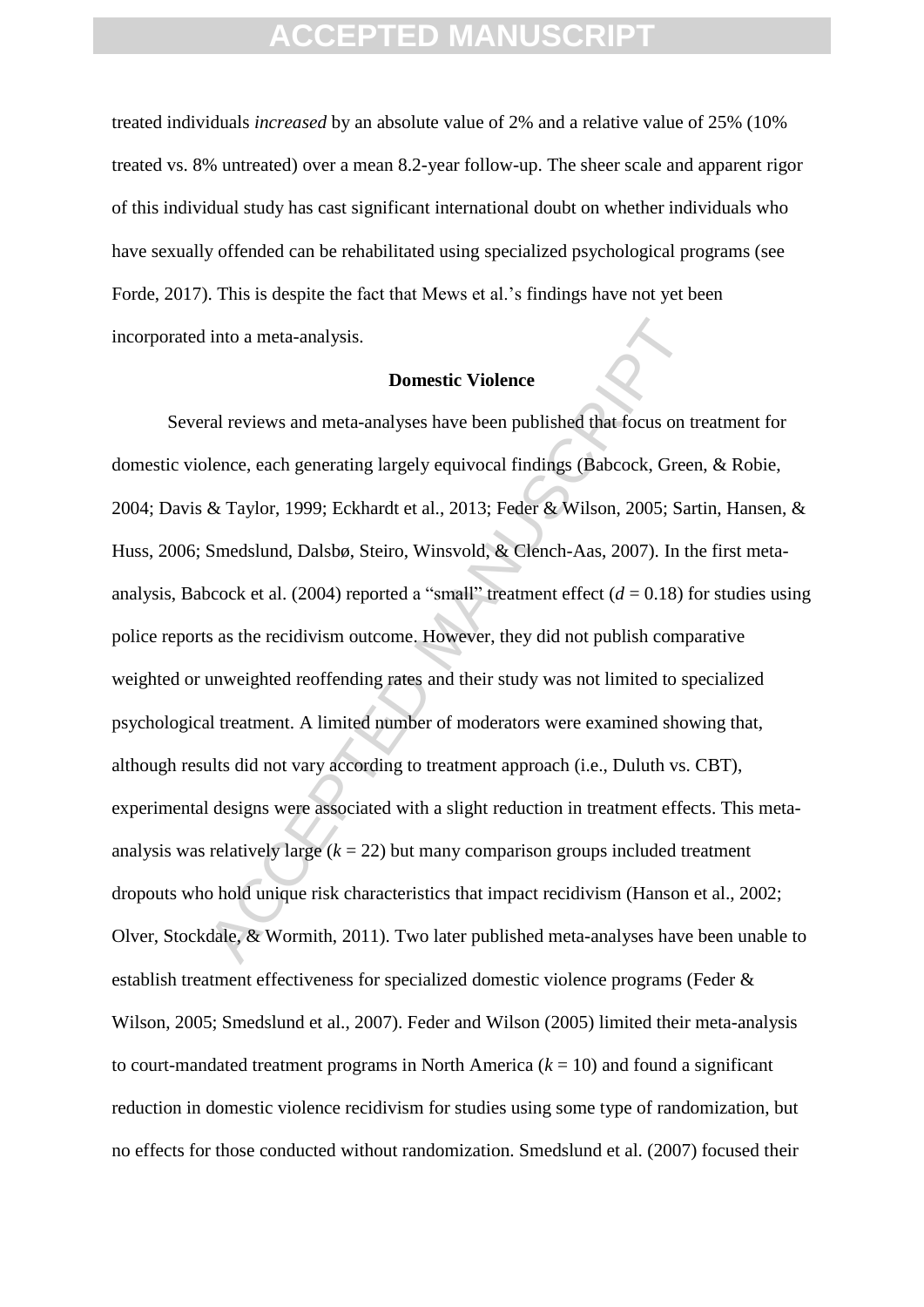treated individuals *increased* by an absolute value of 2% and a relative value of 25% (10% treated vs. 8% untreated) over a mean 8.2-year follow-up. The sheer scale and apparent rigor of this individual study has cast significant international doubt on whether individuals who have sexually offended can be rehabilitated using specialized psychological programs (see Forde, 2017). This is despite the fact that Mews et al.'s findings have not yet been incorporated into a meta-analysis.

#### **Domestic Violence**

into a meta-analysis.<br> **Domestic Violence**<br>
ral reviews and meta-analyses have been published that focus on the<br>
rale reviews and meta-analyses have been published that focus on the<br>
decree  $\&$  Taylor, 1999; Eckhardt et Several reviews and meta-analyses have been published that focus on treatment for domestic violence, each generating largely equivocal findings (Babcock, Green, & Robie, 2004; Davis & Taylor, 1999; Eckhardt et al., 2013; Feder & Wilson, 2005; Sartin, Hansen, & Huss, 2006; Smedslund, Dalsbø, Steiro, Winsvold, & Clench-Aas, 2007). In the first metaanalysis, Babcock et al. (2004) reported a "small" treatment effect  $(d = 0.18)$  for studies using police reports as the recidivism outcome. However, they did not publish comparative weighted or unweighted reoffending rates and their study was not limited to specialized psychological treatment. A limited number of moderators were examined showing that, although results did not vary according to treatment approach (i.e., Duluth vs. CBT), experimental designs were associated with a slight reduction in treatment effects. This metaanalysis was relatively large  $(k = 22)$  but many comparison groups included treatment dropouts who hold unique risk characteristics that impact recidivism (Hanson et al., 2002; Olver, Stockdale, & Wormith, 2011). Two later published meta-analyses have been unable to establish treatment effectiveness for specialized domestic violence programs (Feder & Wilson, 2005; Smedslund et al., 2007). Feder and Wilson (2005) limited their meta-analysis to court-mandated treatment programs in North America  $(k = 10)$  and found a significant reduction in domestic violence recidivism for studies using some type of randomization, but no effects for those conducted without randomization. Smedslund et al. (2007) focused their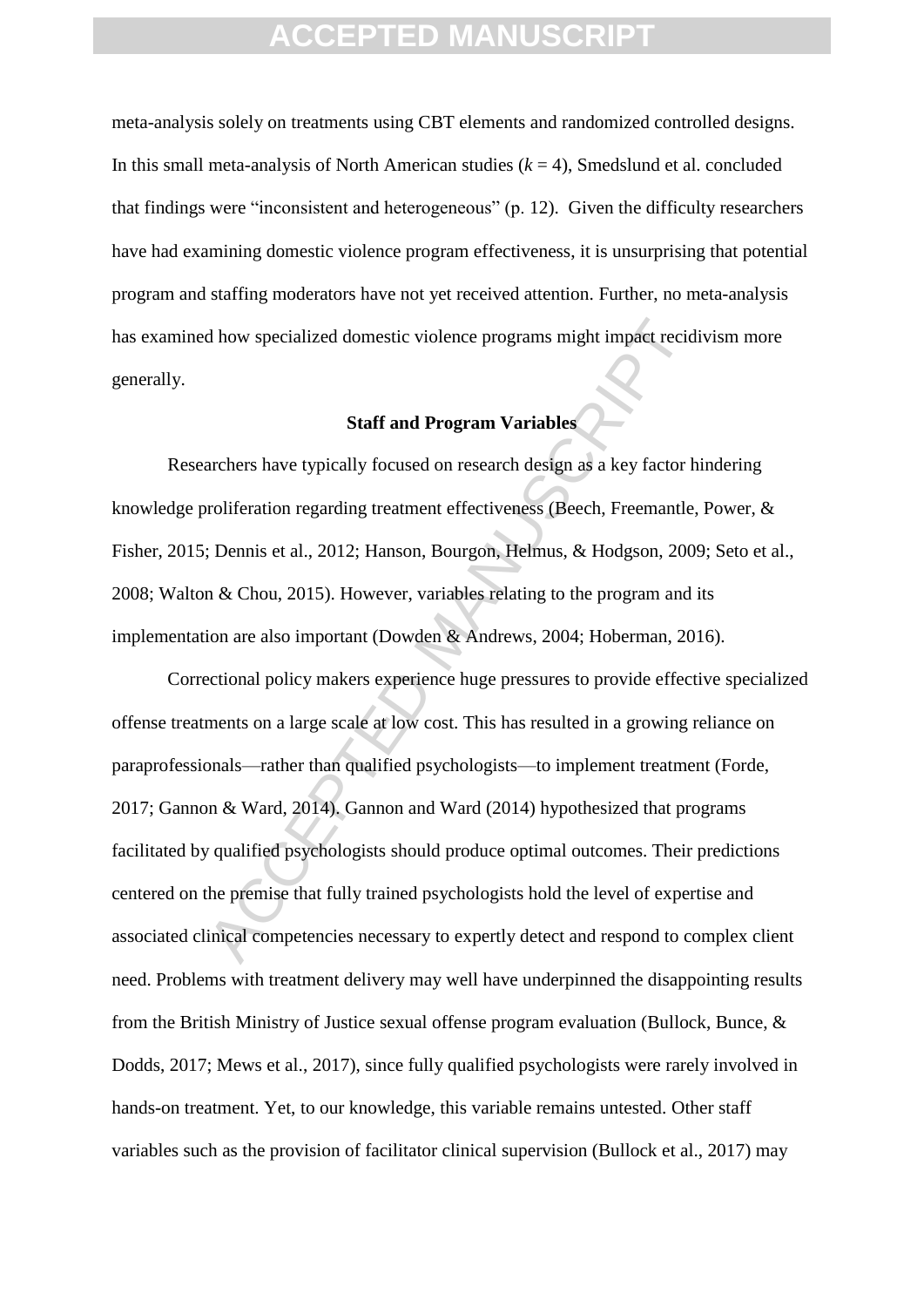meta-analysis solely on treatments using CBT elements and randomized controlled designs. In this small meta-analysis of North American studies  $(k = 4)$ . Smedslund et al. concluded that findings were "inconsistent and heterogeneous" (p. 12). Given the difficulty researchers have had examining domestic violence program effectiveness, it is unsurprising that potential program and staffing moderators have not yet received attention. Further, no meta-analysis has examined how specialized domestic violence programs might impact recidivism more generally.

#### **Staff and Program Variables**

Researchers have typically focused on research design as a key factor hindering knowledge proliferation regarding treatment effectiveness (Beech, Freemantle, Power, & Fisher, 2015; Dennis et al., 2012; Hanson, Bourgon, Helmus, & Hodgson, 2009; Seto et al., 2008; Walton & Chou, 2015). However, variables relating to the program and its implementation are also important (Dowden & Andrews, 2004; Hoberman, 2016).

d how specialized domestic violence programs might impact recid<br> **Staff and Program Variables**<br> **Staff and Program Variables**<br> **Acception**<br> **Acception**<br> **Acception**<br> **Acception**<br> **Acception**<br> **Acception**<br> **Acception**<br> **Acc** Correctional policy makers experience huge pressures to provide effective specialized offense treatments on a large scale at low cost. This has resulted in a growing reliance on paraprofessionals—rather than qualified psychologists—to implement treatment (Forde, 2017; Gannon & Ward, 2014). Gannon and Ward (2014) hypothesized that programs facilitated by qualified psychologists should produce optimal outcomes. Their predictions centered on the premise that fully trained psychologists hold the level of expertise and associated clinical competencies necessary to expertly detect and respond to complex client need. Problems with treatment delivery may well have underpinned the disappointing results from the British Ministry of Justice sexual offense program evaluation (Bullock, Bunce, & Dodds, 2017; Mews et al., 2017), since fully qualified psychologists were rarely involved in hands-on treatment. Yet, to our knowledge, this variable remains untested. Other staff variables such as the provision of facilitator clinical supervision (Bullock et al., 2017) may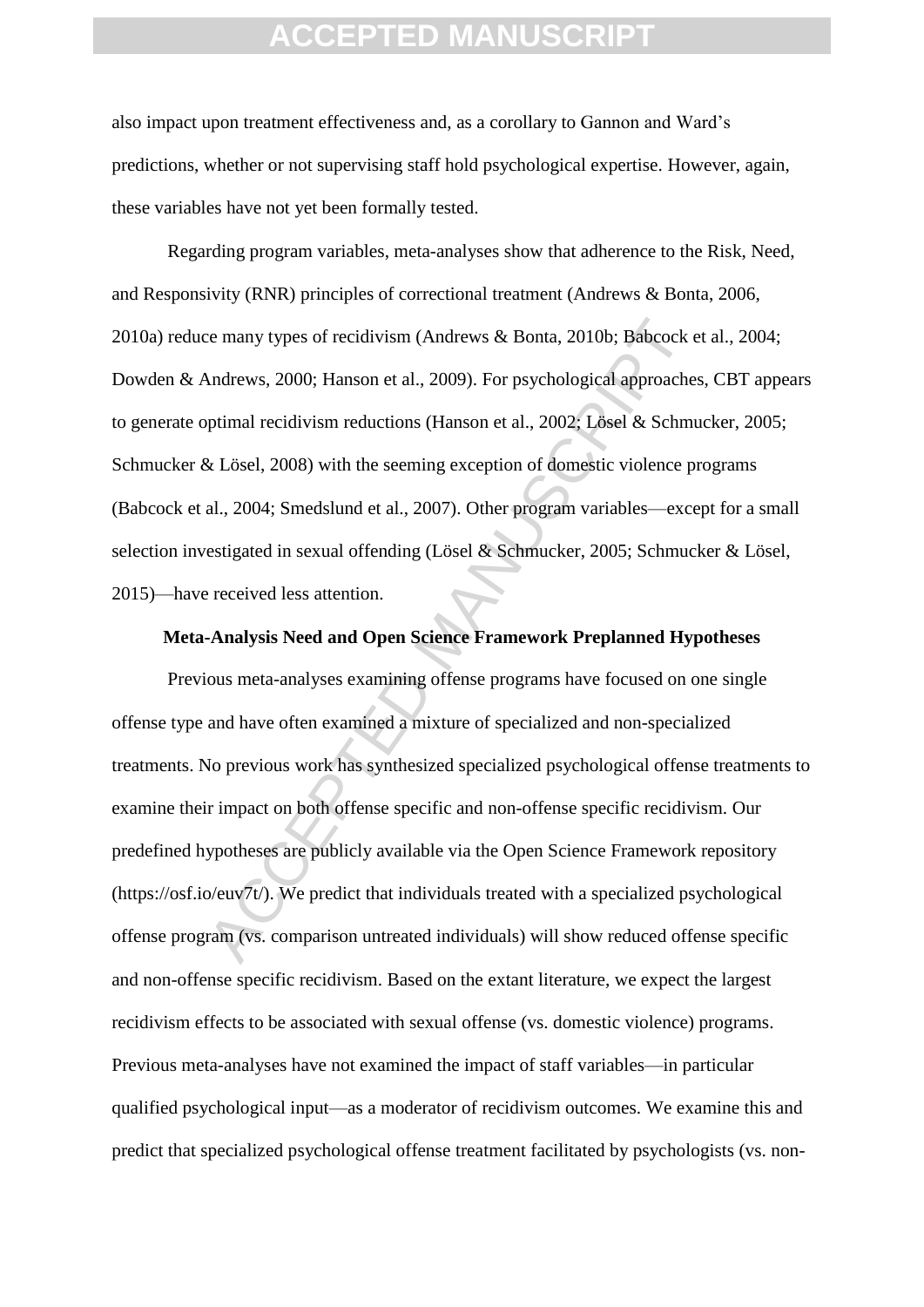also impact upon treatment effectiveness and, as a corollary to Gannon and Ward's predictions, whether or not supervising staff hold psychological expertise. However, again, these variables have not yet been formally tested.

Regarding program variables, meta-analyses show that adherence to the Risk, Need, and Responsivity (RNR) principles of correctional treatment (Andrews & Bonta, 2006, 2010a) reduce many types of recidivism (Andrews & Bonta, 2010b; Babcock et al., 2004; Dowden & Andrews, 2000; Hanson et al., 2009). For psychological approaches, CBT appears to generate optimal recidivism reductions (Hanson et al., 2002; Lösel & Schmucker, 2005; Schmucker & Lösel, 2008) with the seeming exception of domestic violence programs (Babcock et al., 2004; Smedslund et al., 2007). Other program variables—except for a small selection investigated in sexual offending (Lösel & Schmucker, 2005; Schmucker & Lösel, 2015)—have received less attention.

#### **Meta-Analysis Need and Open Science Framework Preplanned Hypotheses**

ie many types of recidivism (Andrews & Bonta, 2010b; Babcock Andrews, 2000; Hanson et al., 2009). For psychological approache<br>ptimal recidivism reductions (Hanson et al., 2002; Lösel & Schmu<br>& Lösel, 2008) with the seeming Previous meta-analyses examining offense programs have focused on one single offense type and have often examined a mixture of specialized and non-specialized treatments. No previous work has synthesized specialized psychological offense treatments to examine their impact on both offense specific and non-offense specific recidivism. Our predefined hypotheses are publicly available via the Open Science Framework repository (https://osf.io/euv7t/). We predict that individuals treated with a specialized psychological offense program (vs. comparison untreated individuals) will show reduced offense specific and non-offense specific recidivism. Based on the extant literature, we expect the largest recidivism effects to be associated with sexual offense (vs. domestic violence) programs. Previous meta-analyses have not examined the impact of staff variables—in particular qualified psychological input—as a moderator of recidivism outcomes. We examine this and predict that specialized psychological offense treatment facilitated by psychologists (vs. non-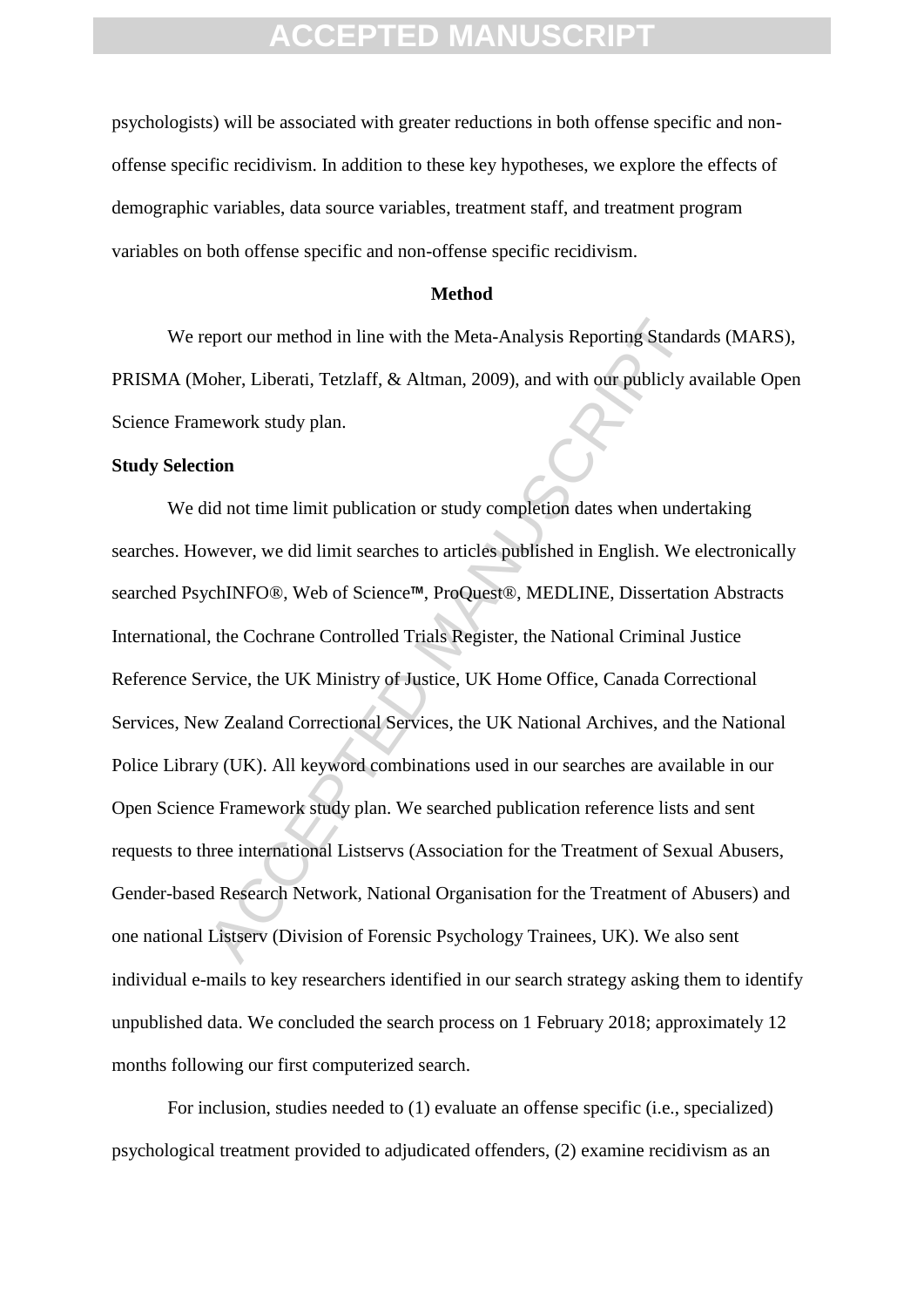psychologists) will be associated with greater reductions in both offense specific and nonoffense specific recidivism. In addition to these key hypotheses, we explore the effects of demographic variables, data source variables, treatment staff, and treatment program variables on both offense specific and non-offense specific recidivism.

#### **Method**

We report our method in line with the Meta-Analysis Reporting Standards (MARS), PRISMA (Moher, Liberati, Tetzlaff, & Altman, 2009), and with our publicly available Open Science Framework study plan.

#### **Study Selection**

ACCEPTED MANUSCRIPT We did not time limit publication or study completion dates when undertaking searches. However, we did limit searches to articles published in English. We electronically searched PsychINFO®, Web of Science™, ProQuest®, MEDLINE, Dissertation Abstracts International, the Cochrane Controlled Trials Register, the National Criminal Justice Reference Service, the UK Ministry of Justice, UK Home Office, Canada Correctional Services, New Zealand Correctional Services, the UK National Archives, and the National Police Library (UK). All keyword combinations used in our searches are available in our Open Science Framework study plan. We searched publication reference lists and sent requests to three international Listservs (Association for the Treatment of Sexual Abusers, Gender-based Research Network, National Organisation for the Treatment of Abusers) and one national Listserv (Division of Forensic Psychology Trainees, UK). We also sent individual e-mails to key researchers identified in our search strategy asking them to identify unpublished data. We concluded the search process on 1 February 2018; approximately 12 months following our first computerized search.

For inclusion, studies needed to (1) evaluate an offense specific (i.e., specialized) psychological treatment provided to adjudicated offenders, (2) examine recidivism as an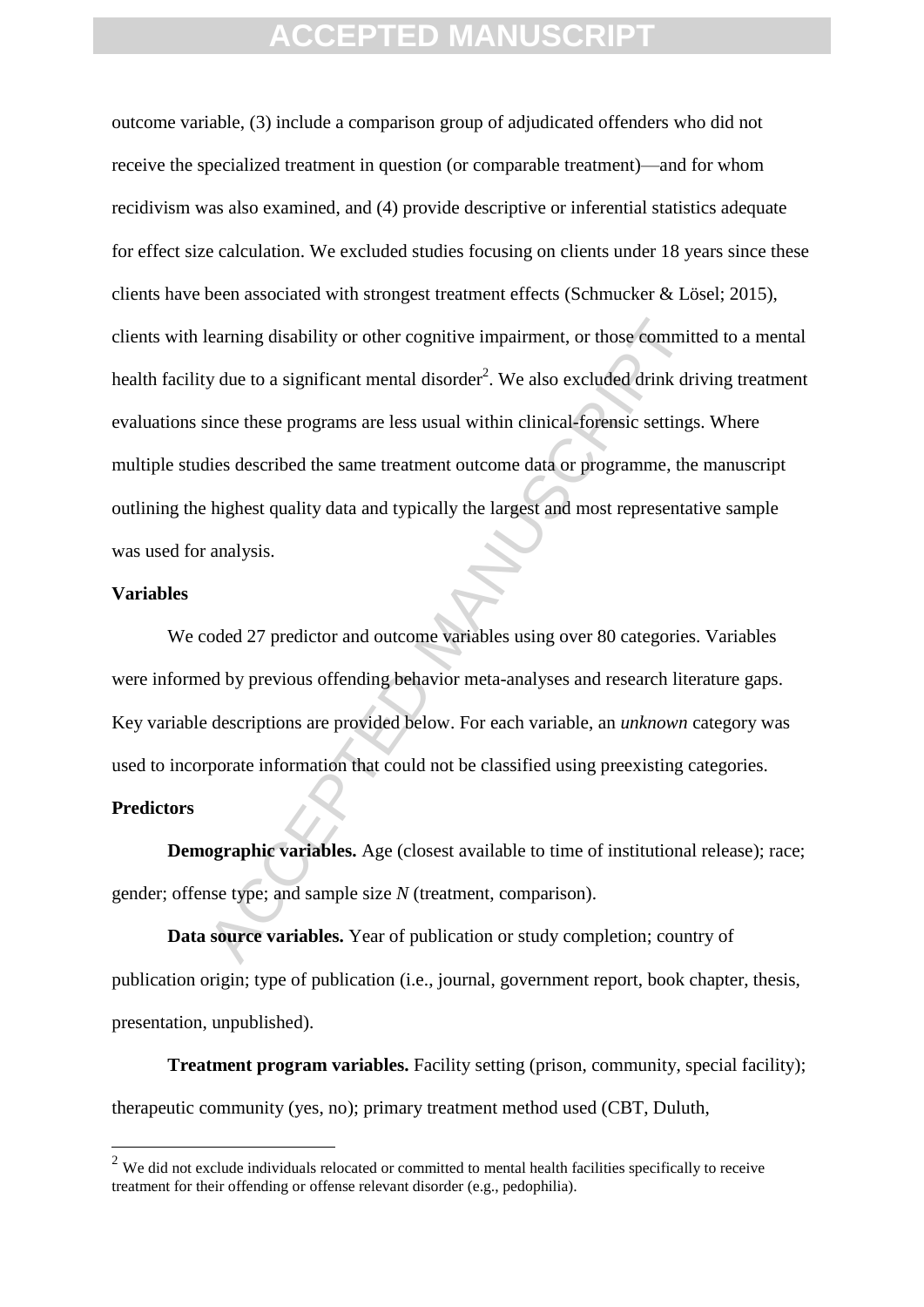learning disability or other cognitive impairment, or those committy due to a significant mental disorder<sup>2</sup>. We also excluded drink driation these programs are less usual within clinical-forensic settings dies described t outcome variable, (3) include a comparison group of adjudicated offenders who did not receive the specialized treatment in question (or comparable treatment)—and for whom recidivism was also examined, and (4) provide descriptive or inferential statistics adequate for effect size calculation. We excluded studies focusing on clients under 18 years since these clients have been associated with strongest treatment effects (Schmucker & Lösel; 2015), clients with learning disability or other cognitive impairment, or those committed to a mental health facility due to a significant mental disorder<sup>2</sup>. We also excluded drink driving treatment evaluations since these programs are less usual within clinical-forensic settings. Where multiple studies described the same treatment outcome data or programme, the manuscript outlining the highest quality data and typically the largest and most representative sample was used for analysis.

#### **Variables**

We coded 27 predictor and outcome variables using over 80 categories. Variables were informed by previous offending behavior meta-analyses and research literature gaps. Key variable descriptions are provided below. For each variable, an *unknown* category was used to incorporate information that could not be classified using preexisting categories.

#### **Predictors**

1

**Demographic variables.** Age (closest available to time of institutional release); race; gender; offense type; and sample size *N* (treatment, comparison).

**Data source variables.** Year of publication or study completion; country of publication origin; type of publication (i.e., journal, government report, book chapter, thesis, presentation, unpublished).

**Treatment program variables.** Facility setting (prison, community, special facility); therapeutic community (yes, no); primary treatment method used (CBT, Duluth,

<sup>&</sup>lt;sup>2</sup> We did not exclude individuals relocated or committed to mental health facilities specifically to receive treatment for their offending or offense relevant disorder (e.g., pedophilia).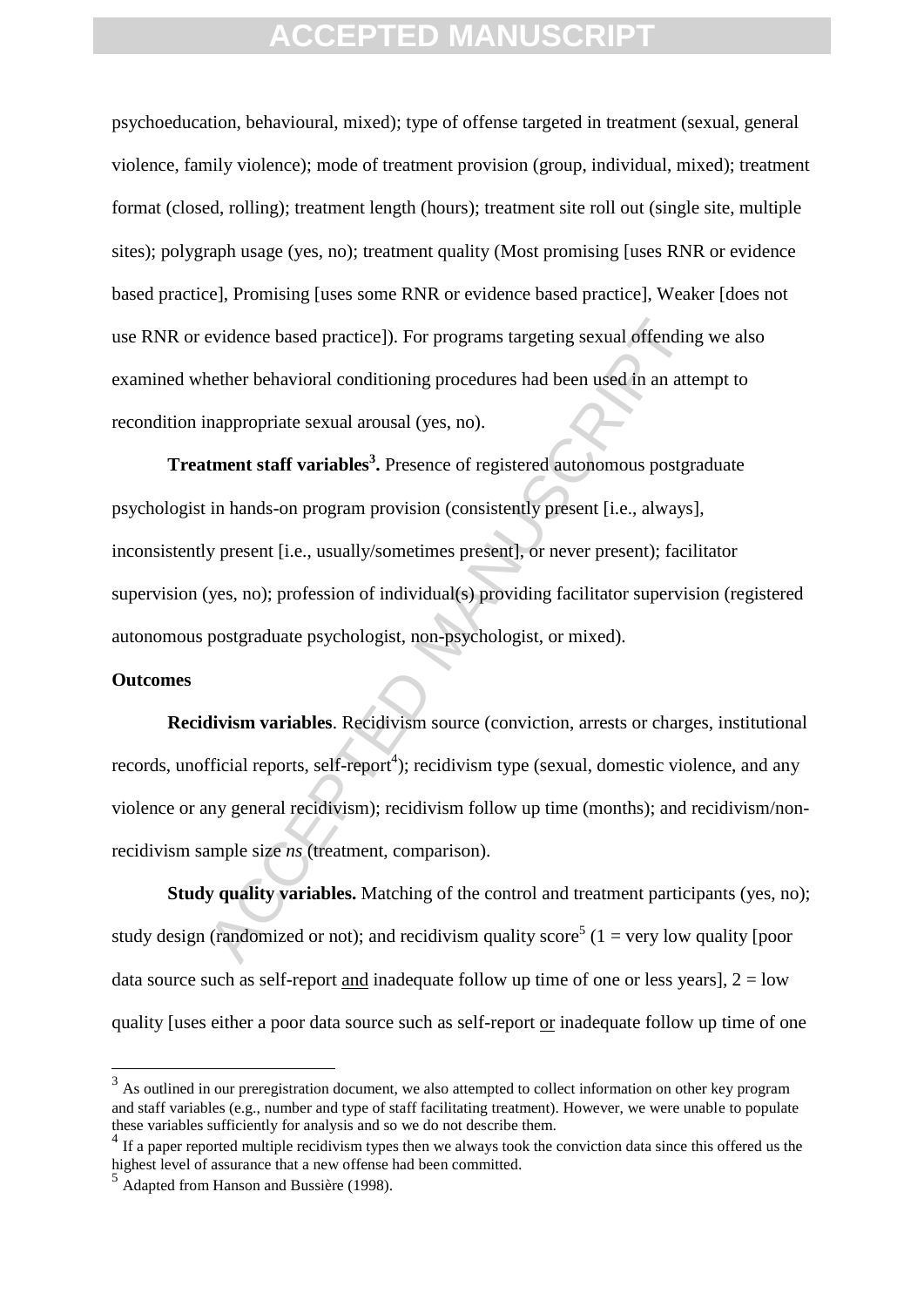psychoeducation, behavioural, mixed); type of offense targeted in treatment (sexual, general violence, family violence); mode of treatment provision (group, individual, mixed); treatment format (closed, rolling); treatment length (hours); treatment site roll out (single site, multiple sites); polygraph usage (yes, no); treatment quality (Most promising [uses RNR or evidence based practice], Promising [uses some RNR or evidence based practice], Weaker [does not use RNR or evidence based practice]). For programs targeting sexual offending we also examined whether behavioral conditioning procedures had been used in an attempt to recondition inappropriate sexual arousal (yes, no).

evidence based practice]). For programs targeting sexual offending<br>hether behavioral conditioning procedures had been used in an atte<br>nappropriate sexual arousal (yes, no).<br>**tment staff variables<sup>3</sup>**. Presence of registere **Treatment staff variables<sup>3</sup> .** Presence of registered autonomous postgraduate psychologist in hands-on program provision (consistently present [i.e., always], inconsistently present [i.e., usually/sometimes present], or never present); facilitator supervision (yes, no); profession of individual(s) providing facilitator supervision (registered autonomous postgraduate psychologist, non-psychologist, or mixed).

#### **Outcomes**

1

**Recidivism variables**. Recidivism source (conviction, arrests or charges, institutional records, unofficial reports, self-report<sup>4</sup>); recidivism type (sexual, domestic violence, and any violence or any general recidivism); recidivism follow up time (months); and recidivism/nonrecidivism sample size *ns* (treatment, comparison).

**Study quality variables.** Matching of the control and treatment participants (yes, no); study design (randomized or not); and recidivism quality score<sup>5</sup> (1 = very low quality [poor data source such as self-report and inadequate follow up time of one or less years],  $2 =$ low quality [uses either a poor data source such as self-report or inadequate follow up time of one

 $3$  As outlined in our preregistration document, we also attempted to collect information on other key program and staff variables (e.g., number and type of staff facilitating treatment). However, we were unable to populate these variables sufficiently for analysis and so we do not describe them.

<sup>&</sup>lt;sup>4</sup> If a paper reported multiple recidivism types then we always took the conviction data since this offered us the highest level of assurance that a new offense had been committed.

<sup>5</sup> Adapted from Hanson and Bussière (1998).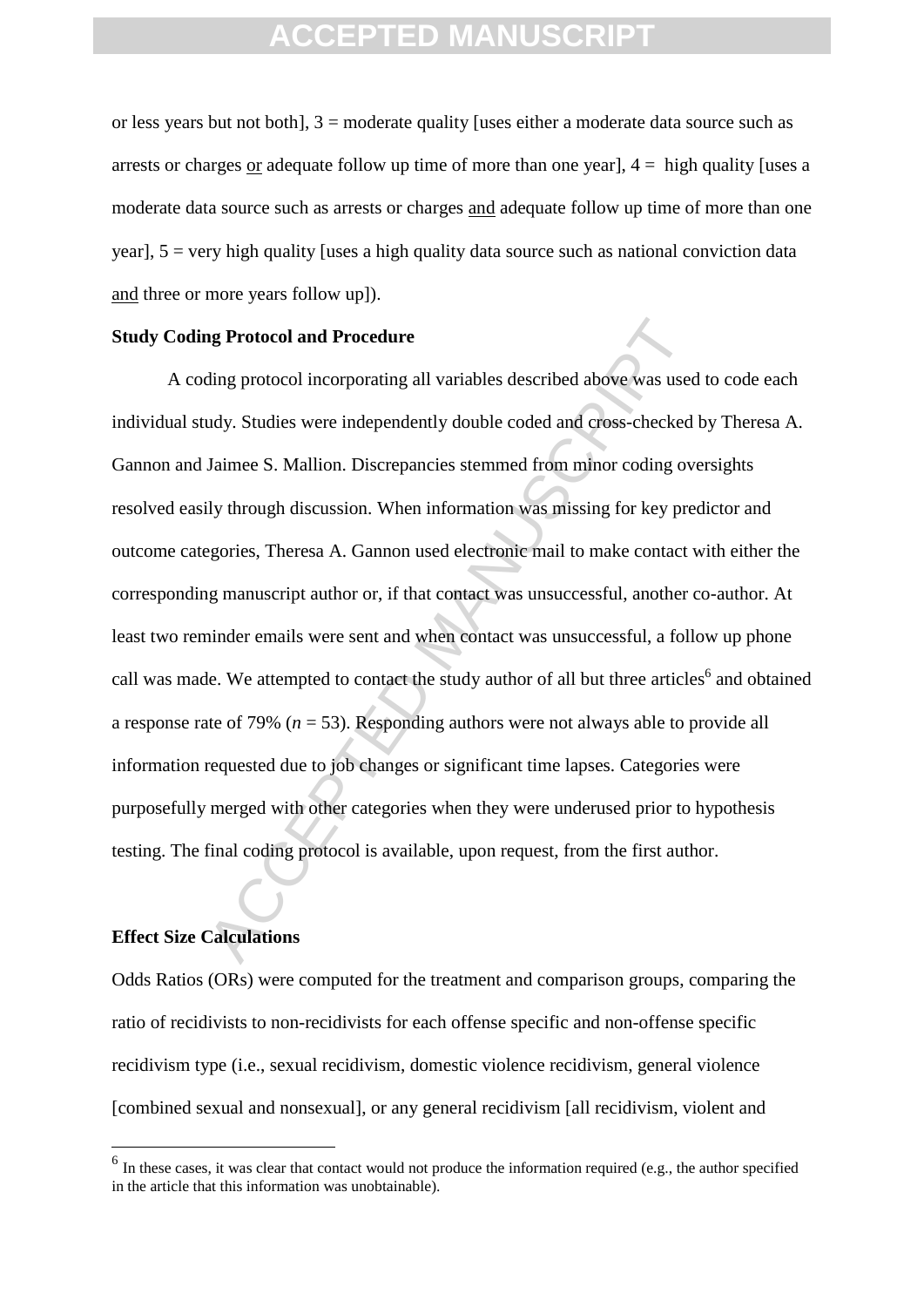or less years but not both], 3 = moderate quality [uses either a moderate data source such as arrests or charges or adequate follow up time of more than one year],  $4 =$  high quality [uses a moderate data source such as arrests or charges and adequate follow up time of more than one year],  $5 =$  very high quality [uses a high quality data source such as national conviction data and three or more years follow up]).

#### **Study Coding Protocol and Procedure**

**ng Protocol and Procedure**<br>
ding protocol incorporating all variables described above was used<br>
udy. Studies were independently double coded and cross-checked<br>
Jaimee S. Mallion. Discrepancies stemmed from minor coding o A coding protocol incorporating all variables described above was used to code each individual study. Studies were independently double coded and cross-checked by Theresa A. Gannon and Jaimee S. Mallion. Discrepancies stemmed from minor coding oversights resolved easily through discussion. When information was missing for key predictor and outcome categories, Theresa A. Gannon used electronic mail to make contact with either the corresponding manuscript author or, if that contact was unsuccessful, another co-author. At least two reminder emails were sent and when contact was unsuccessful, a follow up phone call was made. We attempted to contact the study author of all but three articles<sup>6</sup> and obtained a response rate of 79% (*n* = 53). Responding authors were not always able to provide all information requested due to job changes or significant time lapses. Categories were purposefully merged with other categories when they were underused prior to hypothesis testing. The final coding protocol is available, upon request, from the first author.

#### **Effect Size Calculations**

1

Odds Ratios (ORs) were computed for the treatment and comparison groups, comparing the ratio of recidivists to non-recidivists for each offense specific and non-offense specific recidivism type (i.e., sexual recidivism, domestic violence recidivism, general violence [combined sexual and nonsexual], or any general recidivism [all recidivism, violent and

 $<sup>6</sup>$  In these cases, it was clear that contact would not produce the information required (e.g., the author specified</sup> in the article that this information was unobtainable).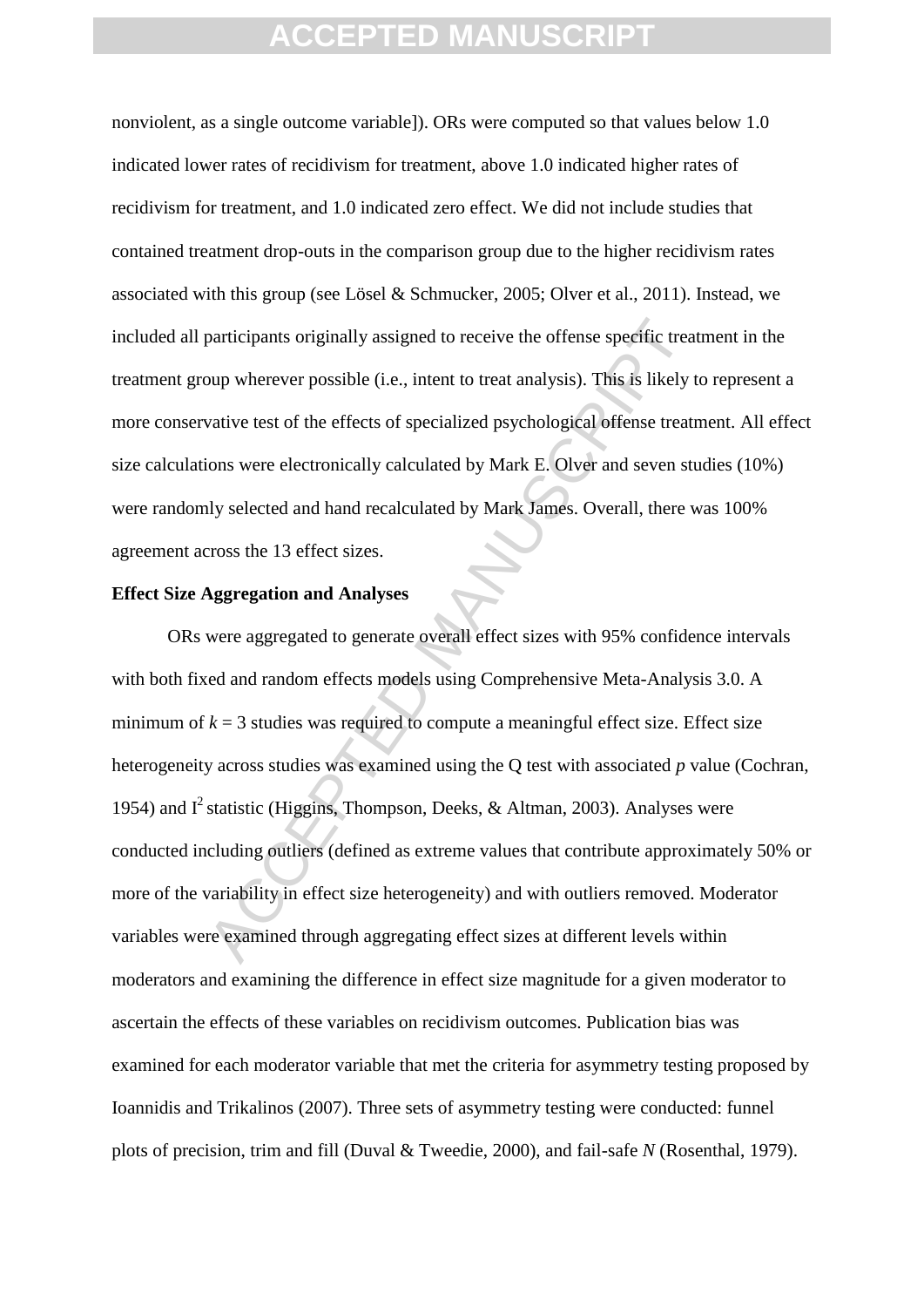nonviolent, as a single outcome variable]). ORs were computed so that values below 1.0 indicated lower rates of recidivism for treatment, above 1.0 indicated higher rates of recidivism for treatment, and 1.0 indicated zero effect. We did not include studies that contained treatment drop-outs in the comparison group due to the higher recidivism rates associated with this group (see Lösel & Schmucker, 2005; Olver et al., 2011). Instead, we included all participants originally assigned to receive the offense specific treatment in the treatment group wherever possible (i.e., intent to treat analysis). This is likely to represent a more conservative test of the effects of specialized psychological offense treatment. All effect size calculations were electronically calculated by Mark E. Olver and seven studies (10%) were randomly selected and hand recalculated by Mark James. Overall, there was 100% agreement across the 13 effect sizes.

#### **Effect Size Aggregation and Analyses**

participants originally assigned to receive the offense specific treat<br>oup wherever possible (i.e., intent to treat analysis). This is likely t<br>vative test of the effects of specialized psychological offense treat<br>ions we ORs were aggregated to generate overall effect sizes with 95% confidence intervals with both fixed and random effects models using Comprehensive Meta-Analysis 3.0. A minimum of  $k = 3$  studies was required to compute a meaningful effect size. Effect size heterogeneity across studies was examined using the Q test with associated *p* value (Cochran, 1954) and  $I^2$  statistic (Higgins, Thompson, Deeks, & Altman, 2003). Analyses were conducted including outliers (defined as extreme values that contribute approximately 50% or more of the variability in effect size heterogeneity) and with outliers removed. Moderator variables were examined through aggregating effect sizes at different levels within moderators and examining the difference in effect size magnitude for a given moderator to ascertain the effects of these variables on recidivism outcomes. Publication bias was examined for each moderator variable that met the criteria for asymmetry testing proposed by Ioannidis and Trikalinos (2007). Three sets of asymmetry testing were conducted: funnel plots of precision, trim and fill (Duval & Tweedie, 2000), and fail-safe *N* (Rosenthal, 1979).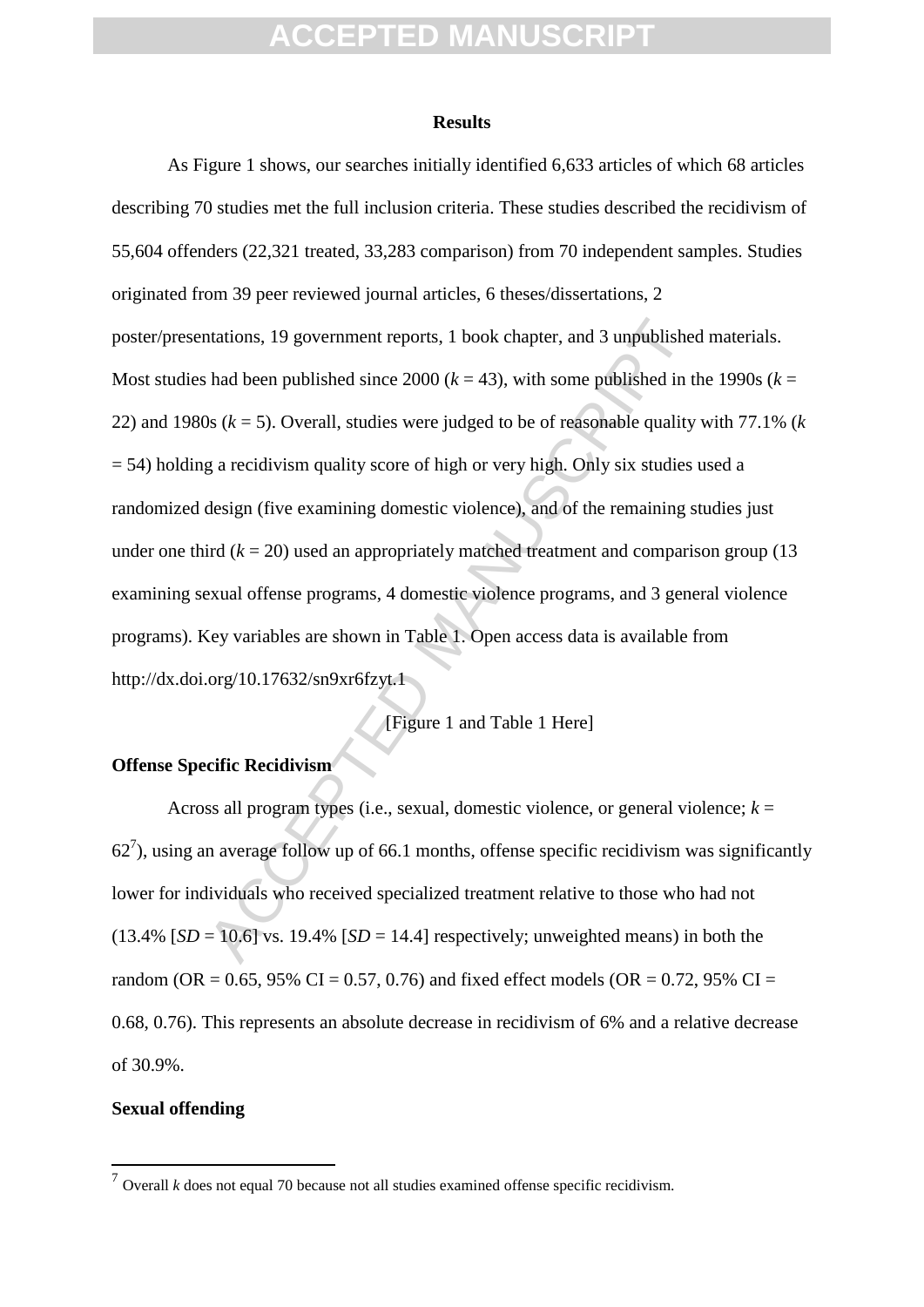#### **Results**

ntations, 19 government reports, 1 book chapter, and 3 unpublished<br>had been published since 2000 ( $k = 43$ ), with some published in the sole.<br>Book  $k = 5$ ). Overall, studies were judged to be of reasonable quality<br>g a recid As Figure 1 shows, our searches initially identified 6,633 articles of which 68 articles describing 70 studies met the full inclusion criteria. These studies described the recidivism of 55,604 offenders (22,321 treated, 33,283 comparison) from 70 independent samples. Studies originated from 39 peer reviewed journal articles, 6 theses/dissertations, 2 poster/presentations, 19 government reports, 1 book chapter, and 3 unpublished materials. Most studies had been published since 2000 ( $k = 43$ ), with some published in the 1990s ( $k =$ 22) and 1980s (*k* = 5). Overall, studies were judged to be of reasonable quality with 77.1% (*k* = 54) holding a recidivism quality score of high or very high. Only six studies used a randomized design (five examining domestic violence), and of the remaining studies just under one third  $(k = 20)$  used an appropriately matched treatment and comparison group (13) examining sexual offense programs, 4 domestic violence programs, and 3 general violence programs). Key variables are shown in Table 1. Open access data is available from http://dx.doi.org/10.17632/sn9xr6fzyt.1

[Figure 1 and Table 1 Here]

#### **Offense Specific Recidivism**

Across all program types (i.e., sexual, domestic violence, or general violence;  $k =$  $62<sup>7</sup>$ ), using an average follow up of 66.1 months, offense specific recidivism was significantly lower for individuals who received specialized treatment relative to those who had not  $(13.4\%$  [*SD* = 10.6] vs. 19.4% [*SD* = 14.4] respectively; unweighted means) in both the random (OR = 0.65, 95% CI = 0.57, 0.76) and fixed effect models (OR = 0.72, 95% CI = 0.68, 0.76). This represents an absolute decrease in recidivism of 6% and a relative decrease of 30.9%.

#### **Sexual offending**

1

 $<sup>7</sup>$  Overall *k* does not equal 70 because not all studies examined offense specific recidivism.</sup>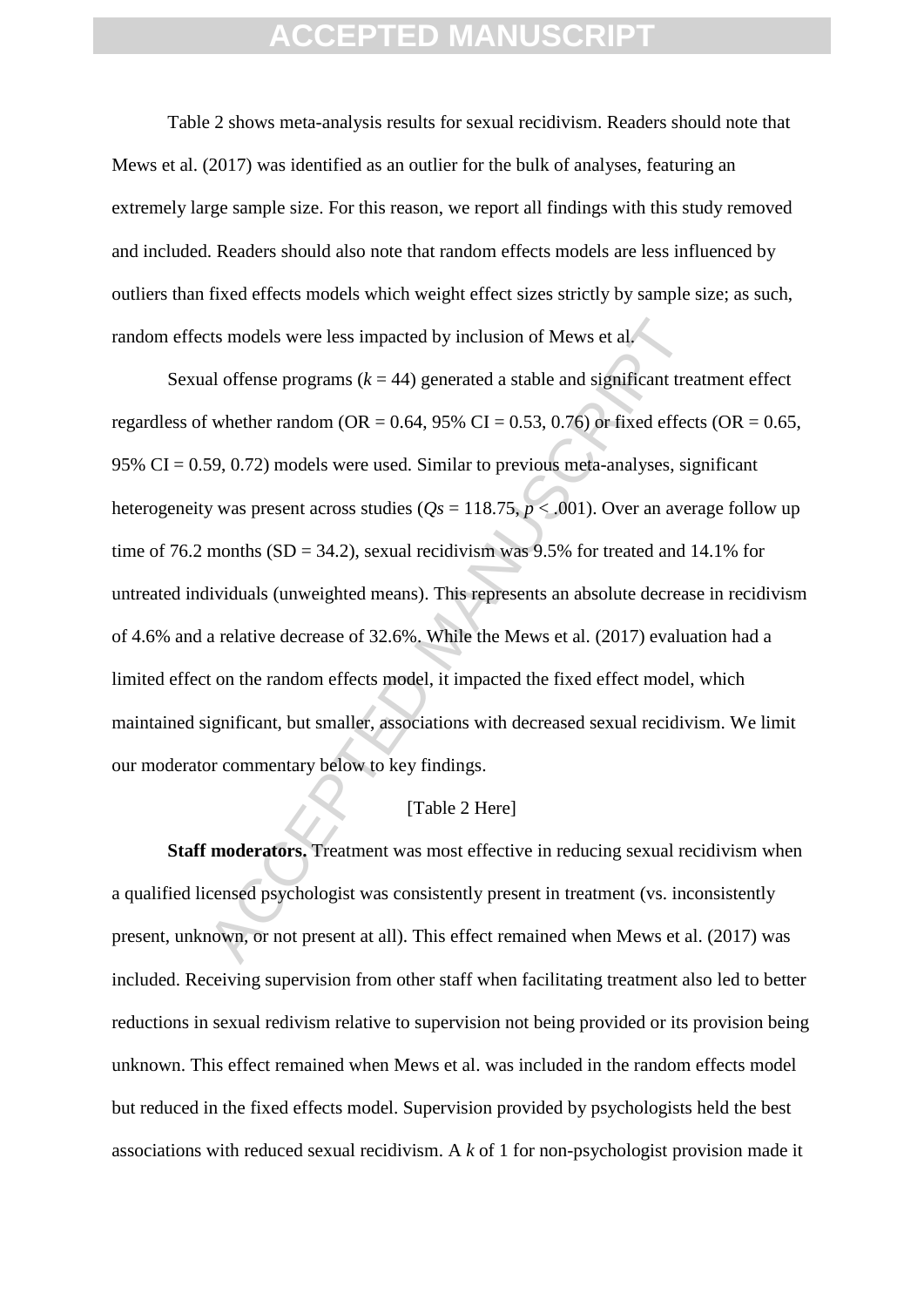Table 2 shows meta-analysis results for sexual recidivism. Readers should note that Mews et al. (2017) was identified as an outlier for the bulk of analyses, featuring an extremely large sample size. For this reason, we report all findings with this study removed and included. Readers should also note that random effects models are less influenced by outliers than fixed effects models which weight effect sizes strictly by sample size; as such, random effects models were less impacted by inclusion of Mews et al.

ts models were less impacted by inclusion of Mews et al.<br>
al offense programs  $(k = 44)$  generated a stable and significant treative there random (OR = 0.64, 95% CI = 0.53, 0.76) or fixed effect<br>
59, 0.72) models were used. Sexual offense programs  $(k = 44)$  generated a stable and significant treatment effect regardless of whether random (OR =  $0.64$ , 95% CI =  $0.53$ , 0.76) or fixed effects (OR =  $0.65$ , 95%  $CI = 0.59, 0.72$  models were used. Similar to previous meta-analyses, significant heterogeneity was present across studies ( $Q_s = 118.75$ ,  $p < .001$ ). Over an average follow up time of 76.2 months  $(SD = 34.2)$ , sexual recidivism was 9.5% for treated and 14.1% for untreated individuals (unweighted means). This represents an absolute decrease in recidivism of 4.6% and a relative decrease of 32.6%. While the Mews et al. (2017) evaluation had a limited effect on the random effects model, it impacted the fixed effect model, which maintained significant, but smaller, associations with decreased sexual recidivism. We limit our moderator commentary below to key findings.

#### [Table 2 Here]

**Staff moderators.** Treatment was most effective in reducing sexual recidivism when a qualified licensed psychologist was consistently present in treatment (vs. inconsistently present, unknown, or not present at all). This effect remained when Mews et al. (2017) was included. Receiving supervision from other staff when facilitating treatment also led to better reductions in sexual redivism relative to supervision not being provided or its provision being unknown. This effect remained when Mews et al. was included in the random effects model but reduced in the fixed effects model. Supervision provided by psychologists held the best associations with reduced sexual recidivism. A *k* of 1 for non-psychologist provision made it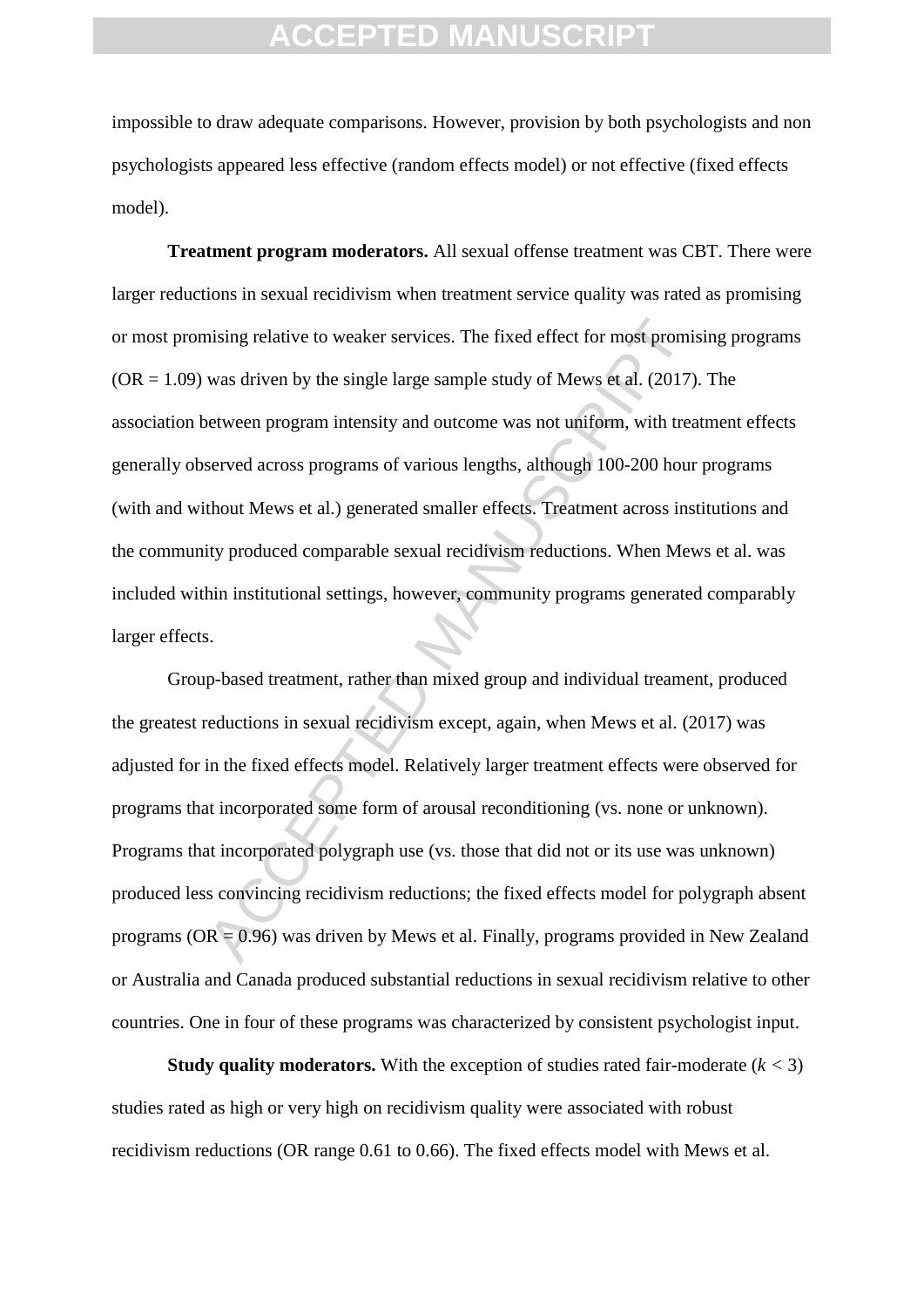impossible to draw adequate comparisons. However, provision by both psychologists and non psychologists appeared less effective (random effects model) or not effective (fixed effects model).

many missing relative to weaker services. The fixed effect for most promis was driven by the single large sample study of Mews et al. (2017) between program intensity and outcome was not uniform, with treasured across pro **Treatment program moderators.** All sexual offense treatment was CBT. There were larger reductions in sexual recidivism when treatment service quality was rated as promising or most promising relative to weaker services. The fixed effect for most promising programs  $(OR = 1.09)$  was driven by the single large sample study of Mews et al. (2017). The association between program intensity and outcome was not uniform, with treatment effects generally observed across programs of various lengths, although 100-200 hour programs (with and without Mews et al.) generated smaller effects. Treatment across institutions and the community produced comparable sexual recidivism reductions. When Mews et al. was included within institutional settings, however, community programs generated comparably larger effects.

Group-based treatment, rather than mixed group and individual treament, produced the greatest reductions in sexual recidivism except, again, when Mews et al. (2017) was adjusted for in the fixed effects model. Relatively larger treatment effects were observed for programs that incorporated some form of arousal reconditioning (vs. none or unknown). Programs that incorporated polygraph use (vs. those that did not or its use was unknown) produced less convincing recidivism reductions; the fixed effects model for polygraph absent programs (OR = 0.96) was driven by Mews et al. Finally, programs provided in New Zealand or Australia and Canada produced substantial reductions in sexual recidivism relative to other countries. One in four of these programs was characterized by consistent psychologist input.

**Study quality moderators.** With the exception of studies rated fair-moderate  $(k < 3)$ studies rated as high or very high on recidivism quality were associated with robust recidivism reductions (OR range 0.61 to 0.66). The fixed effects model with Mews et al.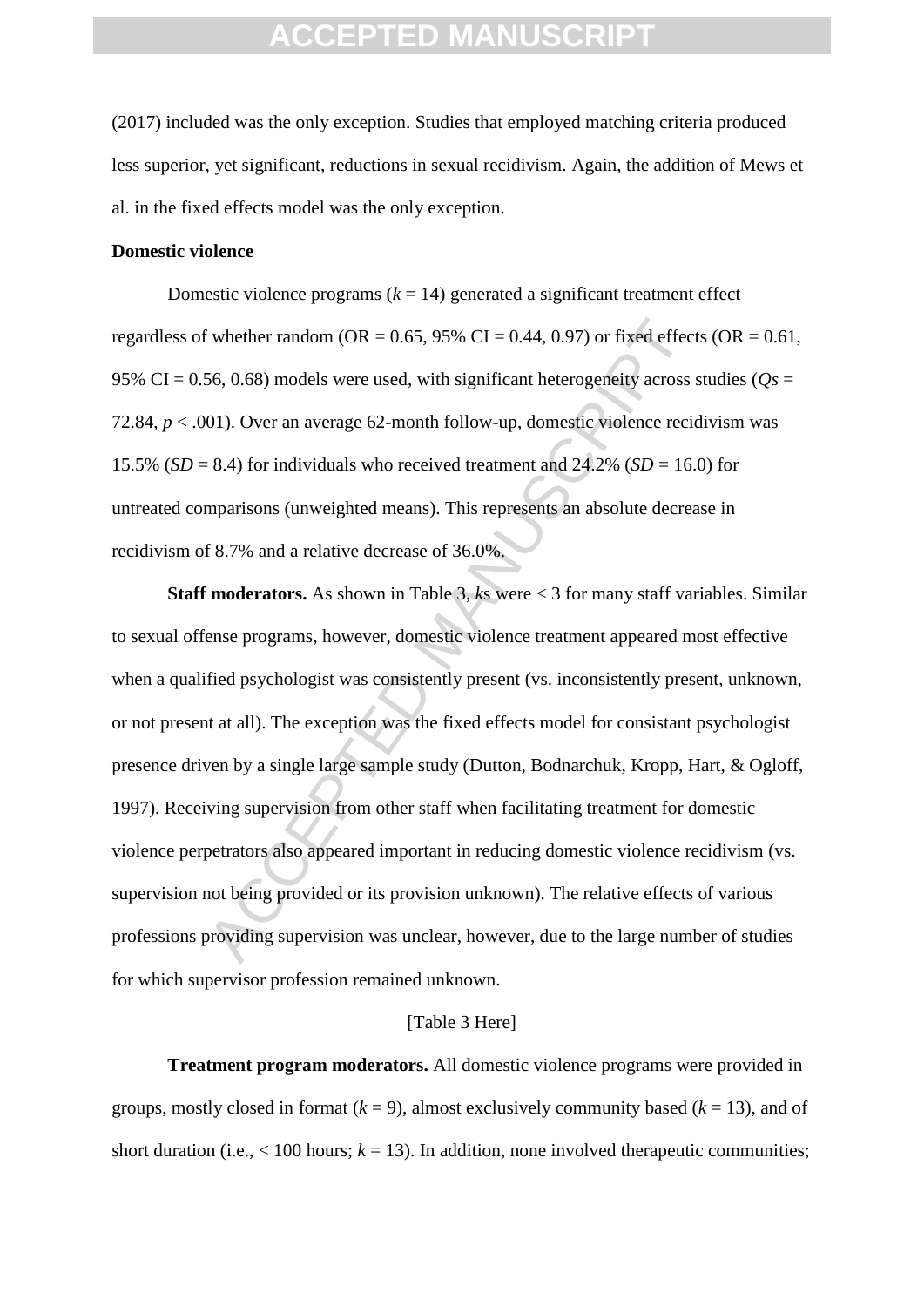(2017) included was the only exception. Studies that employed matching criteria produced less superior, yet significant, reductions in sexual recidivism. Again, the addition of Mews et al. in the fixed effects model was the only exception.

#### **Domestic violence**

Domestic violence programs  $(k = 14)$  generated a significant treatment effect regardless of whether random (OR =  $0.65$ , 95% CI =  $0.44$ , 0.97) or fixed effects (OR =  $0.61$ , 95% CI = 0.56, 0.68) models were used, with significant heterogeneity across studies ( $Q_s$  = 72.84, *p* < .001). Over an average 62-month follow-up, domestic violence recidivism was 15.5% ( $SD = 8.4$ ) for individuals who received treatment and  $24.2\%$  ( $SD = 16.0$ ) for untreated comparisons (unweighted means). This represents an absolute decrease in recidivism of 8.7% and a relative decrease of 36.0%.

Fundom (OR = 0.65, 95% CI = 0.44, 0.97) or fixed effect<br>56, 0.68) models were used, with significant heterogeneity across s<br>60. 0.68) models were used, with significant heterogeneity across s<br>601). Over an average 62-mont **Staff moderators.** As shown in Table 3, *k*s were < 3 for many staff variables. Similar to sexual offense programs, however, domestic violence treatment appeared most effective when a qualified psychologist was consistently present (vs. inconsistently present, unknown, or not present at all). The exception was the fixed effects model for consistant psychologist presence driven by a single large sample study (Dutton, Bodnarchuk, Kropp, Hart, & Ogloff, 1997). Receiving supervision from other staff when facilitating treatment for domestic violence perpetrators also appeared important in reducing domestic violence recidivism (vs. supervision not being provided or its provision unknown). The relative effects of various professions providing supervision was unclear, however, due to the large number of studies for which supervisor profession remained unknown.

#### [Table 3 Here]

**Treatment program moderators.** All domestic violence programs were provided in groups, mostly closed in format  $(k = 9)$ , almost exclusively community based  $(k = 13)$ , and of short duration (i.e.,  $\lt 100$  hours;  $k = 13$ ). In addition, none involved therapeutic communities;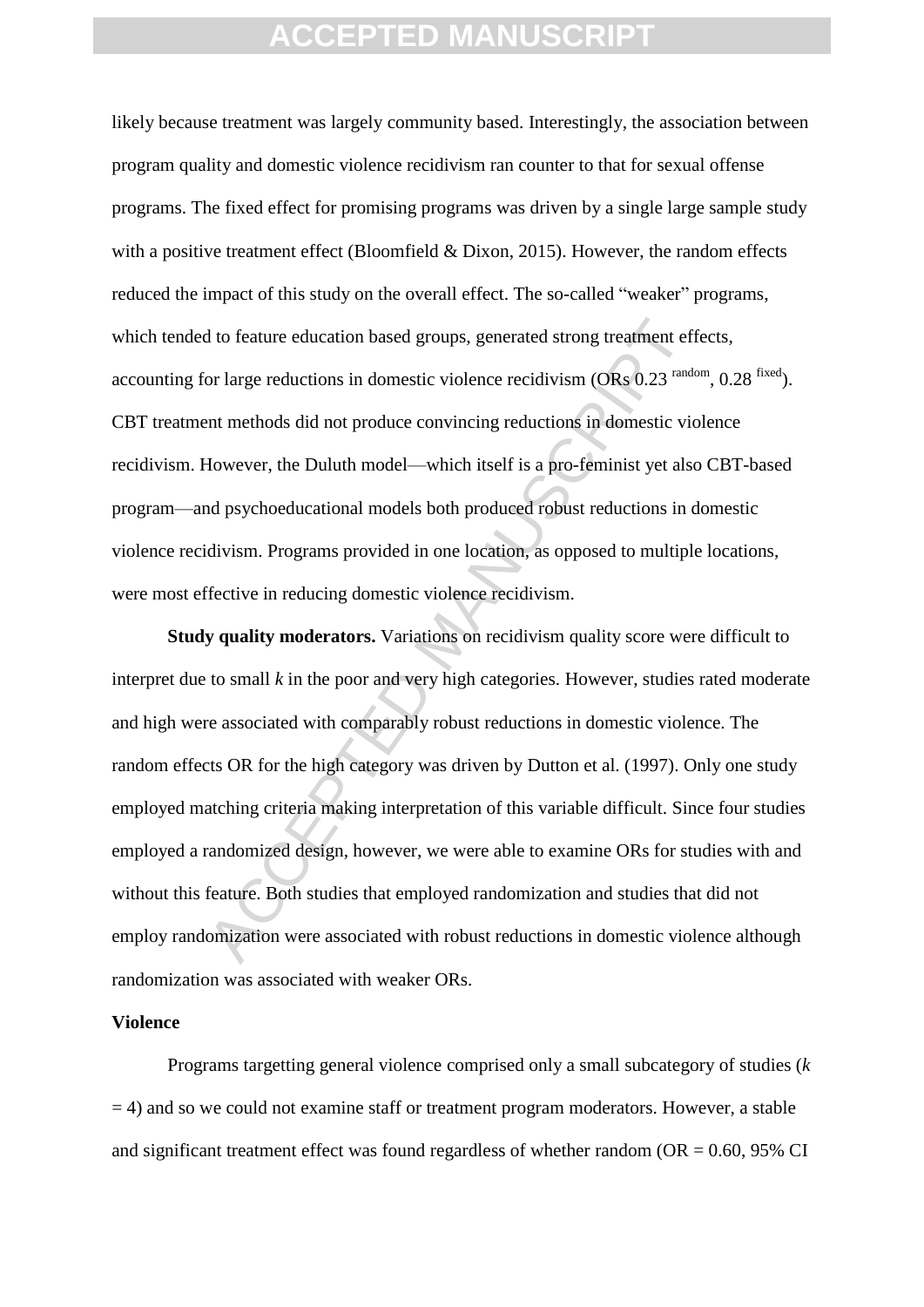likely because treatment was largely community based. Interestingly, the association between program quality and domestic violence recidivism ran counter to that for sexual offense programs. The fixed effect for promising programs was driven by a single large sample study with a positive treatment effect (Bloomfield & Dixon, 2015). However, the random effects reduced the impact of this study on the overall effect. The so-called "weaker" programs, which tended to feature education based groups, generated strong treatment effects, accounting for large reductions in domestic violence recidivism  $(ORs\ 0.23^{random}, 0.28^{fixed})$ . CBT treatment methods did not produce convincing reductions in domestic violence recidivism. However, the Duluth model—which itself is a pro-feminist yet also CBT-based program—and psychoeducational models both produced robust reductions in domestic violence recidivism. Programs provided in one location, as opposed to multiple locations, were most effective in reducing domestic violence recidivism.

d to feature education based groups, generated strong treatment effor large reductions in domestic violence recidivism (ORs 0.23<sup> rande</sup> and methods did not produce convincing reductions in domestic violence recording redu **Study quality moderators.** Variations on recidivism quality score were difficult to interpret due to small *k* in the poor and very high categories. However, studies rated moderate and high were associated with comparably robust reductions in domestic violence. The random effects OR for the high category was driven by Dutton et al. (1997). Only one study employed matching criteria making interpretation of this variable difficult. Since four studies employed a randomized design, however, we were able to examine ORs for studies with and without this feature. Both studies that employed randomization and studies that did not employ randomization were associated with robust reductions in domestic violence although randomization was associated with weaker ORs.

#### **Violence**

Programs targetting general violence comprised only a small subcategory of studies (*k*  $= 4$ ) and so we could not examine staff or treatment program moderators. However, a stable and significant treatment effect was found regardless of whether random ( $OR = 0.60$ , 95% CI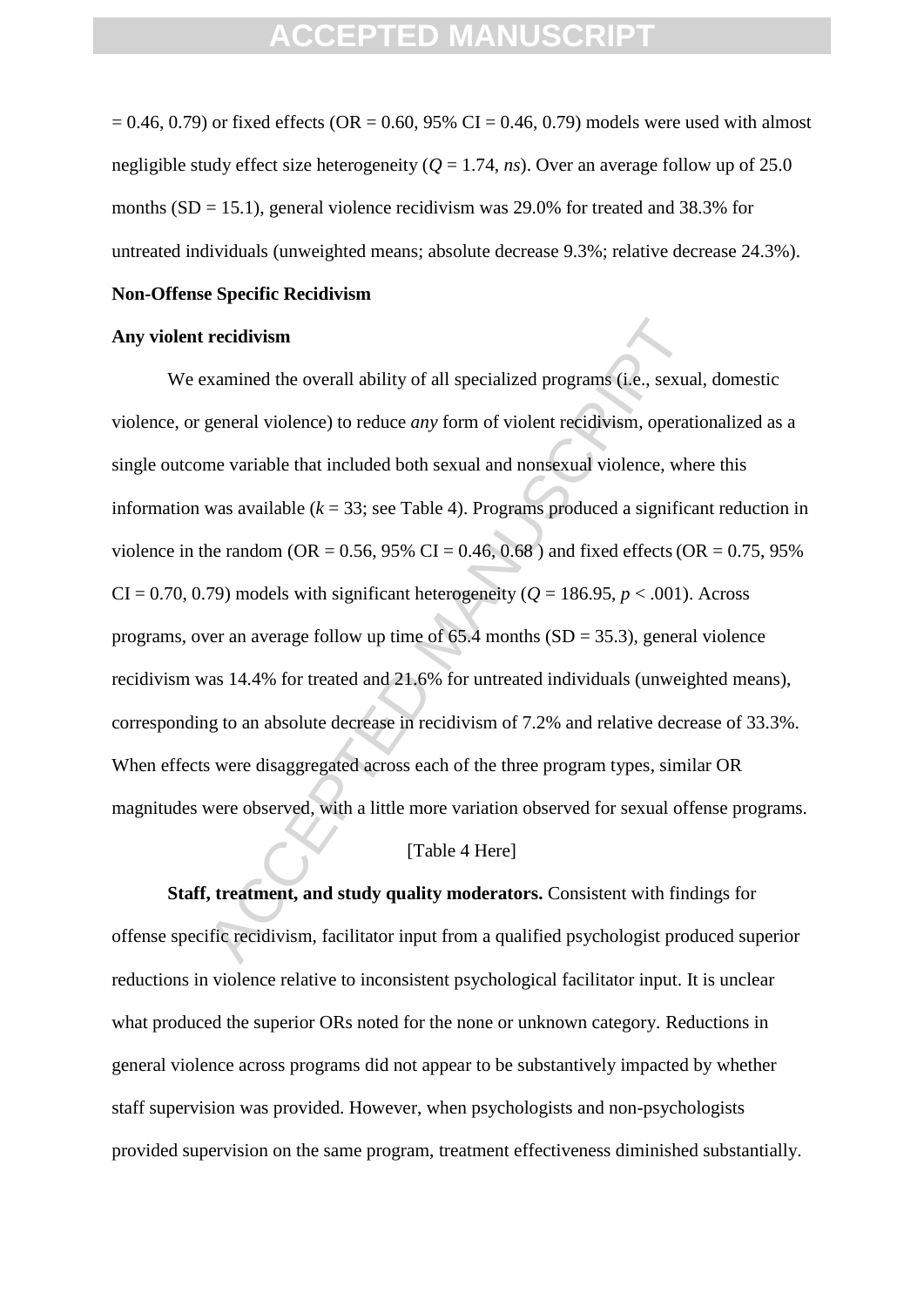$= 0.46, 0.79$  or fixed effects (OR  $= 0.60, 95\%$  CI  $= 0.46, 0.79$ ) models were used with almost negligible study effect size heterogeneity  $(O = 1.74, ns)$ . Over an average follow up of 25.0 months  $(SD = 15.1)$ , general violence recidivism was 29.0% for treated and 38.3% for untreated individuals (unweighted means; absolute decrease 9.3%; relative decrease 24.3%).

#### **Non-Offense Specific Recidivism**

#### **Any violent recidivism**

**recidivism**<br>
xamined the overall ability of all specialized programs (i.e., sexual<br>
general violence) to reduce *any* form of violent recidivism, operation<br>
me variable that included both sexual and nonsexual violence, w We examined the overall ability of all specialized programs (i.e., sexual, domestic violence, or general violence) to reduce *any* form of violent recidivism, operationalized as a single outcome variable that included both sexual and nonsexual violence, where this information was available  $(k = 33)$ ; see Table 4). Programs produced a significant reduction in violence in the random (OR =  $0.56$ ,  $95\%$  CI =  $0.46$ ,  $0.68$ ) and fixed effects (OR =  $0.75$ ,  $95\%$  $CI = 0.70, 0.79$  models with significant heterogeneity ( $Q = 186.95, p < .001$ ). Across programs, over an average follow up time of  $65.4$  months  $(SD = 35.3)$ , general violence recidivism was 14.4% for treated and 21.6% for untreated individuals (unweighted means), corresponding to an absolute decrease in recidivism of 7.2% and relative decrease of 33.3%. When effects were disaggregated across each of the three program types, similar OR magnitudes were observed, with a little more variation observed for sexual offense programs.

#### [Table 4 Here]

**Staff, treatment, and study quality moderators.** Consistent with findings for offense specific recidivism, facilitator input from a qualified psychologist produced superior reductions in violence relative to inconsistent psychological facilitator input. It is unclear what produced the superior ORs noted for the none or unknown category. Reductions in general violence across programs did not appear to be substantively impacted by whether staff supervision was provided. However, when psychologists and non-psychologists provided supervision on the same program, treatment effectiveness diminished substantially.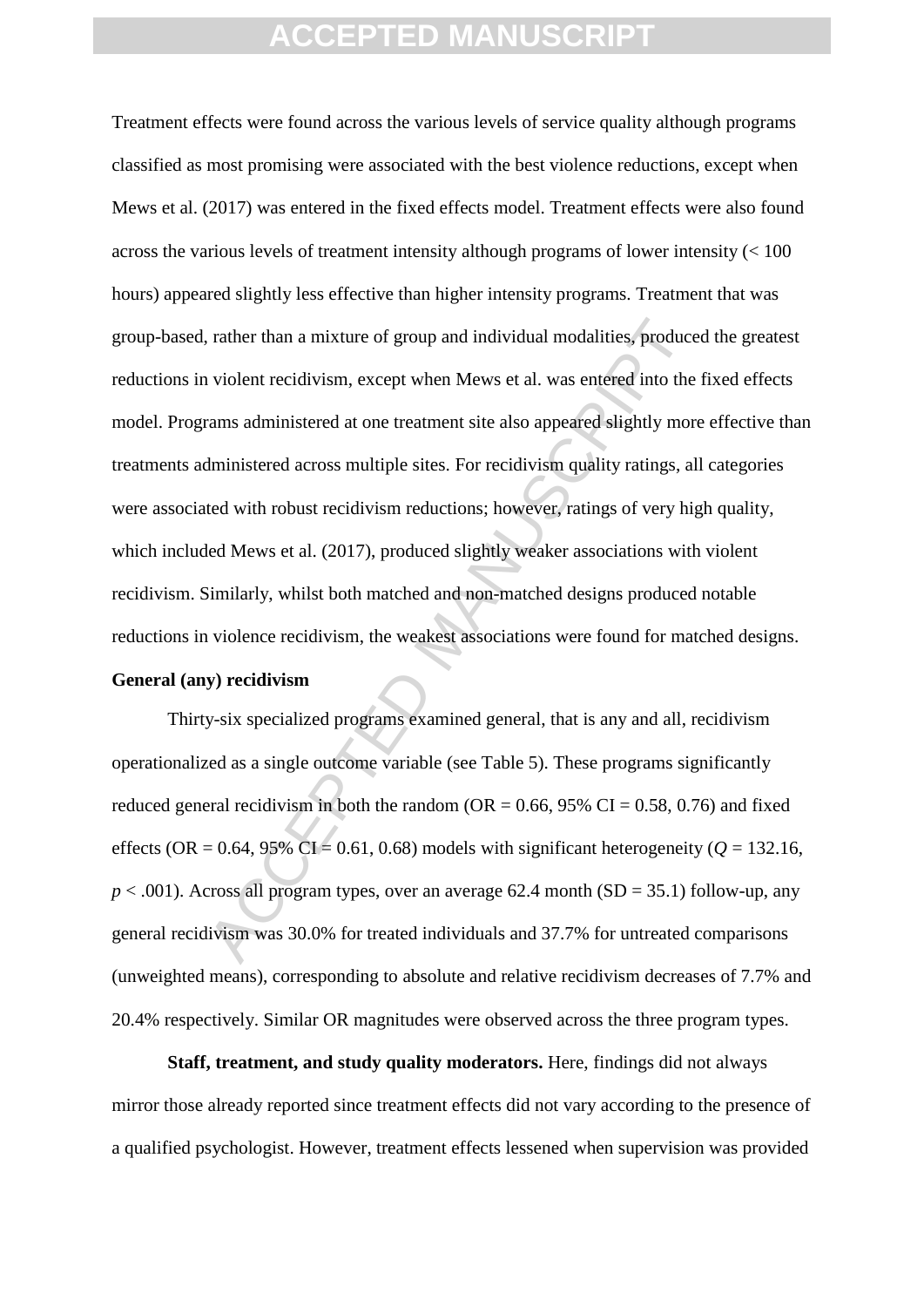r, rather than a mixture of group and individual modalities, produce<br>a violent recidivism, except when Mews et al. was entered into the<br>rams administered at one treatment site also appeared slightly more<br>dministered acros Treatment effects were found across the various levels of service quality although programs classified as most promising were associated with the best violence reductions, except when Mews et al. (2017) was entered in the fixed effects model. Treatment effects were also found across the various levels of treatment intensity although programs of lower intensity  $\ll 100$ hours) appeared slightly less effective than higher intensity programs. Treatment that was group-based, rather than a mixture of group and individual modalities, produced the greatest reductions in violent recidivism, except when Mews et al. was entered into the fixed effects model. Programs administered at one treatment site also appeared slightly more effective than treatments administered across multiple sites. For recidivism quality ratings, all categories were associated with robust recidivism reductions; however, ratings of very high quality, which included Mews et al. (2017), produced slightly weaker associations with violent recidivism. Similarly, whilst both matched and non-matched designs produced notable reductions in violence recidivism, the weakest associations were found for matched designs. **General (any) recidivism**

Thirty-six specialized programs examined general, that is any and all, recidivism operationalized as a single outcome variable (see Table 5). These programs significantly reduced general recidivism in both the random ( $OR = 0.66$ , 95% CI = 0.58, 0.76) and fixed effects (OR =  $0.64$ ,  $95\%$  CI =  $0.61$ ,  $0.68$ ) models with significant heterogeneity ( $Q = 132.16$ ,  $p < .001$ ). Across all program types, over an average 62.4 month (SD = 35.1) follow-up, any general recidivism was 30.0% for treated individuals and 37.7% for untreated comparisons (unweighted means), corresponding to absolute and relative recidivism decreases of 7.7% and 20.4% respectively. Similar OR magnitudes were observed across the three program types.

**Staff, treatment, and study quality moderators.** Here, findings did not always mirror those already reported since treatment effects did not vary according to the presence of a qualified psychologist. However, treatment effects lessened when supervision was provided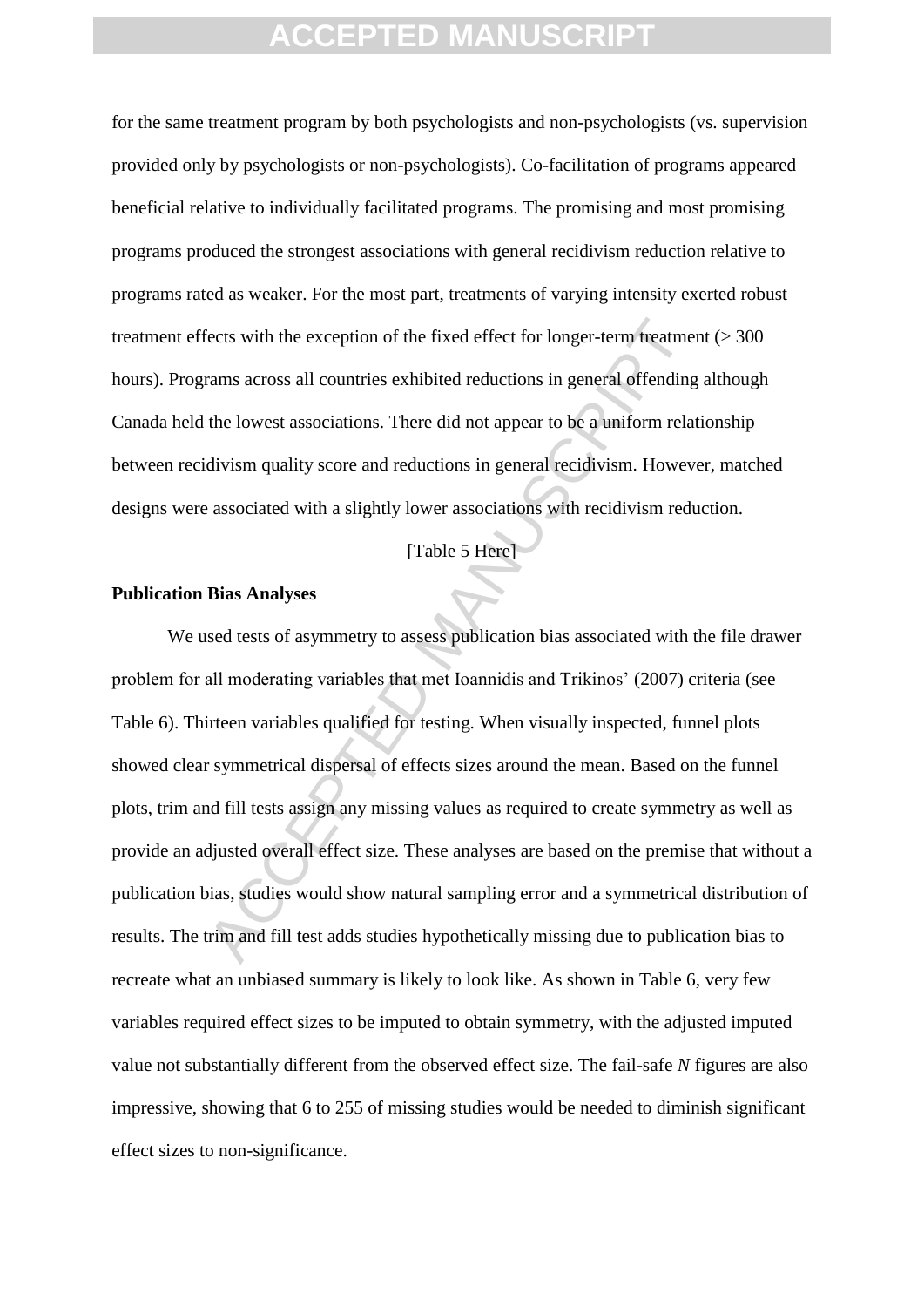for the same treatment program by both psychologists and non-psychologists (vs. supervision provided only by psychologists or non-psychologists). Co-facilitation of programs appeared beneficial relative to individually facilitated programs. The promising and most promising programs produced the strongest associations with general recidivism reduction relative to programs rated as weaker. For the most part, treatments of varying intensity exerted robust treatment effects with the exception of the fixed effect for longer-term treatment (> 300 hours). Programs across all countries exhibited reductions in general offending although Canada held the lowest associations. There did not appear to be a uniform relationship between recidivism quality score and reductions in general recidivism. However, matched designs were associated with a slightly lower associations with recidivism reduction.

#### [Table 5 Here]

#### **Publication Bias Analyses**

Fraction of the fixed effect for longer-term treatment<br>rams across all countries exhibited reductions in general offending<br>the lowest associations. There did not appear to be a uniform relat<br>divism quality score and reduct We used tests of asymmetry to assess publication bias associated with the file drawer problem for all moderating variables that met Ioannidis and Trikinos' (2007) criteria (see Table 6). Thirteen variables qualified for testing. When visually inspected, funnel plots showed clear symmetrical dispersal of effects sizes around the mean. Based on the funnel plots, trim and fill tests assign any missing values as required to create symmetry as well as provide an adjusted overall effect size. These analyses are based on the premise that without a publication bias, studies would show natural sampling error and a symmetrical distribution of results. The trim and fill test adds studies hypothetically missing due to publication bias to recreate what an unbiased summary is likely to look like. As shown in Table 6, very few variables required effect sizes to be imputed to obtain symmetry, with the adjusted imputed value not substantially different from the observed effect size. The fail-safe *N* figures are also impressive, showing that 6 to 255 of missing studies would be needed to diminish significant effect sizes to non-significance.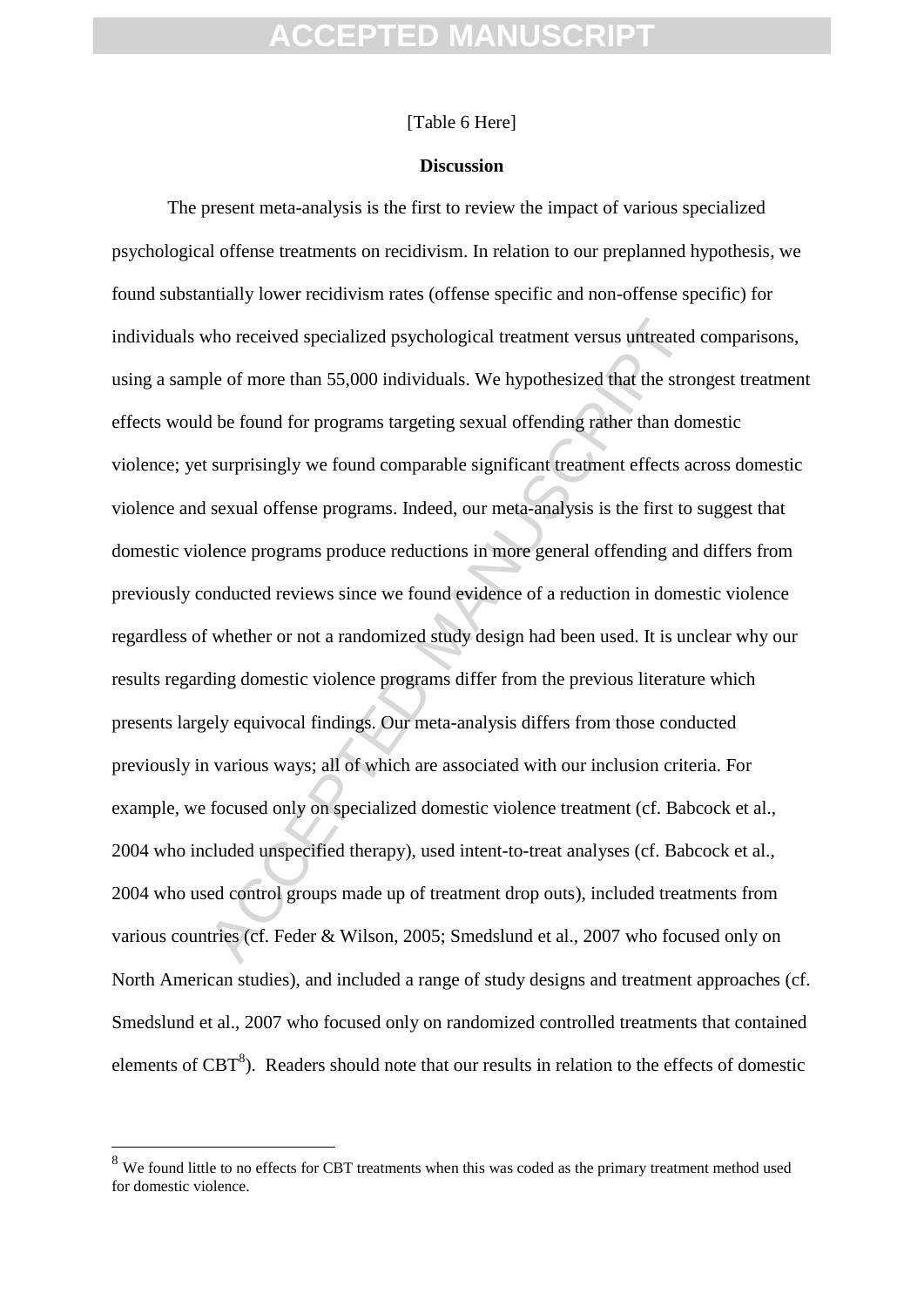#### [Table 6 Here]

#### **Discussion**

who received specialized psychological treatment versus untreated<br>ble of more than 55,000 individuals. We hypothesized that the stron<br>d be found for programs targeting sexual offending rather than dor<br>surprisingly we found The present meta-analysis is the first to review the impact of various specialized psychological offense treatments on recidivism. In relation to our preplanned hypothesis, we found substantially lower recidivism rates (offense specific and non-offense specific) for individuals who received specialized psychological treatment versus untreated comparisons, using a sample of more than 55,000 individuals. We hypothesized that the strongest treatment effects would be found for programs targeting sexual offending rather than domestic violence; yet surprisingly we found comparable significant treatment effects across domestic violence and sexual offense programs. Indeed, our meta-analysis is the first to suggest that domestic violence programs produce reductions in more general offending and differs from previously conducted reviews since we found evidence of a reduction in domestic violence regardless of whether or not a randomized study design had been used. It is unclear why our results regarding domestic violence programs differ from the previous literature which presents largely equivocal findings. Our meta-analysis differs from those conducted previously in various ways; all of which are associated with our inclusion criteria. For example, we focused only on specialized domestic violence treatment (cf. Babcock et al., 2004 who included unspecified therapy), used intent-to-treat analyses (cf. Babcock et al., 2004 who used control groups made up of treatment drop outs), included treatments from various countries (cf. Feder & Wilson, 2005; Smedslund et al., 2007 who focused only on North American studies), and included a range of study designs and treatment approaches (cf. Smedslund et al., 2007 who focused only on randomized controlled treatments that contained elements of  $CBT<sup>8</sup>$ ). Readers should note that our results in relation to the effects of domestic

1

<sup>&</sup>lt;sup>8</sup> We found little to no effects for CBT treatments when this was coded as the primary treatment method used for domestic violence.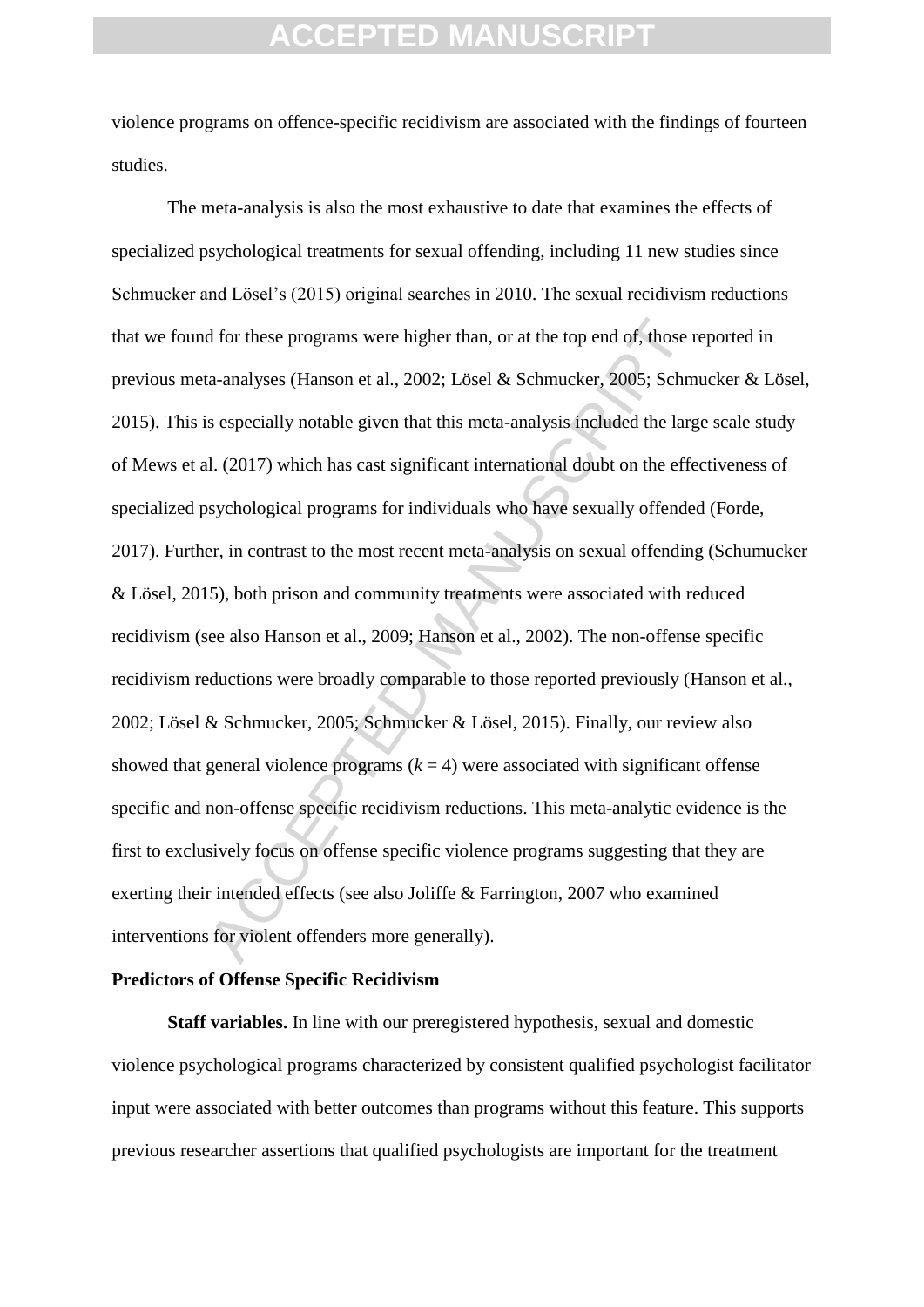violence programs on offence-specific recidivism are associated with the findings of fourteen studies.

d for these programs were higher than, or at the top end of, those r<br>ta-analyses (Hanson et al., 2002; Lösel & Schmucker, 2005; Schm<br>is especially notable given that this meta-analysis included the larg<br>al. (2017) which h The meta-analysis is also the most exhaustive to date that examines the effects of specialized psychological treatments for sexual offending, including 11 new studies since Schmucker and Lösel's (2015) original searches in 2010. The sexual recidivism reductions that we found for these programs were higher than, or at the top end of, those reported in previous meta-analyses (Hanson et al., 2002; Lösel & Schmucker, 2005; Schmucker & Lösel, 2015). This is especially notable given that this meta-analysis included the large scale study of Mews et al. (2017) which has cast significant international doubt on the effectiveness of specialized psychological programs for individuals who have sexually offended (Forde, 2017). Further, in contrast to the most recent meta-analysis on sexual offending (Schumucker & Lösel, 2015), both prison and community treatments were associated with reduced recidivism (see also Hanson et al., 2009; Hanson et al., 2002). The non-offense specific recidivism reductions were broadly comparable to those reported previously (Hanson et al., 2002; Lösel & Schmucker, 2005; Schmucker & Lösel, 2015). Finally, our review also showed that general violence programs  $(k = 4)$  were associated with significant offense specific and non-offense specific recidivism reductions. This meta-analytic evidence is the first to exclusively focus on offense specific violence programs suggesting that they are exerting their intended effects (see also Joliffe & Farrington, 2007 who examined interventions for violent offenders more generally).

#### **Predictors of Offense Specific Recidivism**

**Staff variables.** In line with our preregistered hypothesis, sexual and domestic violence psychological programs characterized by consistent qualified psychologist facilitator input were associated with better outcomes than programs without this feature. This supports previous researcher assertions that qualified psychologists are important for the treatment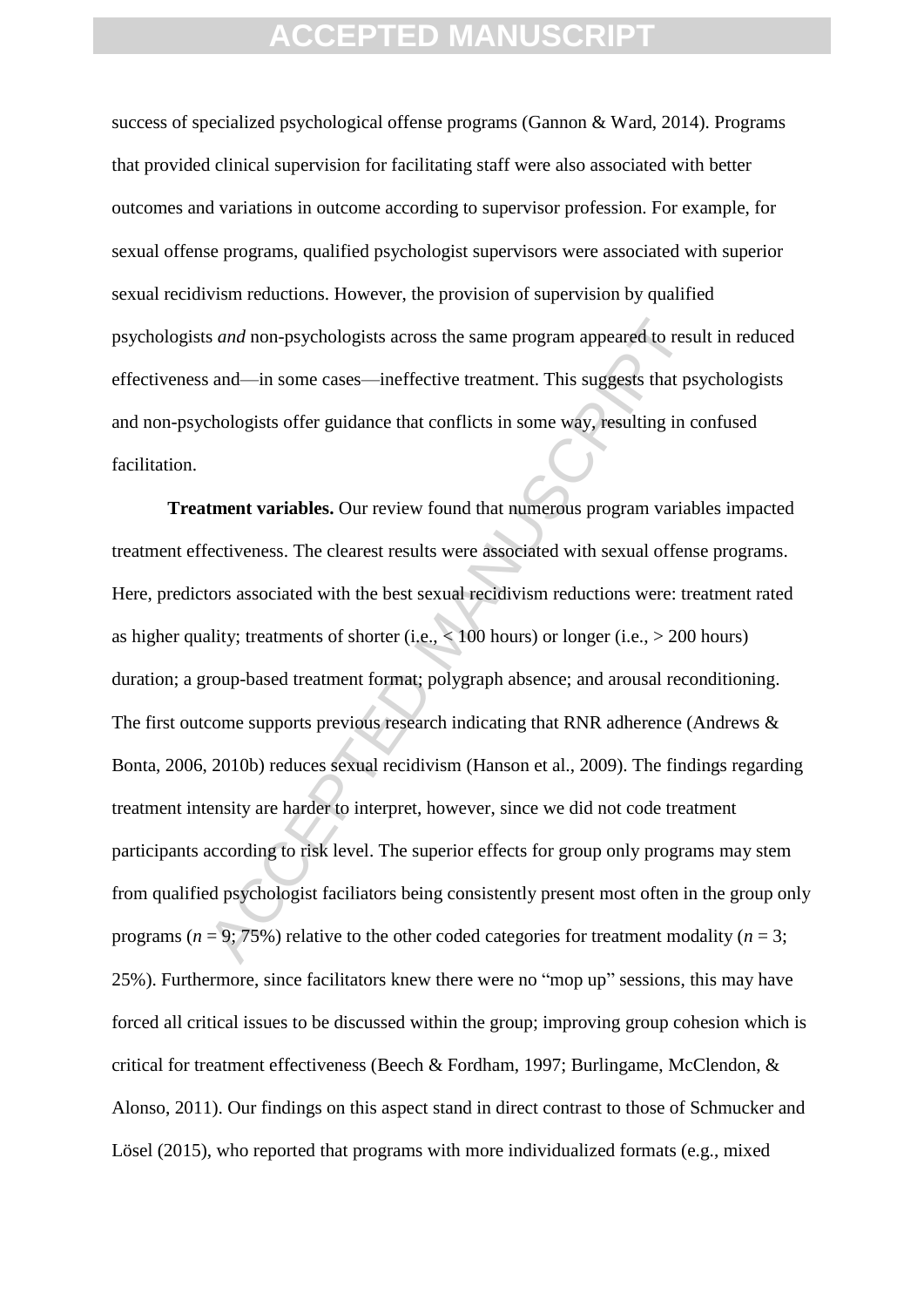success of specialized psychological offense programs (Gannon & Ward, 2014). Programs that provided clinical supervision for facilitating staff were also associated with better outcomes and variations in outcome according to supervisor profession. For example, for sexual offense programs, qualified psychologist supervisors were associated with superior sexual recidivism reductions. However, the provision of supervision by qualified psychologists *and* non-psychologists across the same program appeared to result in reduced effectiveness and—in some cases—ineffective treatment. This suggests that psychologists and non-psychologists offer guidance that conflicts in some way, resulting in confused facilitation.

s and non-psychologists across the same program appeared to rest<br>and—in some cases—ineffective treatment. This suggests that ps<br>chologists offer guidance that conflicts in some way, resulting in c<br>**trent variables.** Our re **Treatment variables.** Our review found that numerous program variables impacted treatment effectiveness. The clearest results were associated with sexual offense programs. Here, predictors associated with the best sexual recidivism reductions were: treatment rated as higher quality; treatments of shorter (i.e.,  $< 100$  hours) or longer (i.e.,  $> 200$  hours) duration; a group-based treatment format; polygraph absence; and arousal reconditioning. The first outcome supports previous research indicating that RNR adherence (Andrews & Bonta, 2006, 2010b) reduces sexual recidivism (Hanson et al., 2009). The findings regarding treatment intensity are harder to interpret, however, since we did not code treatment participants according to risk level. The superior effects for group only programs may stem from qualified psychologist faciliators being consistently present most often in the group only programs ( $n = 9$ ; 75%) relative to the other coded categories for treatment modality ( $n = 3$ ; 25%). Furthermore, since facilitators knew there were no "mop up" sessions, this may have forced all critical issues to be discussed within the group; improving group cohesion which is critical for treatment effectiveness (Beech & Fordham, 1997; Burlingame, McClendon, & Alonso, 2011). Our findings on this aspect stand in direct contrast to those of Schmucker and Lösel (2015), who reported that programs with more individualized formats (e.g., mixed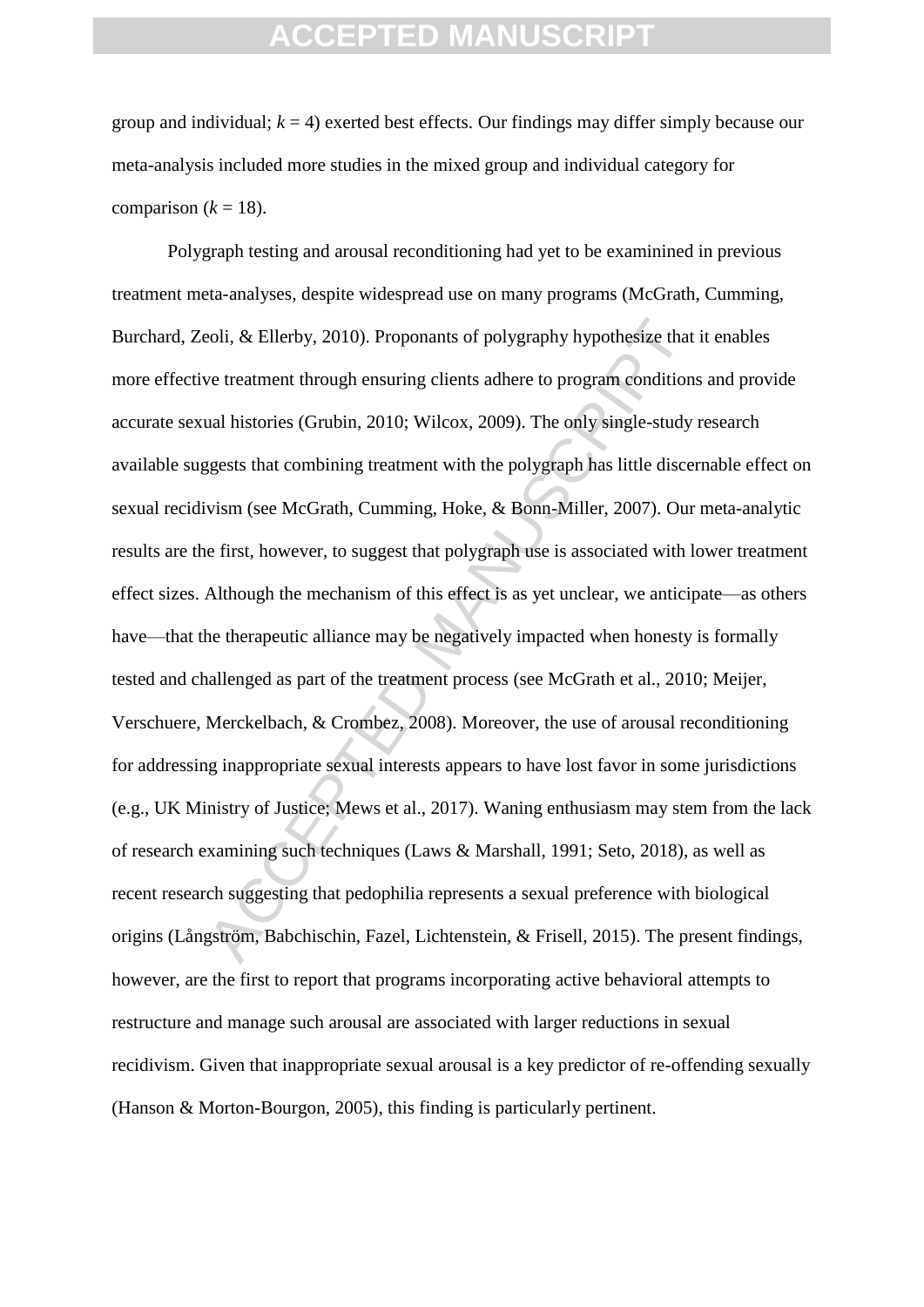group and individual;  $k = 4$ ) exerted best effects. Our findings may differ simply because our meta-analysis included more studies in the mixed group and individual category for comparison  $(k = 18)$ .

coli, & Ellerby, 2010). Proponants of polygraphy hypothesize that<br>we treatment through ensuring clients adhere to program conditions<br>ual histories (Grubin, 2010; Wilcox, 2009). The only single-study<br>ggests that combining t Polygraph testing and arousal reconditioning had yet to be examinined in previous treatment meta-analyses, despite widespread use on many programs (McGrath, Cumming, Burchard, Zeoli, & Ellerby, 2010). Proponants of polygraphy hypothesize that it enables more effective treatment through ensuring clients adhere to program conditions and provide accurate sexual histories (Grubin, 2010; Wilcox, 2009). The only single-study research available suggests that combining treatment with the polygraph has little discernable effect on sexual recidivism (see McGrath, Cumming, Hoke, & Bonn-Miller, 2007). Our meta-analytic results are the first, however, to suggest that polygraph use is associated with lower treatment effect sizes. Although the mechanism of this effect is as yet unclear, we anticipate—as others have—that the therapeutic alliance may be negatively impacted when honesty is formally tested and challenged as part of the treatment process (see McGrath et al., 2010; Meijer, Verschuere, Merckelbach, & Crombez, 2008). Moreover, the use of arousal reconditioning for addressing inappropriate sexual interests appears to have lost favor in some jurisdictions (e.g., UK Ministry of Justice; Mews et al., 2017). Waning enthusiasm may stem from the lack of research examining such techniques (Laws & Marshall, 1991; Seto, 2018), as well as recent research suggesting that pedophilia represents a sexual preference with biological origins (Långström, Babchischin, Fazel, Lichtenstein, & Frisell, 2015). The present findings, however, are the first to report that programs incorporating active behavioral attempts to restructure and manage such arousal are associated with larger reductions in sexual recidivism. Given that inappropriate sexual arousal is a key predictor of re-offending sexually (Hanson & Morton-Bourgon, 2005), this finding is particularly pertinent.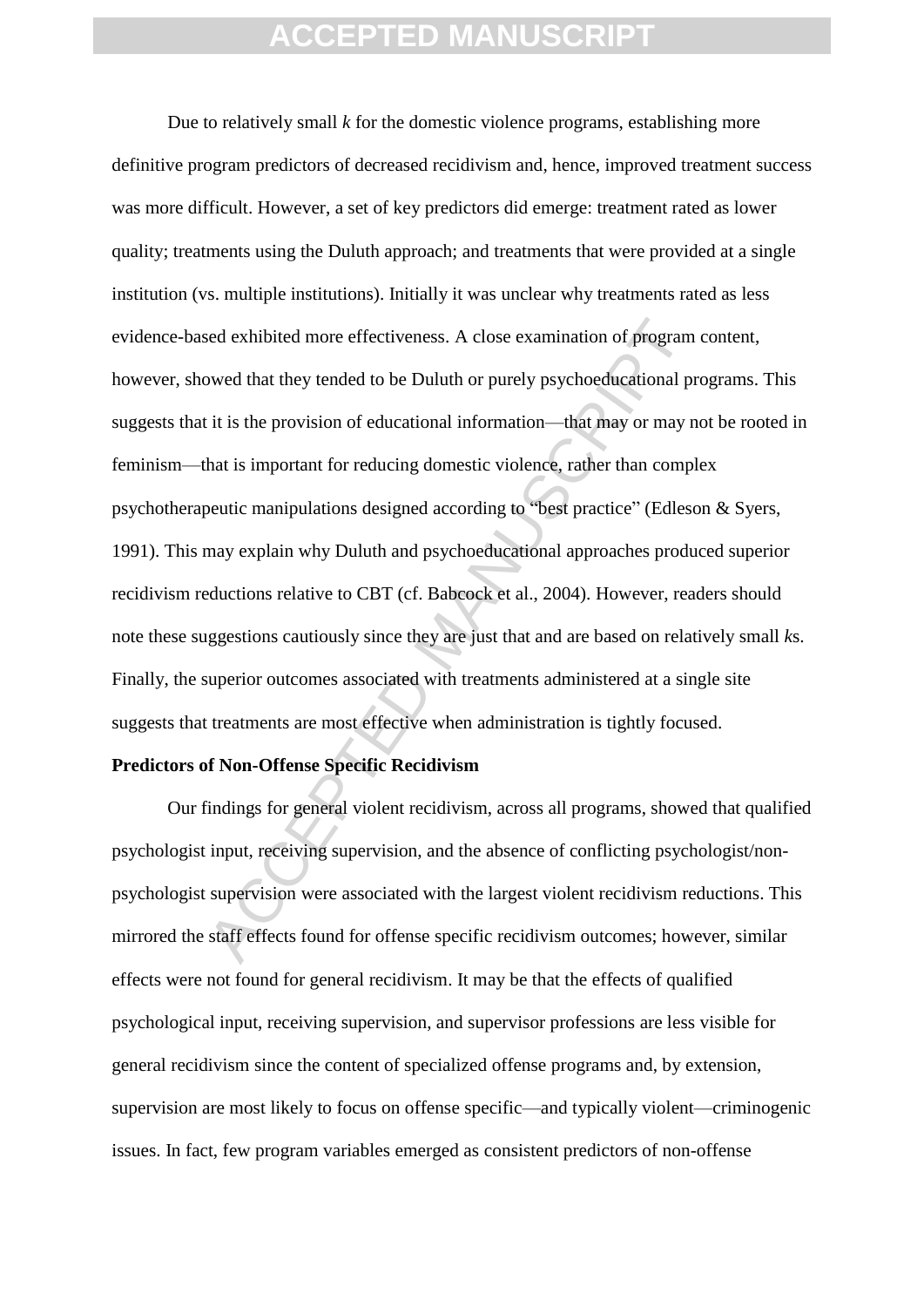sed exhibited more effectiveness. A close examination of program<br>owed that they tended to be Duluth or purely psychoeducational pr<br>it is the provision of educational information—that may or may n<br>hat is important for reduc Due to relatively small *k* for the domestic violence programs, establishing more definitive program predictors of decreased recidivism and, hence, improved treatment success was more difficult. However, a set of key predictors did emerge: treatment rated as lower quality; treatments using the Duluth approach; and treatments that were provided at a single institution (vs. multiple institutions). Initially it was unclear why treatments rated as less evidence-based exhibited more effectiveness. A close examination of program content, however, showed that they tended to be Duluth or purely psychoeducational programs. This suggests that it is the provision of educational information—that may or may not be rooted in feminism—that is important for reducing domestic violence, rather than complex psychotherapeutic manipulations designed according to "best practice" (Edleson & Syers, 1991). This may explain why Duluth and psychoeducational approaches produced superior recidivism reductions relative to CBT (cf. Babcock et al., 2004). However, readers should note these suggestions cautiously since they are just that and are based on relatively small *k*s. Finally, the superior outcomes associated with treatments administered at a single site suggests that treatments are most effective when administration is tightly focused.

#### **Predictors of Non-Offense Specific Recidivism**

Our findings for general violent recidivism, across all programs, showed that qualified psychologist input, receiving supervision, and the absence of conflicting psychologist/nonpsychologist supervision were associated with the largest violent recidivism reductions. This mirrored the staff effects found for offense specific recidivism outcomes; however, similar effects were not found for general recidivism. It may be that the effects of qualified psychological input, receiving supervision, and supervisor professions are less visible for general recidivism since the content of specialized offense programs and, by extension, supervision are most likely to focus on offense specific—and typically violent—criminogenic issues. In fact, few program variables emerged as consistent predictors of non-offense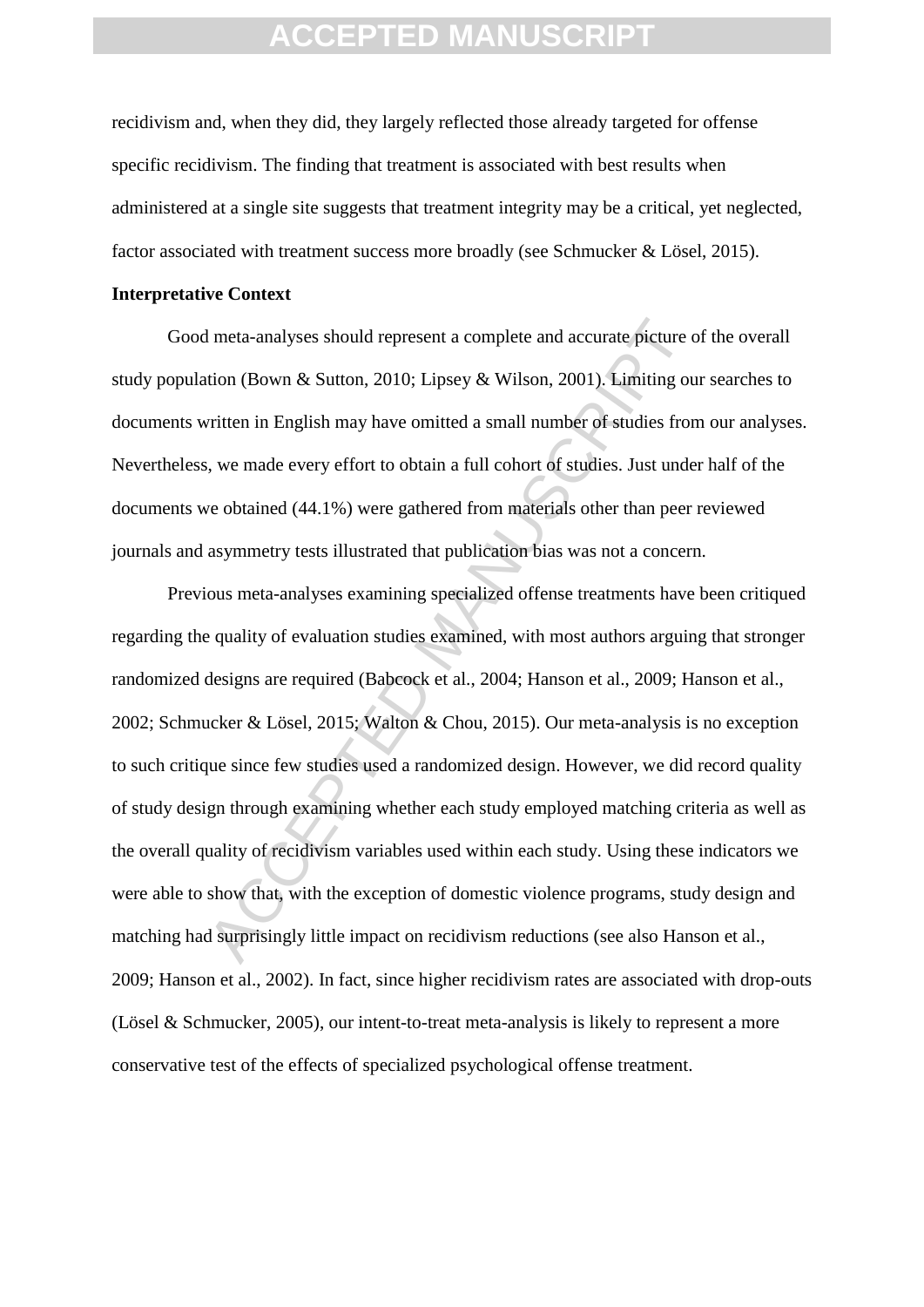recidivism and, when they did, they largely reflected those already targeted for offense specific recidivism. The finding that treatment is associated with best results when administered at a single site suggests that treatment integrity may be a critical, yet neglected, factor associated with treatment success more broadly (see Schmucker & Lösel, 2015).

#### **Interpretative Context**

Good meta-analyses should represent a complete and accurate picture of the overall study population (Bown & Sutton, 2010; Lipsey & Wilson, 2001). Limiting our searches to documents written in English may have omitted a small number of studies from our analyses. Nevertheless, we made every effort to obtain a full cohort of studies. Just under half of the documents we obtained (44.1%) were gathered from materials other than peer reviewed journals and asymmetry tests illustrated that publication bias was not a concern.

I meta-analyses should represent a complete and accurate picture cition (Bown & Sutton, 2010; Lipsey & Wilson, 2001). Limiting ou<br>virtien in English may have omitted a small number of studies from<br>s, we made every effort t Previous meta-analyses examining specialized offense treatments have been critiqued regarding the quality of evaluation studies examined, with most authors arguing that stronger randomized designs are required (Babcock et al., 2004; Hanson et al., 2009; Hanson et al., 2002; Schmucker & Lösel, 2015; Walton & Chou, 2015). Our meta-analysis is no exception to such critique since few studies used a randomized design. However, we did record quality of study design through examining whether each study employed matching criteria as well as the overall quality of recidivism variables used within each study. Using these indicators we were able to show that, with the exception of domestic violence programs, study design and matching had surprisingly little impact on recidivism reductions (see also Hanson et al., 2009; Hanson et al., 2002). In fact, since higher recidivism rates are associated with drop-outs (Lösel & Schmucker, 2005), our intent-to-treat meta-analysis is likely to represent a more conservative test of the effects of specialized psychological offense treatment.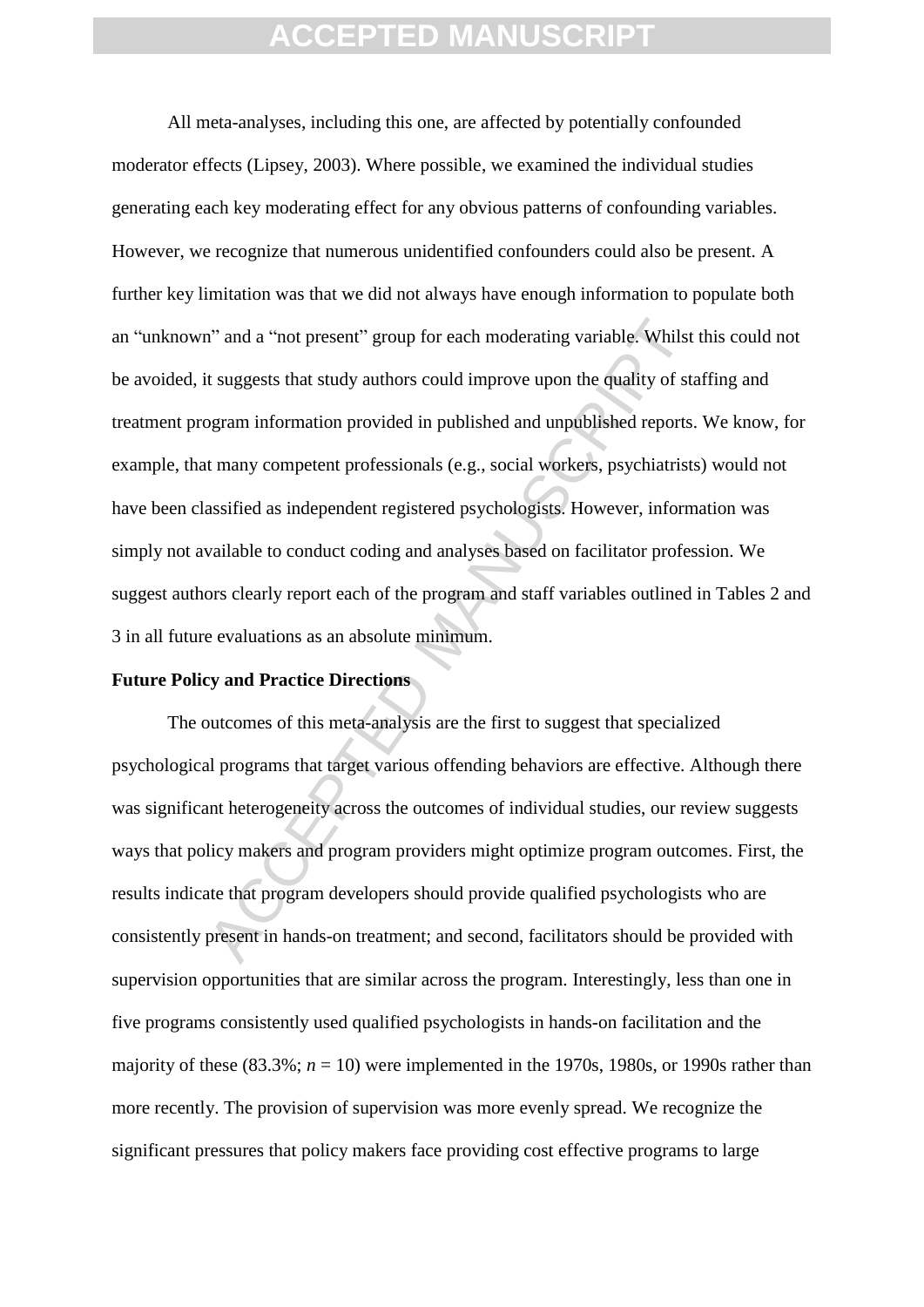n" and a "not present" group for each moderating variable. Whilst<br>it suggests that study authors could improve upon the quality of stagram information provided in published and unpublished reports.<br>It many competent profes All meta-analyses, including this one, are affected by potentially confounded moderator effects (Lipsey, 2003). Where possible, we examined the individual studies generating each key moderating effect for any obvious patterns of confounding variables. However, we recognize that numerous unidentified confounders could also be present. A further key limitation was that we did not always have enough information to populate both an "unknown" and a "not present" group for each moderating variable. Whilst this could not be avoided, it suggests that study authors could improve upon the quality of staffing and treatment program information provided in published and unpublished reports. We know, for example, that many competent professionals (e.g., social workers, psychiatrists) would not have been classified as independent registered psychologists. However, information was simply not available to conduct coding and analyses based on facilitator profession. We suggest authors clearly report each of the program and staff variables outlined in Tables 2 and 3 in all future evaluations as an absolute minimum.

#### **Future Policy and Practice Directions**

The outcomes of this meta-analysis are the first to suggest that specialized psychological programs that target various offending behaviors are effective. Although there was significant heterogeneity across the outcomes of individual studies, our review suggests ways that policy makers and program providers might optimize program outcomes. First, the results indicate that program developers should provide qualified psychologists who are consistently present in hands-on treatment; and second, facilitators should be provided with supervision opportunities that are similar across the program. Interestingly, less than one in five programs consistently used qualified psychologists in hands-on facilitation and the majority of these  $(83.3\%; n = 10)$  were implemented in the 1970s, 1980s, or 1990s rather than more recently. The provision of supervision was more evenly spread. We recognize the significant pressures that policy makers face providing cost effective programs to large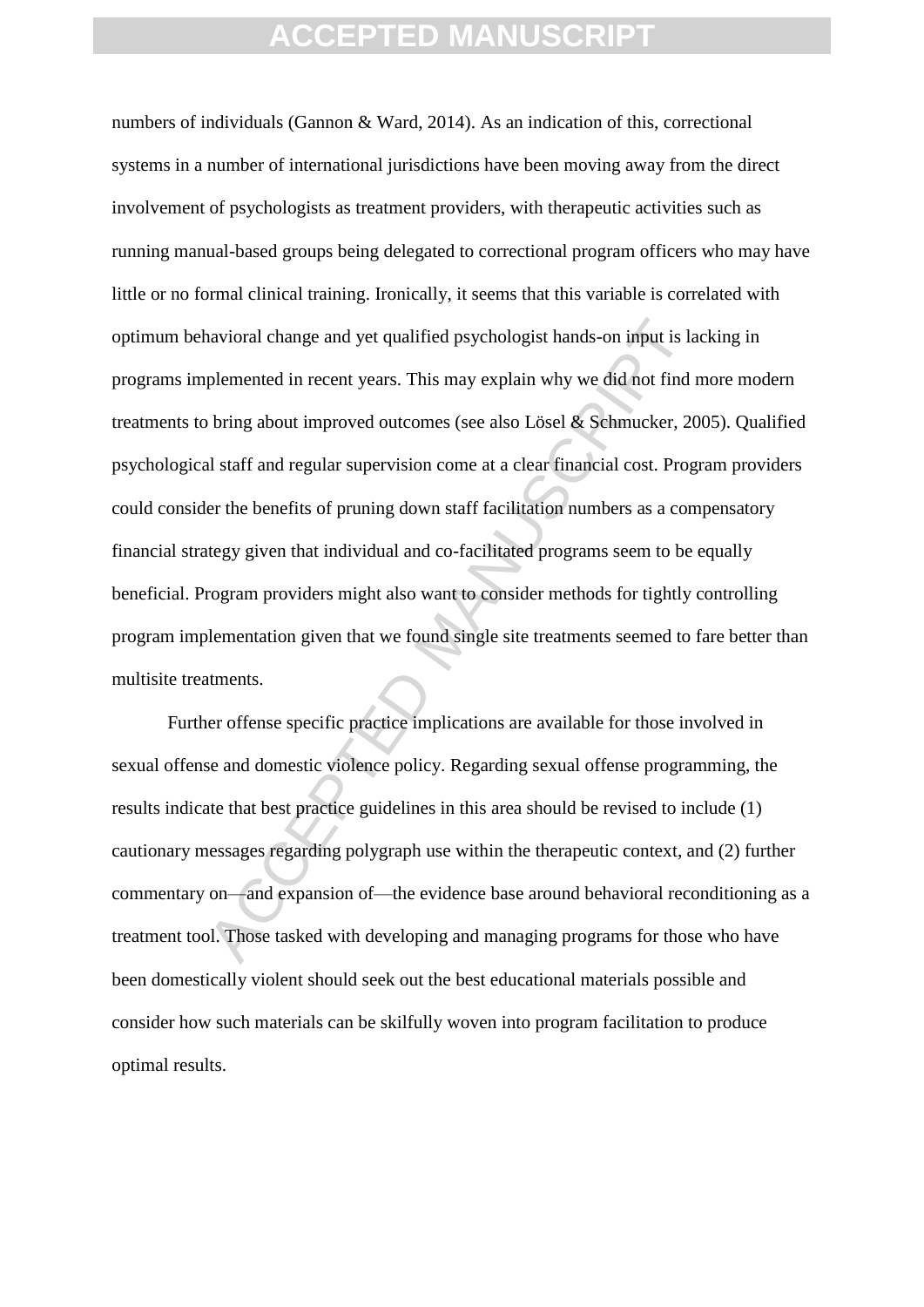navioral change and yet qualified psychologist hands-on input is la<br>plemented in recent years. This may explain why we did not find in<br>bring about improved outcomes (see also Lösel & Schmucker, 20<br>al staff and regular supe numbers of individuals (Gannon & Ward, 2014). As an indication of this, correctional systems in a number of international jurisdictions have been moving away from the direct involvement of psychologists as treatment providers, with therapeutic activities such as running manual-based groups being delegated to correctional program officers who may have little or no formal clinical training. Ironically, it seems that this variable is correlated with optimum behavioral change and yet qualified psychologist hands-on input is lacking in programs implemented in recent years. This may explain why we did not find more modern treatments to bring about improved outcomes (see also Lösel & Schmucker, 2005). Qualified psychological staff and regular supervision come at a clear financial cost. Program providers could consider the benefits of pruning down staff facilitation numbers as a compensatory financial strategy given that individual and co-facilitated programs seem to be equally beneficial. Program providers might also want to consider methods for tightly controlling program implementation given that we found single site treatments seemed to fare better than multisite treatments.

Further offense specific practice implications are available for those involved in sexual offense and domestic violence policy. Regarding sexual offense programming, the results indicate that best practice guidelines in this area should be revised to include (1) cautionary messages regarding polygraph use within the therapeutic context, and (2) further commentary on—and expansion of—the evidence base around behavioral reconditioning as a treatment tool. Those tasked with developing and managing programs for those who have been domestically violent should seek out the best educational materials possible and consider how such materials can be skilfully woven into program facilitation to produce optimal results.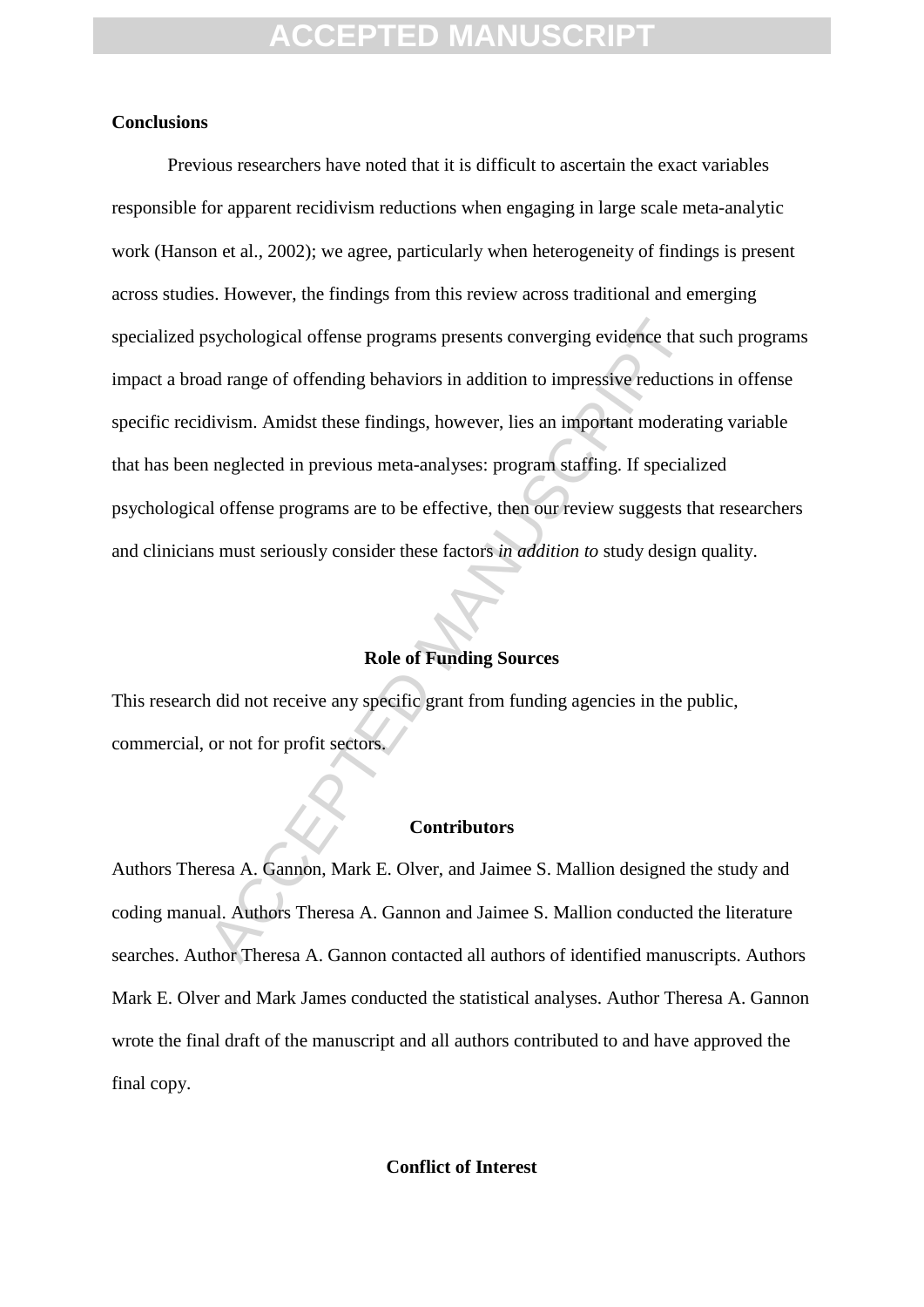#### **Conclusions**

by chological offense programs presents converging evidence that<br>ad range of offending behaviors in addition to impressive reductio<br>divism. Amidst these findings, however, lies an important moderat<br>neglected in previous me Previous researchers have noted that it is difficult to ascertain the exact variables responsible for apparent recidivism reductions when engaging in large scale meta-analytic work (Hanson et al., 2002); we agree, particularly when heterogeneity of findings is present across studies. However, the findings from this review across traditional and emerging specialized psychological offense programs presents converging evidence that such programs impact a broad range of offending behaviors in addition to impressive reductions in offense specific recidivism. Amidst these findings, however, lies an important moderating variable that has been neglected in previous meta-analyses: program staffing. If specialized psychological offense programs are to be effective, then our review suggests that researchers and clinicians must seriously consider these factors *in addition to* study design quality.

#### **Role of Funding Sources**

This research did not receive any specific grant from funding agencies in the public, commercial, or not for profit sectors.

#### **Contributors**

Authors Theresa A. Gannon, Mark E. Olver, and Jaimee S. Mallion designed the study and coding manual. Authors Theresa A. Gannon and Jaimee S. Mallion conducted the literature searches. Author Theresa A. Gannon contacted all authors of identified manuscripts. Authors Mark E. Olver and Mark James conducted the statistical analyses. Author Theresa A. Gannon wrote the final draft of the manuscript and all authors contributed to and have approved the final copy.

#### **Conflict of Interest**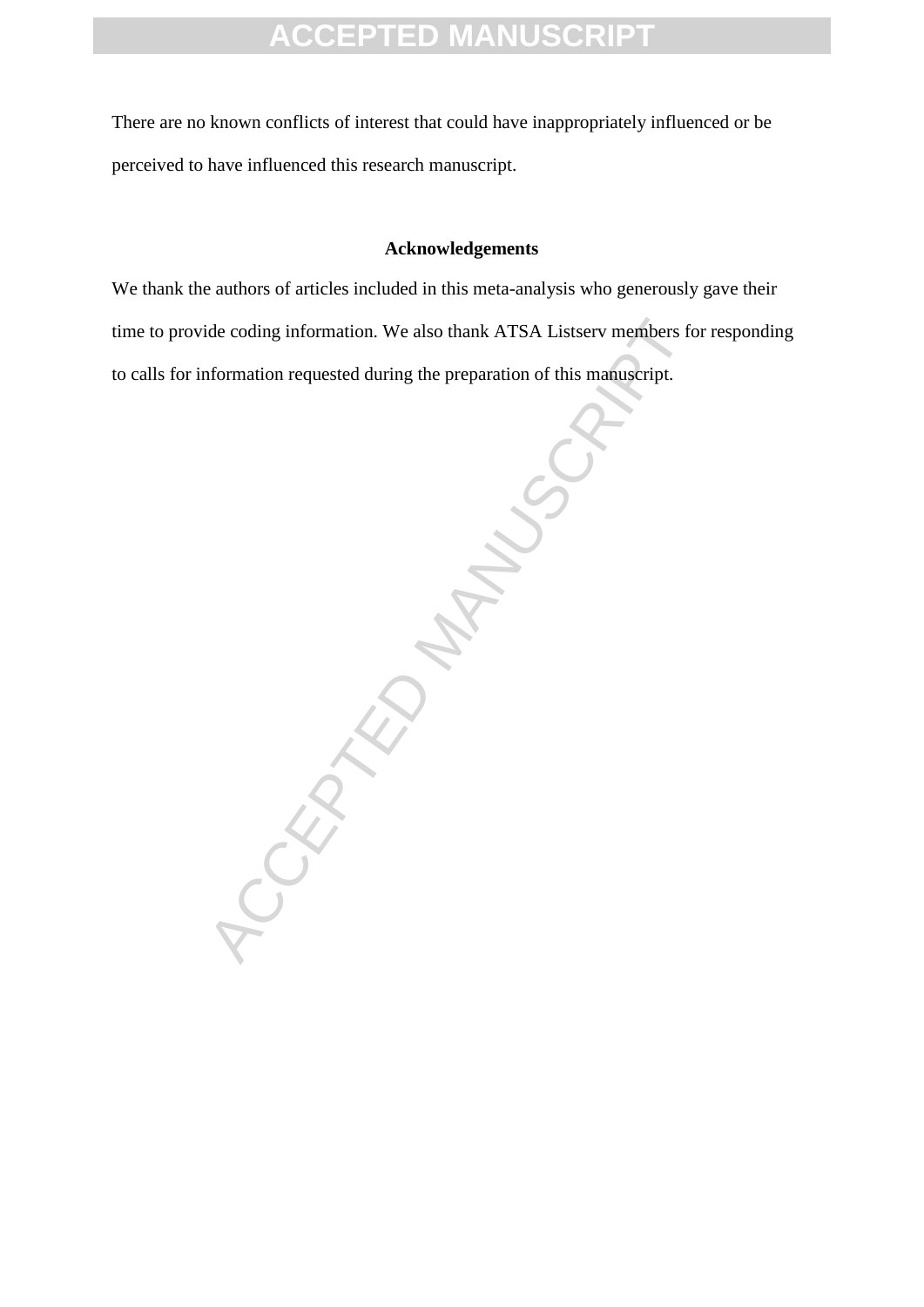There are no known conflicts of interest that could have inappropriately influenced or be perceived to have influenced this research manuscript.

#### **Acknowledgements**

We thank the authors of articles included in this meta-analysis who generously gave their time to provide coding information. We also thank ATSA Listserv members for responding to calls for information requested during the preparation of this manuscript.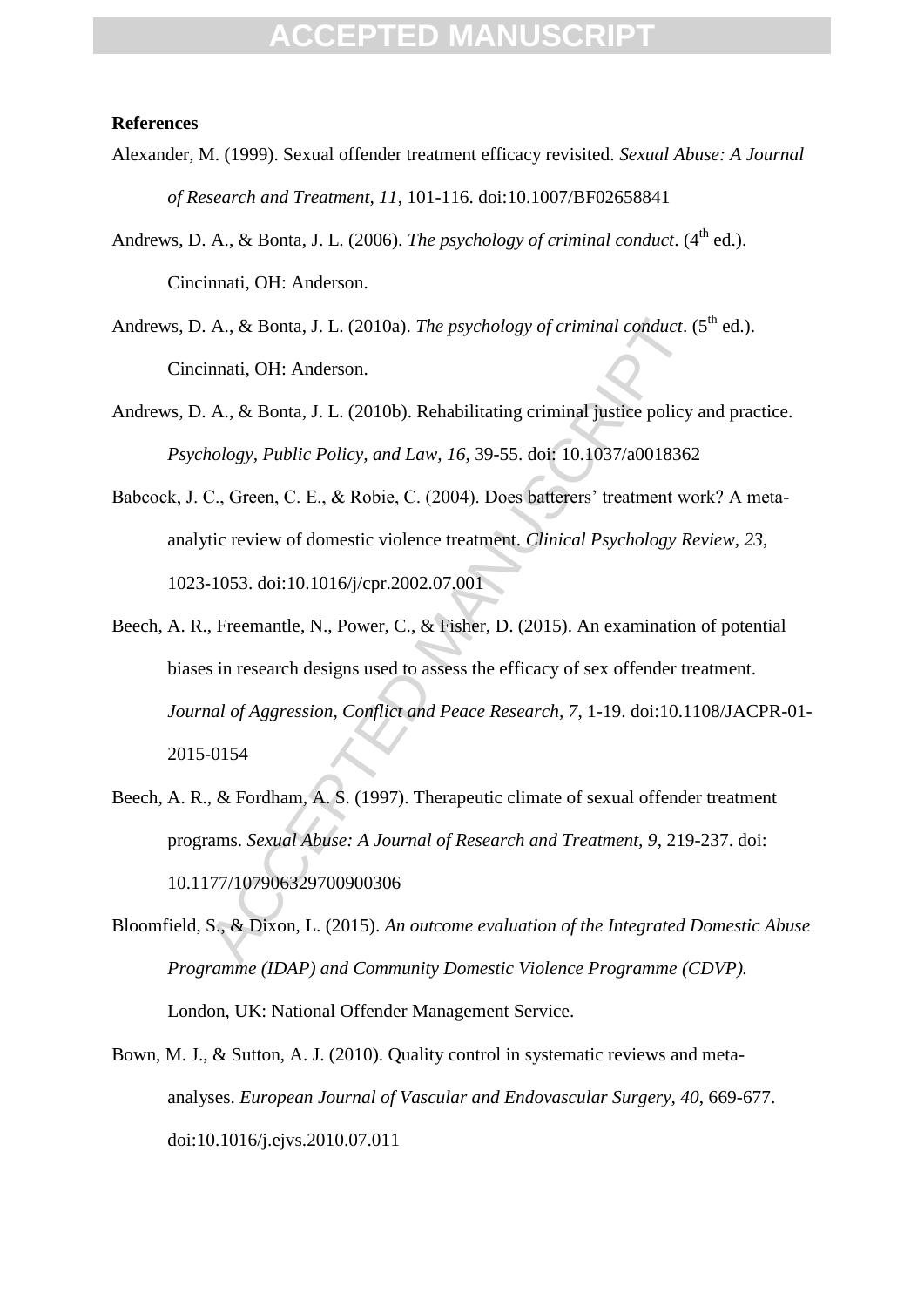#### **References**

- Alexander, M. (1999). Sexual offender treatment efficacy revisited. *Sexual Abuse: A Journal of Research and Treatment, 11*, 101-116. doi:10.1007/BF02658841
- Andrews, D. A., & Bonta, J. L. (2006). *The psychology of criminal conduct*. (4<sup>th</sup> ed.). Cincinnati, OH: Anderson.
- Andrews, D. A., & Bonta, J. L. (2010a). *The psychology of criminal conduct*.  $(5^{th}$  ed.). Cincinnati, OH: Anderson.
- Andrews, D. A., & Bonta, J. L. (2010b). Rehabilitating criminal justice policy and practice. *Psychology, Public Policy, and Law, 16*, 39-55. doi: 10.1037/a0018362
- Babcock, J. C., Green, C. E., & Robie, C. (2004). Does batterers' treatment work? A metaanalytic review of domestic violence treatment. *Clinical Psychology Review, 23*, 1023-1053. doi:10.1016/j/cpr.2002.07.001
- A., & Bonta, J. L. (2010a). *The psychology of criminal conduct.* (<br>
innati, OH: Anderson.<br>
A., & Bonta, J. L. (2010b). Rehabilitating criminal justice policy<br> *hology, Public Policy, and Law, 16, 39-55.* doi: 10.1037/a001 Beech, A. R., Freemantle, N., Power, C., & Fisher, D. (2015). An examination of potential biases in research designs used to assess the efficacy of sex offender treatment. *Journal of Aggression, Conflict and Peace Research, 7*, 1-19. doi:10.1108/JACPR-01- 2015-0154
- Beech, A. R., & Fordham, A. S. (1997). Therapeutic climate of sexual offender treatment programs. *Sexual Abuse: A Journal of Research and Treatment, 9*, 219-237. doi: 10.1177/107906329700900306
- Bloomfield, S., & Dixon, L. (2015). *An outcome evaluation of the Integrated Domestic Abuse Programme (IDAP) and Community Domestic Violence Programme (CDVP).* London, UK: National Offender Management Service.
- Bown, M. J., & Sutton, A. J. (2010). Quality control in systematic reviews and metaanalyses. *European Journal of Vascular and Endovascular Surgery, 40*, 669-677. doi:10.1016/j.ejvs.2010.07.011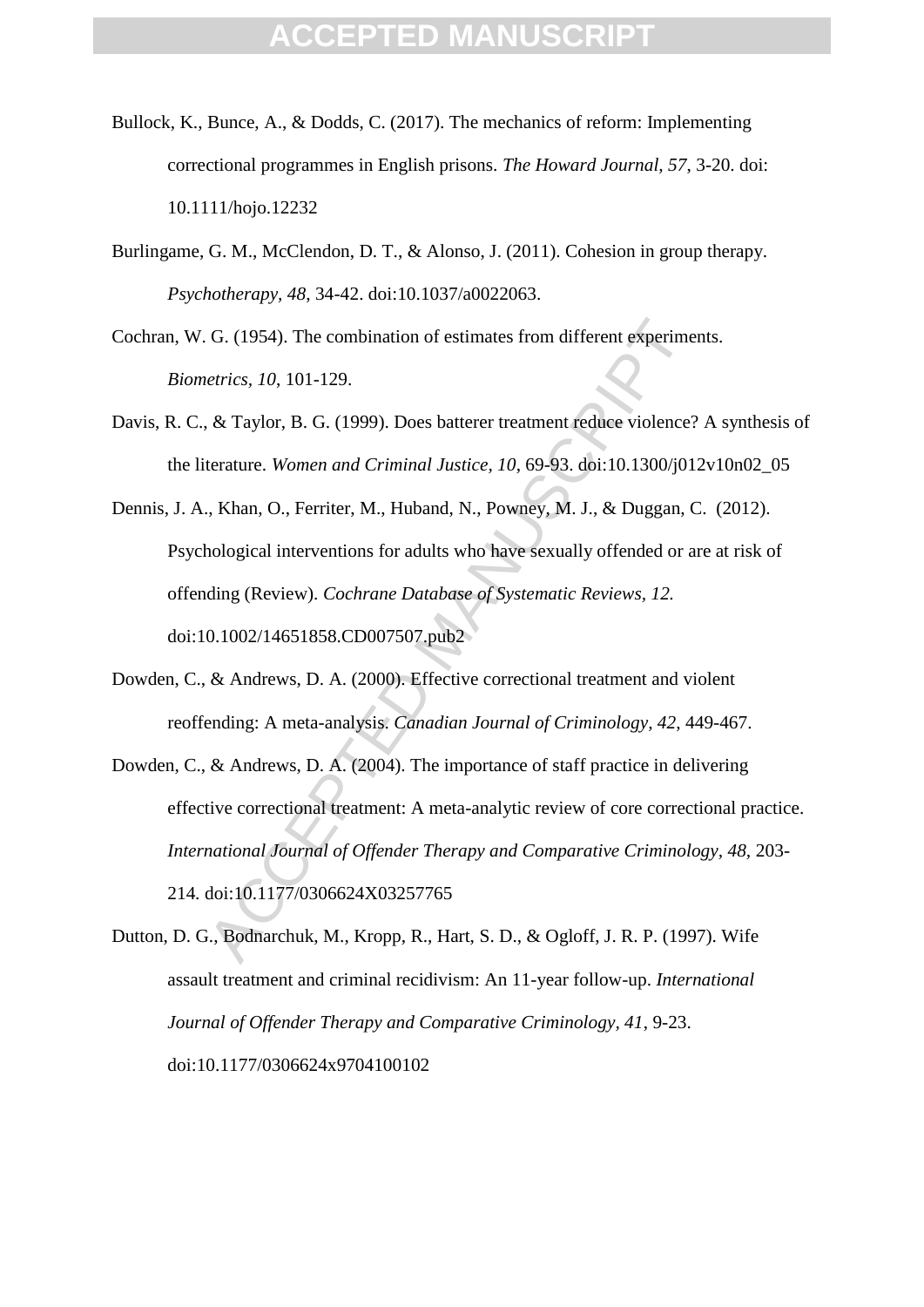- Bullock, K., Bunce, A., & Dodds, C. (2017). The mechanics of reform: Implementing correctional programmes in English prisons. *The Howard Journal, 57*, 3-20. doi: 10.1111/hojo.12232
- Burlingame, G. M., McClendon, D. T., & Alonso, J. (2011). Cohesion in group therapy. *Psychotherapy, 48*, 34-42. doi:10.1037/a0022063.
- Cochran, W. G. (1954). The combination of estimates from different experiments. *Biometrics, 10*, 101-129.
- Davis, R. C., & Taylor, B. G. (1999). Does batterer treatment reduce violence? A synthesis of the literature. *Women and Criminal Justice, 10*, 69-93. doi:10.1300/j012v10n02\_05
- Dennis, J. A., Khan, O., Ferriter, M., Huband, N., Powney, M. J., & Duggan, C. (2012). Psychological interventions for adults who have sexually offended or are at risk of offending (Review). *Cochrane Database of Systematic Reviews, 12.* doi:10.1002/14651858.CD007507.pub2
- Dowden, C., & Andrews, D. A. (2000). Effective correctional treatment and violent reoffending: A meta-analysis. *Canadian Journal of Criminology, 42*, 449-467.
- G. (1954). The combination of estimates from different experime<br> *etrics, 10*, 101-129.<br>
& Taylor, B. G. (1999). Does batterer treatment reduce violence?<br>
terature. Women and Criminal Justice, 10, 69-93. doi:10.1300/j01:<br> Dowden, C., & Andrews, D. A. (2004). The importance of staff practice in delivering effective correctional treatment: A meta-analytic review of core correctional practice. *International Journal of Offender Therapy and Comparative Criminology, 48,* 203- 214*.* doi:10.1177/0306624X03257765
- Dutton, D. G., Bodnarchuk, M., Kropp, R., Hart, S. D., & Ogloff, J. R. P. (1997). Wife assault treatment and criminal recidivism: An 11-year follow-up. *International Journal of Offender Therapy and Comparative Criminology, 41*, 9-23. doi:10.1177/0306624x9704100102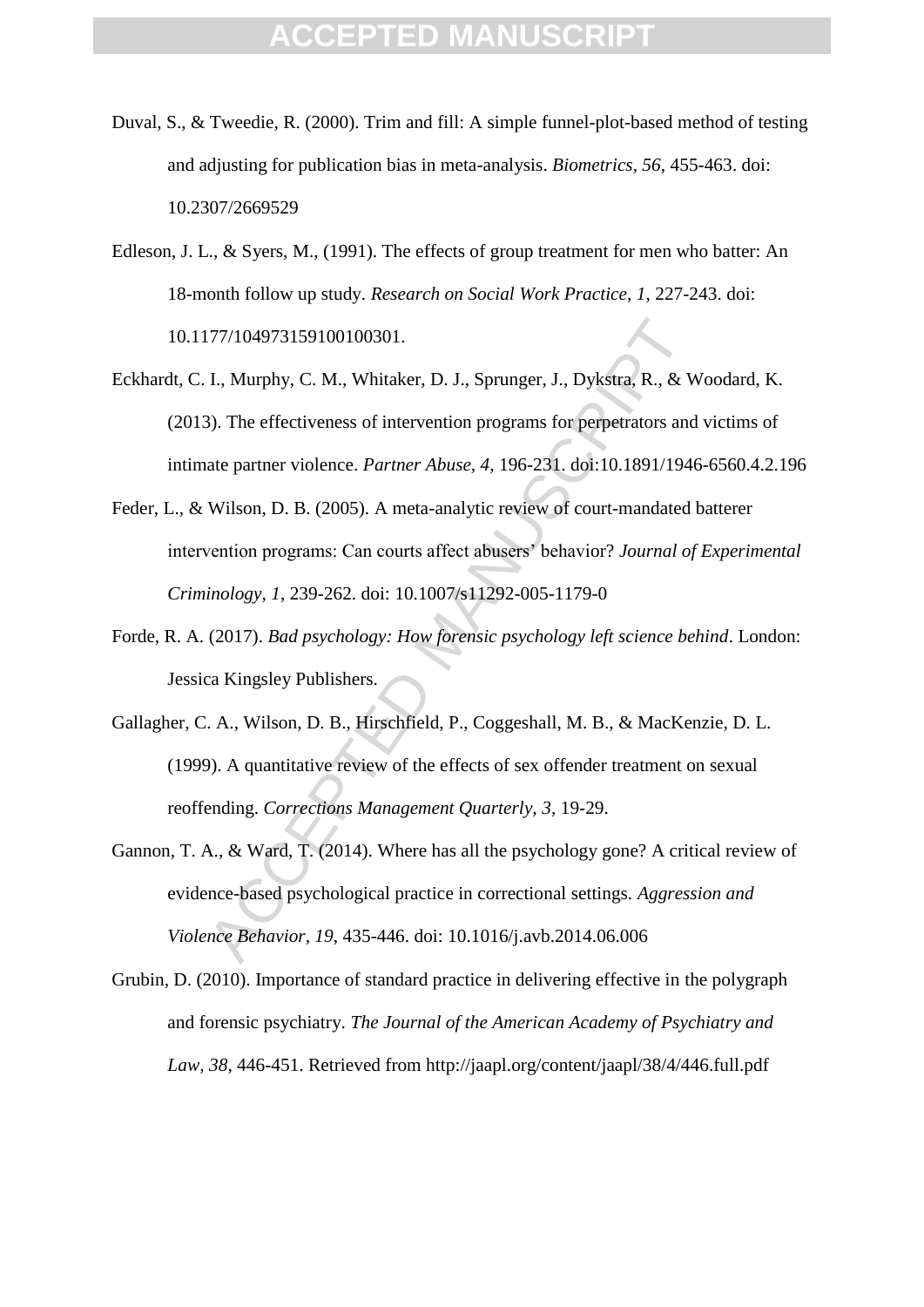- Duval, S., & Tweedie, R. (2000). Trim and fill: A simple funnel-plot-based method of testing and adjusting for publication bias in meta-analysis. *Biometrics, 56*, 455-463. doi: 10.2307/2669529
- Edleson, J. L., & Syers, M., (1991). The effects of group treatment for men who batter: An 18-month follow up study. *Research on Social Work Practice, 1*, 227-243. doi: 10.1177/104973159100100301.
- Eckhardt, C. I., Murphy, C. M., Whitaker, D. J., Sprunger, J., Dykstra, R., & Woodard, K. (2013). The effectiveness of intervention programs for perpetrators and victims of intimate partner violence. *Partner Abuse, 4*, 196-231. doi:10.1891/1946-6560.4.2.196
- Feder, L., & Wilson, D. B. (2005). A meta-analytic review of court-mandated batterer intervention programs: Can courts affect abusers' behavior? *Journal of Experimental Criminology, 1*, 239-262. doi: 10.1007/s11292-005-1179-0
- Forde, R. A. (2017). *Bad psychology: How forensic psychology left science behind*. London: Jessica Kingsley Publishers.
- Gallagher, C. A., Wilson, D. B., Hirschfield, P., Coggeshall, M. B., & MacKenzie, D. L. (1999). A quantitative review of the effects of sex offender treatment on sexual reoffending. *Corrections Management Quarterly, 3*, 19-29.
- 177/104973159100100301.<br>
1., Murphy, C. M., Whitaker, D. J., Sprunger, J., Dykstra, R., & W<br>
3). The effectiveness of intervention programs for perpetrators and<br>
atte partner violence. *Partner Abuse*, 4, 196-231. doi:10. Gannon, T. A., & Ward, T. (2014). Where has all the psychology gone? A critical review of evidence-based psychological practice in correctional settings. *Aggression and Violence Behavior, 19*, 435-446. doi: 10.1016/j.avb.2014.06.006
- Grubin, D. (2010). Importance of standard practice in delivering effective in the polygraph and forensic psychiatry. *The Journal of the American Academy of Psychiatry and Law, 38*, 446-451. Retrieved from http://jaapl.org/content/jaapl/38/4/446.full.pdf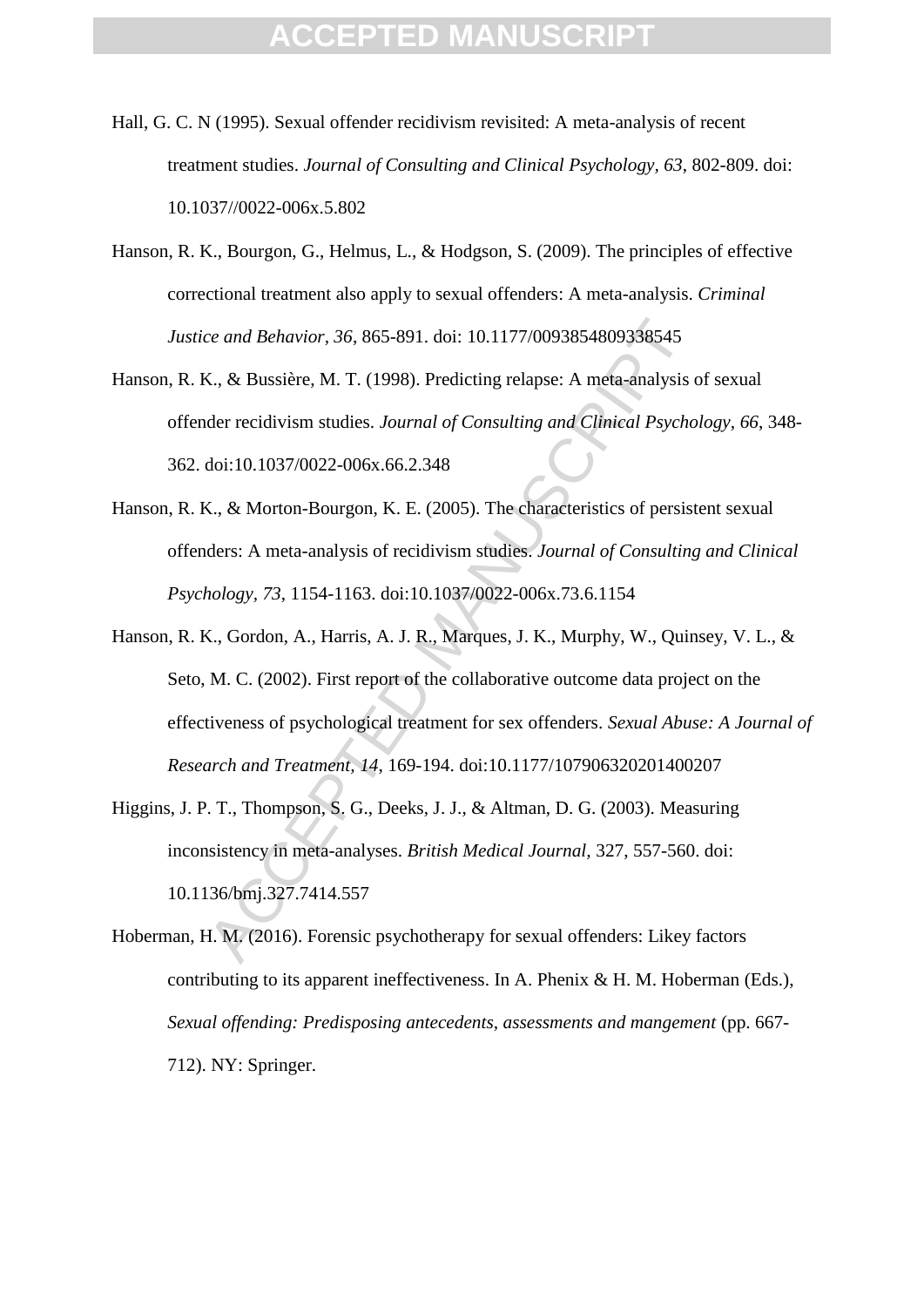- Hall, G. C. N (1995). Sexual offender recidivism revisited: A meta-analysis of recent treatment studies. *Journal of Consulting and Clinical Psychology, 63*, 802-809. doi: 10.1037//0022-006x.5.802
- Hanson, R. K., Bourgon, G., Helmus, L., & Hodgson, S. (2009). The principles of effective correctional treatment also apply to sexual offenders: A meta-analysis. *Criminal Justice and Behavior, 36*, 865-891. doi: 10.1177/0093854809338545
- Hanson, R. K., & Bussière, M. T. (1998). Predicting relapse: A meta-analysis of sexual offender recidivism studies. *Journal of Consulting and Clinical Psychology, 66*, 348- 362. doi:10.1037/0022-006x.66.2.348
- Hanson, R. K., & Morton-Bourgon, K. E. (2005). The characteristics of persistent sexual offenders: A meta-analysis of recidivism studies. *Journal of Consulting and Clinical Psychology, 73*, 1154-1163. doi:10.1037/0022-006x.73.6.1154
- ce and Behavior, 36, 865-891. doi: 10.1177/0093854809338545<br>
X., & Bussière, M. T. (1998). Predicting relapse: A meta-analysis of<br>
doi:10.1037/0022-006x.66.2.348<br>
C., & Morton-Bourgon, K. E. (2005). The characteristics of Hanson, R. K., Gordon, A., Harris, A. J. R., Marques, J. K., Murphy, W., Quinsey, V. L., & Seto, M. C. (2002). First report of the collaborative outcome data project on the effectiveness of psychological treatment for sex offenders. *Sexual Abuse: A Journal of Research and Treatment, 14*, 169-194. doi:10.1177/107906320201400207
- Higgins, J. P. T., Thompson, S. G., Deeks, J. J., & Altman, D. G. (2003). Measuring inconsistency in meta-analyses. *British Medical Journal,* 327, 557-560. doi: 10.1136/bmj.327.7414.557
- Hoberman, H. M. (2016). Forensic psychotherapy for sexual offenders: Likey factors contributing to its apparent ineffectiveness. In A. Phenix & H. M. Hoberman (Eds.), *Sexual offending: Predisposing antecedents, assessments and mangement* (pp. 667- 712). NY: Springer.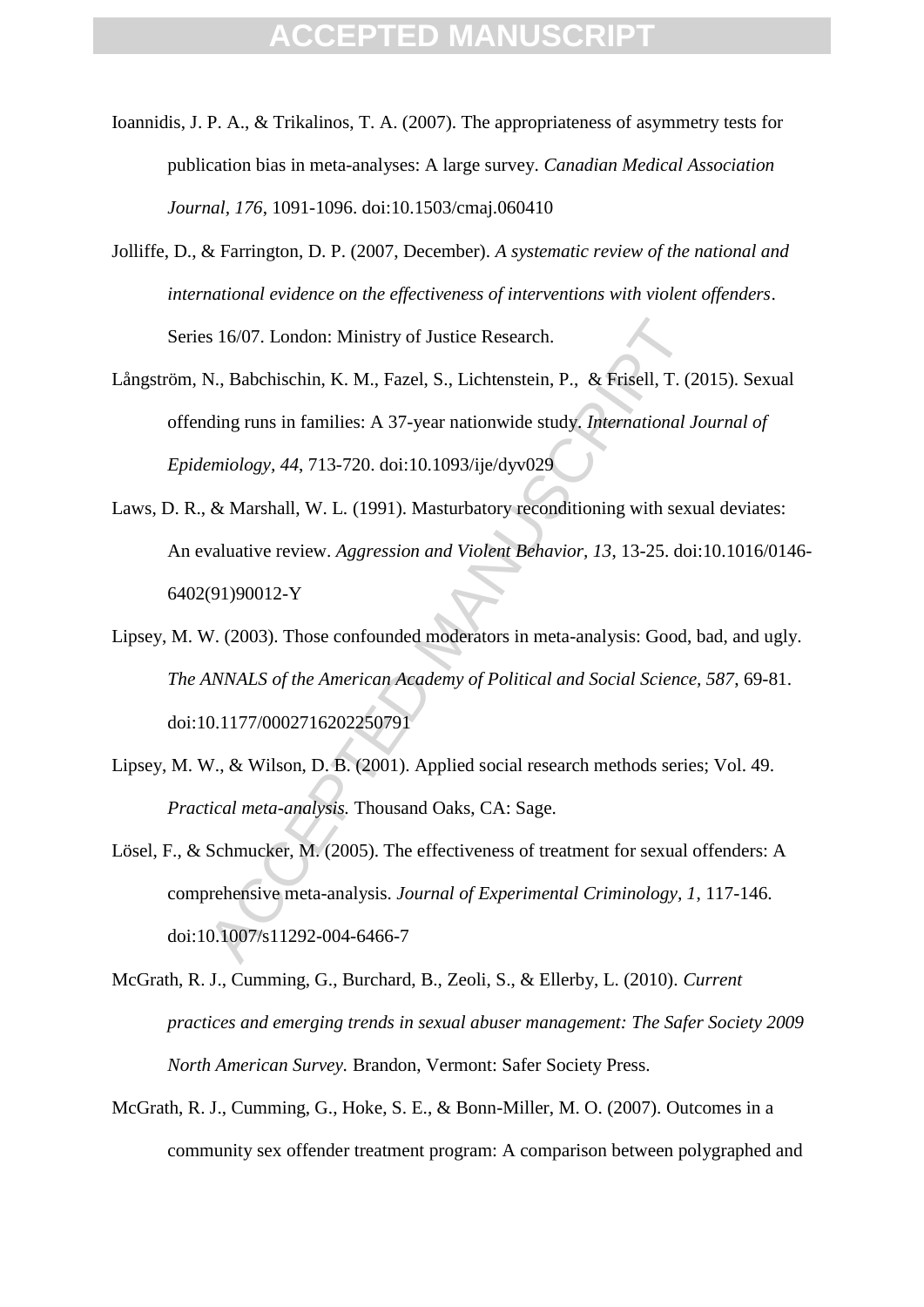- Ioannidis, J. P. A., & Trikalinos, T. A. (2007). The appropriateness of asymmetry tests for publication bias in meta-analyses: A large survey. *Canadian Medical Association Journal, 176*, 1091-1096. doi:10.1503/cmaj.060410
- Jolliffe, D., & Farrington, D. P. (2007, December). *A systematic review of the national and international evidence on the effectiveness of interventions with violent offenders*. Series 16/07. London: Ministry of Justice Research.
- s 16/07. London: Ministry of Justice Research.<br>
N., Babchischin, K. M., Fazel, S., Lichtenstein, P., & Frisell, T. (2<br>
dding runs in families: A 37-year nationwide study. International J<br>
emiology, 44, 713-720. doi:10.1093 Långström, N., Babchischin, K. M., Fazel, S., Lichtenstein, P., & Frisell, T. (2015). Sexual offending runs in families: A 37-year nationwide study. *International Journal of Epidemiology, 44*, 713-720. doi:10.1093/ije/dyv029
- Laws, D. R., & Marshall, W. L. (1991). Masturbatory reconditioning with sexual deviates: An evaluative review. *Aggression and Violent Behavior, 13*, 13-25. doi:10.1016/0146- 6402(91)90012-Y
- Lipsey, M. W. (2003). Those confounded moderators in meta-analysis: Good, bad, and ugly. *The ANNALS of the American Academy of Political and Social Science, 587*, 69-81. doi:10.1177/0002716202250791
- Lipsey, M. W., & Wilson, D. B. (2001). Applied social research methods series; Vol. 49. *Practical meta-analysis.* Thousand Oaks, CA: Sage.
- Lösel, F., & Schmucker, M. (2005). The effectiveness of treatment for sexual offenders: A comprehensive meta-analysis. *Journal of Experimental Criminology, 1*, 117-146. doi:10.1007/s11292-004-6466-7
- McGrath, R. J., Cumming, G., Burchard, B., Zeoli, S., & Ellerby, L. (2010). *Current practices and emerging trends in sexual abuser management: The Safer Society 2009 North American Survey.* Brandon, Vermont: Safer Society Press.
- McGrath, R. J., Cumming, G., Hoke, S. E., & Bonn-Miller, M. O. (2007). Outcomes in a community sex offender treatment program: A comparison between polygraphed and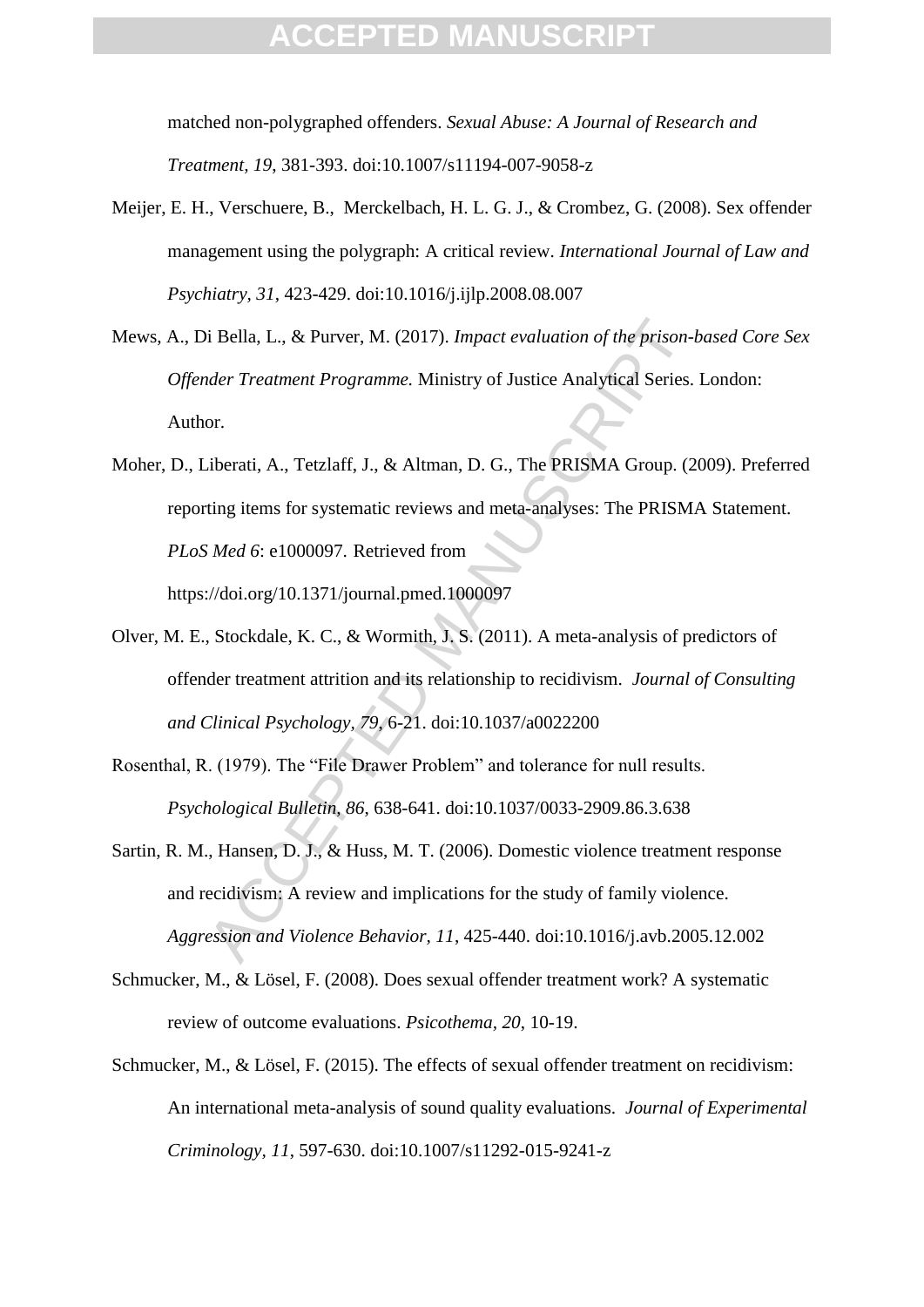matched non-polygraphed offenders. *Sexual Abuse: A Journal of Research and Treatment, 19*, 381-393. doi:10.1007/s11194-007-9058-z

- Meijer, E. H., Verschuere, B., Merckelbach, H. L. G. J., & Crombez, G. (2008). Sex offender management using the polygraph: A critical review. *International Journal of Law and Psychiatry, 31*, 423-429. doi:10.1016/j.ijlp.2008.08.007
- Mews, A., Di Bella, L., & Purver, M. (2017). *Impact evaluation of the prison-based Core Sex Offender Treatment Programme.* Ministry of Justice Analytical Series. London: Author.
- i Bella, L., & Purver, M. (2017). *Impact evaluation of the prison-<br>
deer Treatment Programme*. Ministry of Justice Analytical Series.<br>
or.<br>
iberati, A., Tetzlaff, J., & Altman, D. G., The PRISMA Group. (2<br>
ting items for Moher, D., Liberati, A., Tetzlaff, J., & Altman, D. G., The PRISMA Group. (2009). Preferred reporting items for systematic reviews and meta-analyses: The PRISMA Statement. *PLoS Med 6*: e1000097. Retrieved from https://doi.org/10.1371/journal.pmed.1000097
- Olver, M. E., Stockdale, K. C., & Wormith, J. S. (2011). A meta-analysis of predictors of offender treatment attrition and its relationship to recidivism. *Journal of Consulting and Clinical Psychology, 79*, 6-21. doi:10.1037/a0022200
- Rosenthal, R. (1979). The "File Drawer Problem" and tolerance for null results. *Psychological Bulletin, 86*, 638-641. doi:10.1037/0033-2909.86.3.638
- Sartin, R. M., Hansen, D. J., & Huss, M. T. (2006). Domestic violence treatment response and recidivism: A review and implications for the study of family violence. *Aggression and Violence Behavior, 11*, 425-440. doi:10.1016/j.avb.2005.12.002
- Schmucker, M., & Lösel, F. (2008). Does sexual offender treatment work? A systematic review of outcome evaluations. *Psicothema, 20*, 10-19.
- Schmucker, M., & Lösel, F. (2015). The effects of sexual offender treatment on recidivism: An international meta-analysis of sound quality evaluations. *Journal of Experimental Criminology, 11*, 597-630. doi:10.1007/s11292-015-9241-z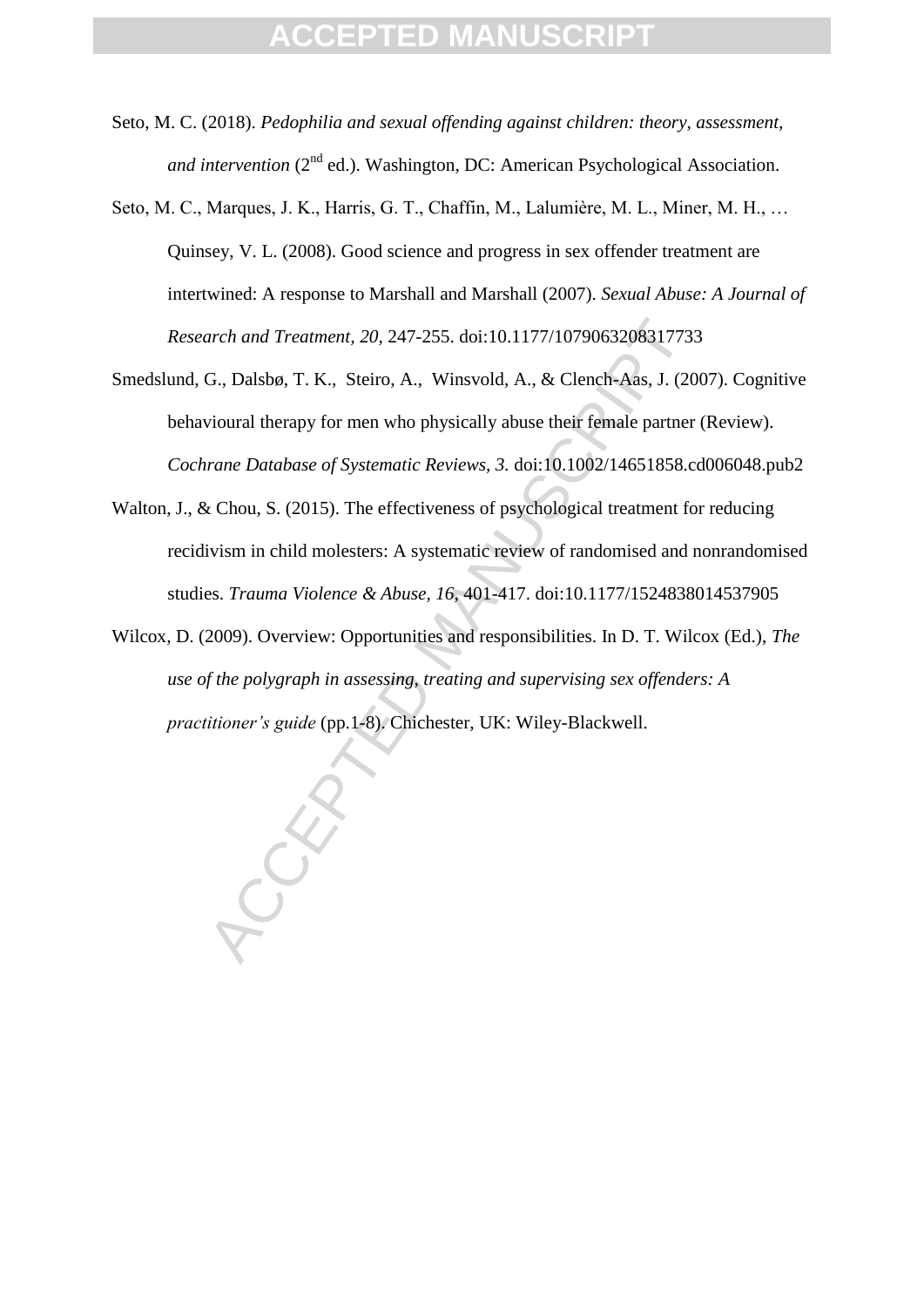- Seto, M. C. (2018). *Pedophilia and sexual offending against children: theory, assessment, and intervention* (2<sup>nd</sup> ed.). Washington, DC: American Psychological Association.
- Seto, M. C., Marques, J. K., Harris, G. T., Chaffin, M., Lalumière, M. L., Miner, M. H., … Quinsey, V. L. (2008). Good science and progress in sex offender treatment are intertwined: A response to Marshall and Marshall (2007). *Sexual Abuse: A Journal of Research and Treatment, 20*, 247-255. doi:10.1177/1079063208317733
- arch and Treatment, 20, 247-255. doi:10.1177/107906320831773.<br>G., Dalsbø, T. K., Steiro, A., Winsvold, A., & Clench-Aas, J. (20<br>vioural therapy for men who physically abuse their female partner<br>rane Database of Systematic Smedslund, G., Dalsbø, T. K., Steiro, A., Winsvold, A., & Clench-Aas, J. (2007). Cognitive behavioural therapy for men who physically abuse their female partner (Review). *Cochrane Database of Systematic Reviews, 3.* doi:10.1002/14651858.cd006048.pub2
- Walton, J., & Chou, S. (2015). The effectiveness of psychological treatment for reducing recidivism in child molesters: A systematic review of randomised and nonrandomised studies. *Trauma Violence & Abuse, 16,* 401-417. doi:10.1177/1524838014537905
- Wilcox, D. (2009). Overview: Opportunities and responsibilities. In D. T. Wilcox (Ed.), *The use of the polygraph in assessing, treating and supervising sex offenders: A practitioner's guide* (pp.1-8). Chichester, UK: Wiley-Blackwell.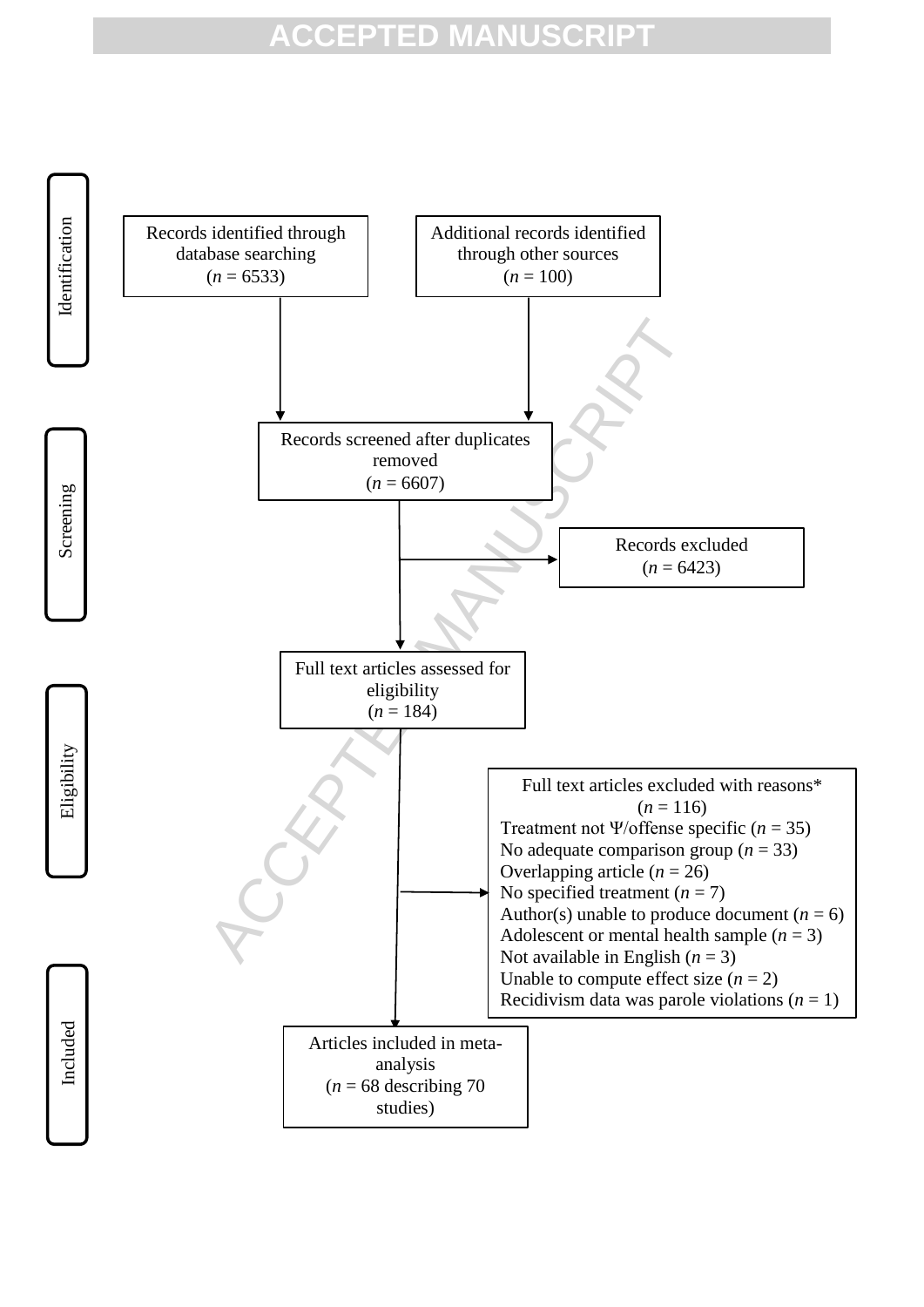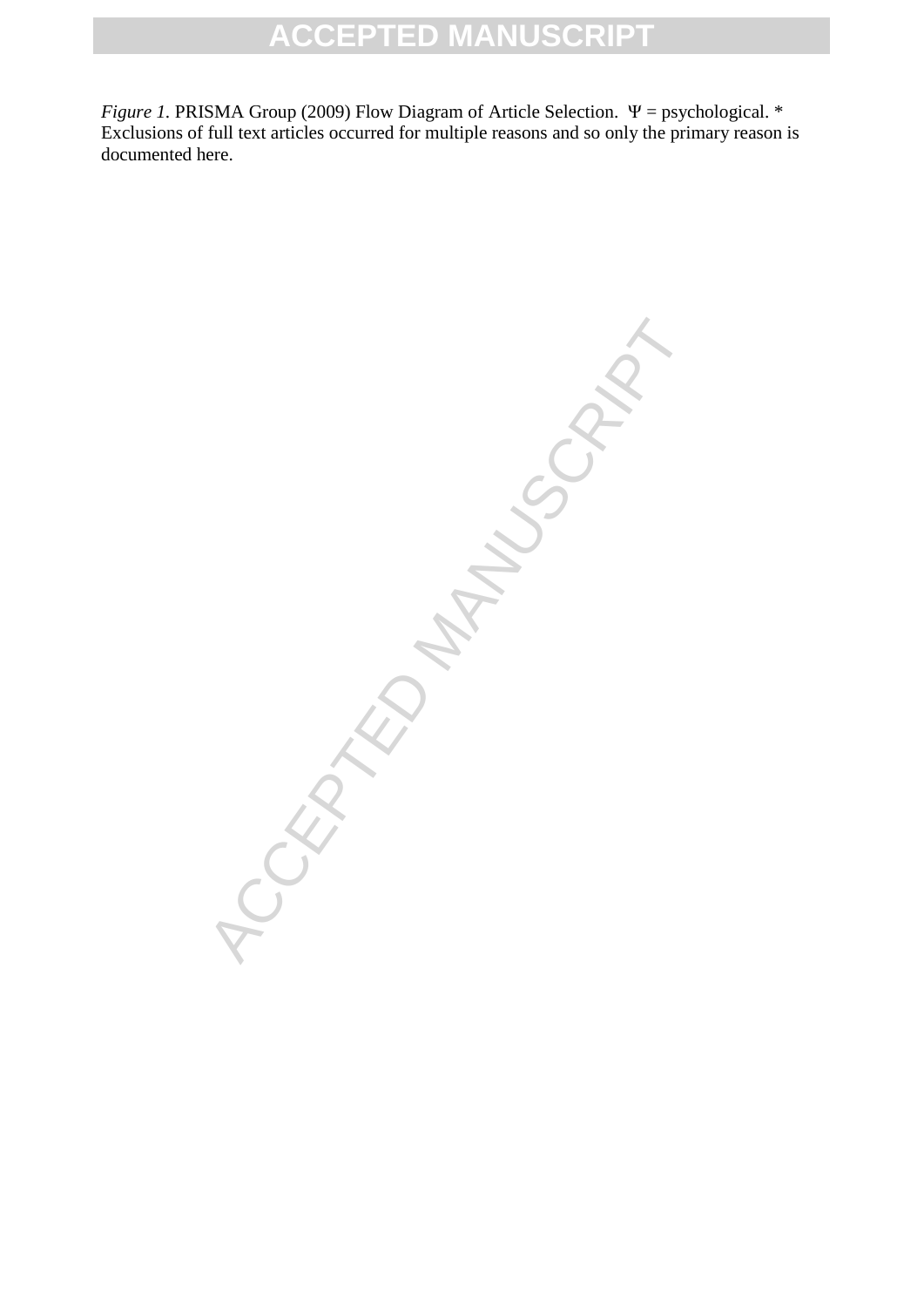*Figure 1.* PRISMA Group (2009) Flow Diagram of Article Selection. Ψ = psychological. \* Exclusions of full text articles occurred for multiple reasons and so only the primary reason is documented here.

CRATED MANUSCRIPT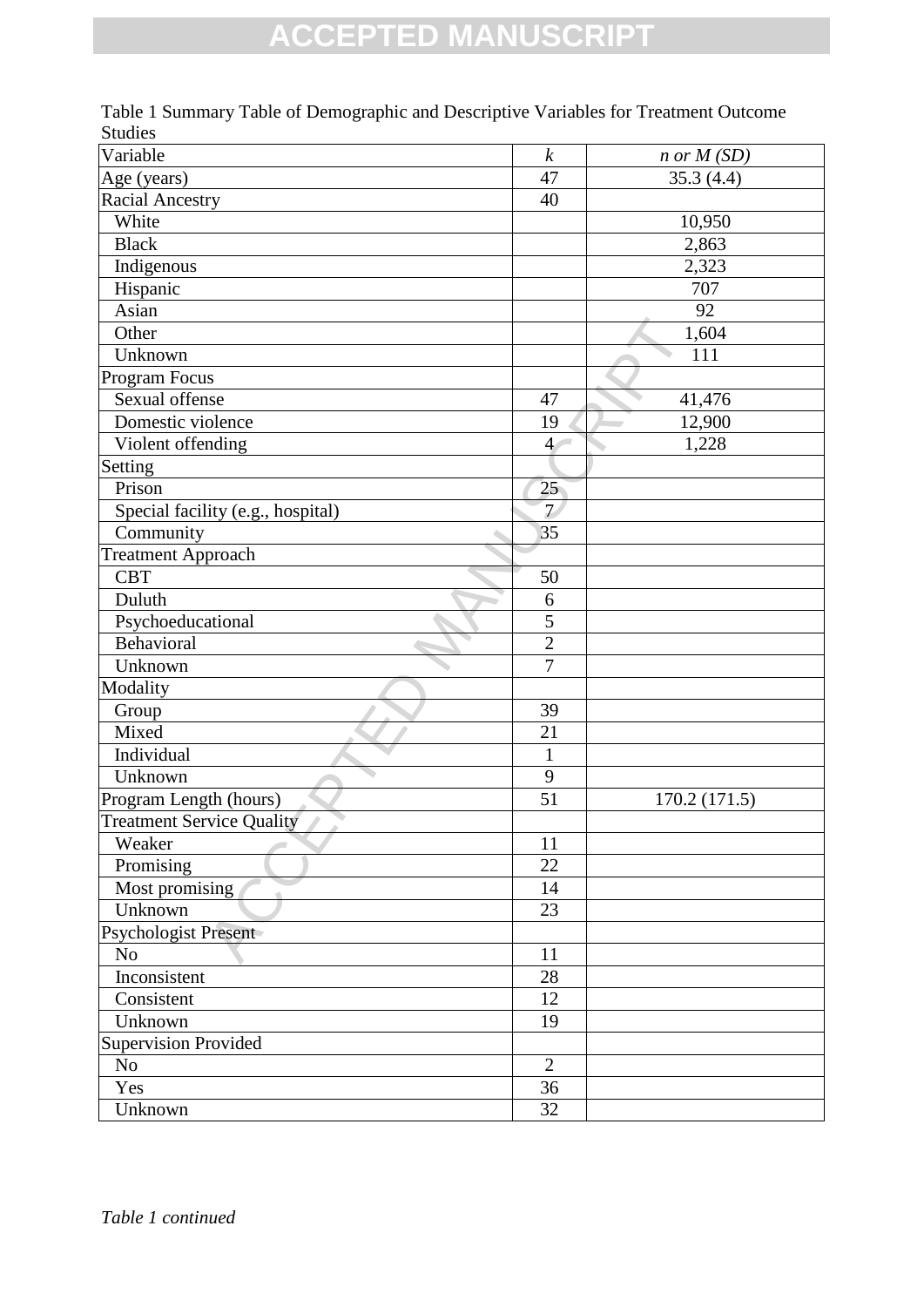| Variable                          | $\boldsymbol{k}$ | $n$ or $M(SD)$ |
|-----------------------------------|------------------|----------------|
| Age (years)                       | 47               | 35.3(4.4)      |
| <b>Racial Ancestry</b>            | 40               |                |
| White                             |                  | 10,950         |
| <b>Black</b>                      |                  | 2,863          |
| Indigenous                        |                  | 2,323          |
| Hispanic                          |                  | 707            |
| Asian                             |                  | 92             |
| Other                             |                  | 1,604          |
| Unknown                           |                  | 111            |
| Program Focus                     |                  |                |
| Sexual offense                    | 47               | 41,476         |
| Domestic violence                 | 19               | 12,900         |
| Violent offending                 | $\overline{4}$   | 1,228          |
| Setting                           |                  |                |
| Prison                            | 25 <sub>1</sub>  |                |
| Special facility (e.g., hospital) | $\overline{7}$   |                |
| Community                         | 35               |                |
| <b>Treatment Approach</b>         |                  |                |
| <b>CBT</b>                        | 50               |                |
| Duluth                            | 6                |                |
| Psychoeducational                 | 5                |                |
| Behavioral                        | $\overline{c}$   |                |
| Unknown                           | $\overline{7}$   |                |
| Modality                          |                  |                |
| Group                             | 39               |                |
| Mixed                             | 21               |                |
| Individual                        | $\mathbf{1}$     |                |
| Unknown                           | 9                |                |
| Program Length (hours)            | 51               | 170.2 (171.5)  |
| <b>Treatment Service Quality</b>  |                  |                |
| Weaker                            | 11               |                |
| Promising                         | 22               |                |
| Most promising                    | 14               |                |
| Unknown                           | 23               |                |
| Psychologist Present              |                  |                |
| No                                | 11               |                |
| Inconsistent                      | 28               |                |
| Consistent                        | 12               |                |
| Unknown                           | 19               |                |
| <b>Supervision Provided</b>       |                  |                |
| N <sub>o</sub>                    | $\overline{2}$   |                |
| Yes                               | 36               |                |
| Unknown                           | 32               |                |
|                                   |                  |                |

Table 1 Summary Table of Demographic and Descriptive Variables for Treatment Outcome Studies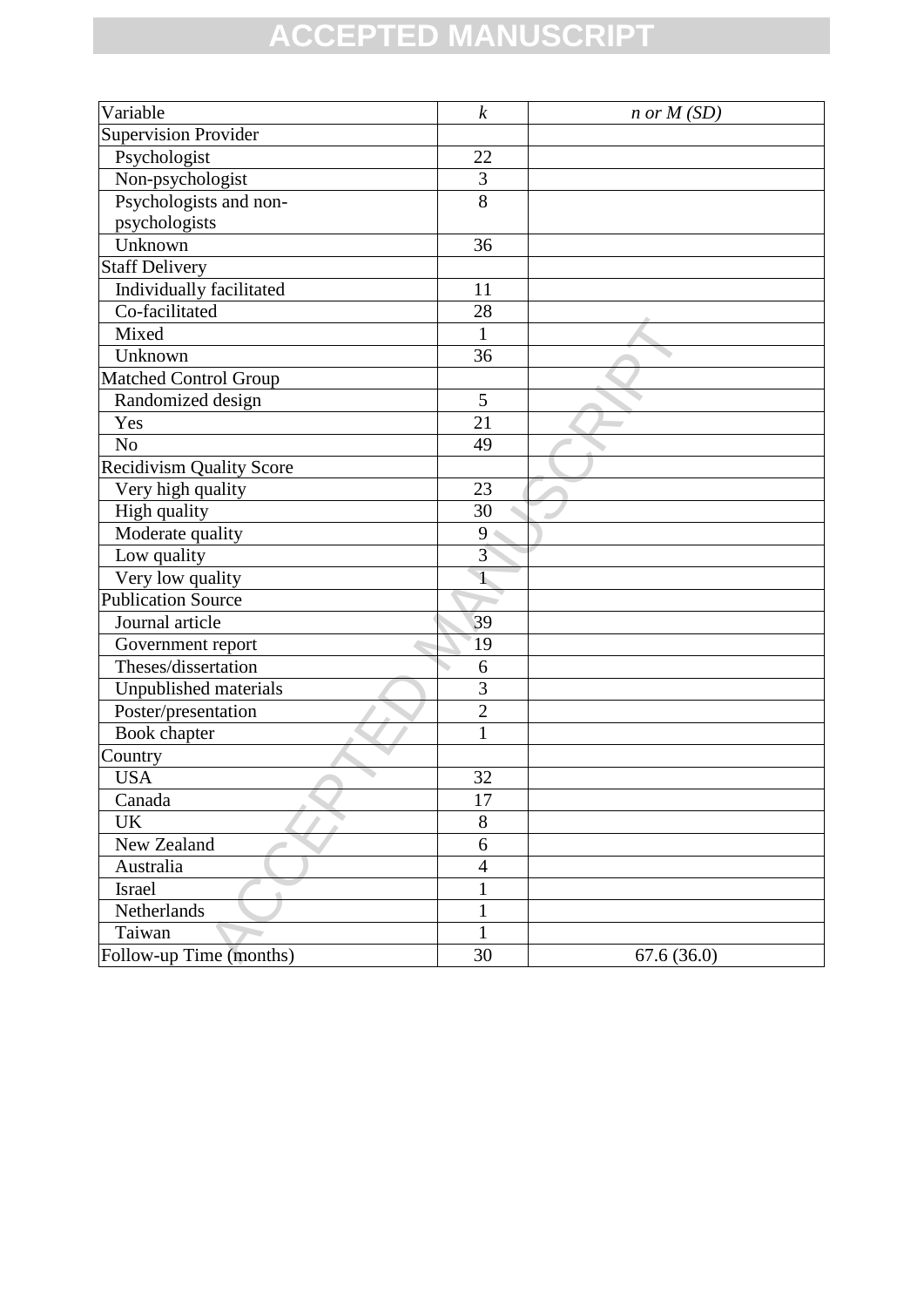| Variable                        | $\boldsymbol{k}$ | $n \text{ or } M(SD)$ |
|---------------------------------|------------------|-----------------------|
| <b>Supervision Provider</b>     |                  |                       |
| Psychologist                    | 22               |                       |
| Non-psychologist                | 3                |                       |
| Psychologists and non-          | 8                |                       |
| psychologists                   |                  |                       |
| Unknown                         | 36               |                       |
| <b>Staff Delivery</b>           |                  |                       |
| Individually facilitated        | 11               |                       |
| Co-facilitated                  | 28               |                       |
| Mixed                           | 1                |                       |
| Unknown                         | 36               |                       |
| <b>Matched Control Group</b>    |                  |                       |
| Randomized design               | 5                |                       |
| Yes                             | 21               |                       |
| N <sub>o</sub>                  | 49               |                       |
| <b>Recidivism Quality Score</b> |                  |                       |
| Very high quality               | 23               |                       |
| High quality                    | $\overline{30}$  |                       |
| Moderate quality                | 9                |                       |
| Low quality                     | $\overline{3}$   |                       |
| Very low quality                | $\mathbf{I}$     |                       |
| <b>Publication Source</b>       |                  |                       |
| Journal article                 | 39               |                       |
| Government report               | 19               |                       |
| Theses/dissertation             | 6                |                       |
| Unpublished materials           | 3                |                       |
| Poster/presentation             | $\overline{2}$   |                       |
| <b>Book chapter</b>             | $\mathbf{1}$     |                       |
| Country                         |                  |                       |
| <b>USA</b>                      | 32               |                       |
| Canada                          | 17               |                       |
| <b>UK</b>                       | 8                |                       |
| New Zealand                     | 6                |                       |
| Australia                       | $\overline{4}$   |                       |
| Israel                          | $\mathbf{1}$     |                       |
| Netherlands                     | $\mathbf{1}$     |                       |
| Taiwan                          | 1                |                       |
| Follow-up Time (months)         | 30               | 67.6(36.0)            |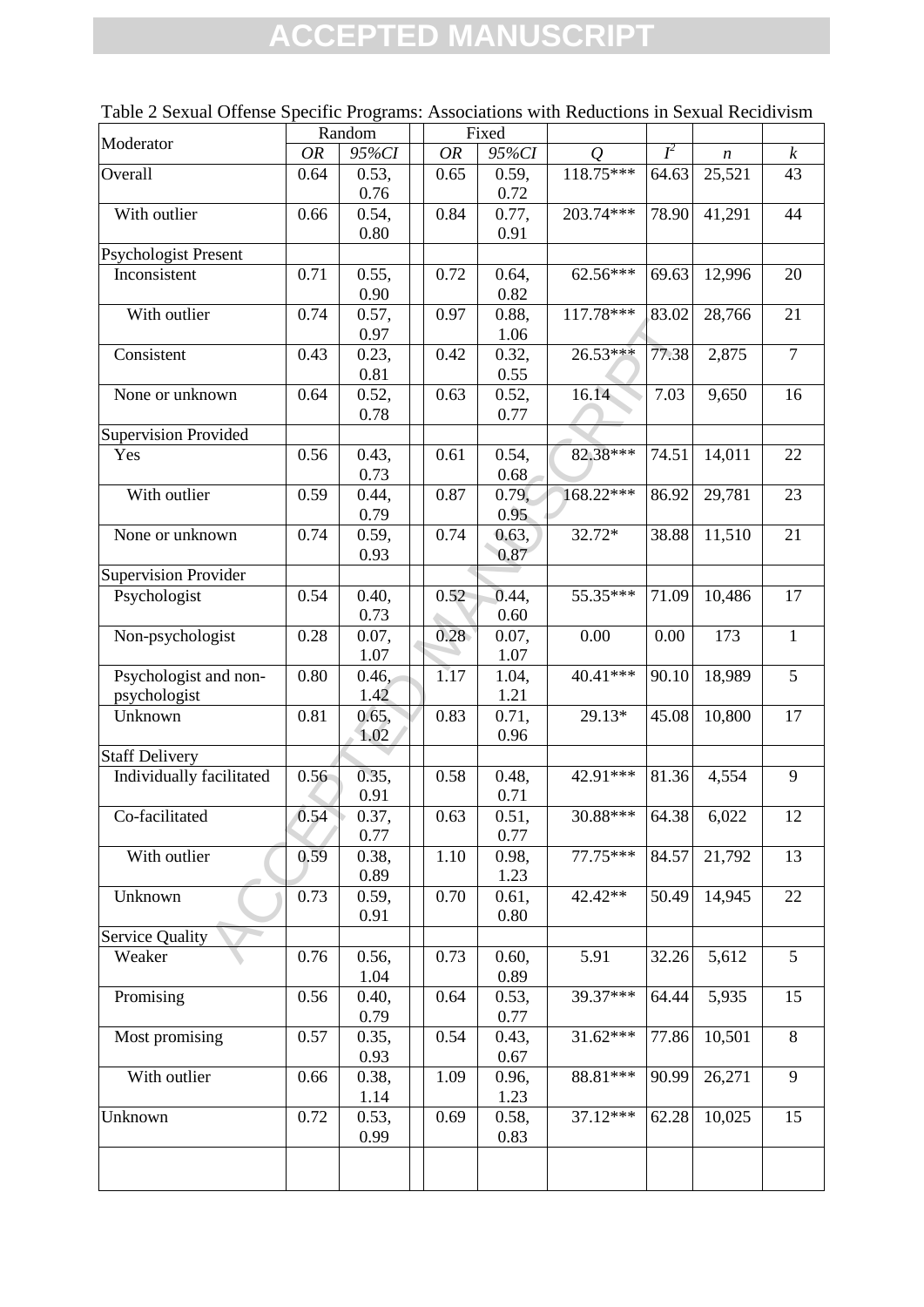|                                       |           | Random        |           | Fixed         |            |       |                  |                  |
|---------------------------------------|-----------|---------------|-----------|---------------|------------|-------|------------------|------------------|
| Moderator                             | <b>OR</b> | 95%CI         | <b>OR</b> | 95%CI         | Q          | $I^2$ | $\boldsymbol{n}$ | $\boldsymbol{k}$ |
| Overall                               | 0.64      | 0.53,<br>0.76 | 0.65      | 0.59,<br>0.72 | 118.75***  | 64.63 | 25,521           | 43               |
| With outlier                          | 0.66      | 0.54,<br>0.80 | 0.84      | 0.77,<br>0.91 | 203.74***  | 78.90 | 41,291           | 44               |
| <b>Psychologist Present</b>           |           |               |           |               |            |       |                  |                  |
| Inconsistent                          | 0.71      | 0.55,<br>0.90 | 0.72      | 0.64,<br>0.82 | 62.56***   | 69.63 | 12,996           | 20               |
| With outlier                          | 0.74      | 0.57,<br>0.97 | 0.97      | 0.88,<br>1.06 | 117.78***  | 83.02 | 28,766           | 21               |
| Consistent                            | 0.43      | 0.23,<br>0.81 | 0.42      | 0.32,<br>0.55 | 26.53***   | 77.38 | 2,875            | $\overline{7}$   |
| None or unknown                       | 0.64      | 0.52,<br>0.78 | 0.63      | 0.52,<br>0.77 | 16.14      | 7.03  | 9,650            | 16               |
| <b>Supervision Provided</b>           |           |               |           |               |            |       |                  |                  |
| Yes                                   | 0.56      | 0.43,<br>0.73 | 0.61      | 0.54,<br>0.68 | 82.38***   | 74.51 | 14,011           | 22               |
| With outlier                          | 0.59      | 0.44,<br>0.79 | 0.87      | 0.79,<br>0.95 | 168.22***  | 86.92 | 29,781           | 23               |
| None or unknown                       | 0.74      | 0.59,<br>0.93 | 0.74      | 0.63,<br>0.87 | 32.72*     | 38.88 | 11,510           | 21               |
| <b>Supervision Provider</b>           |           |               |           |               |            |       |                  |                  |
| Psychologist                          | 0.54      | 0.40,<br>0.73 | 0.52      | 0.44,<br>0.60 | 55.35***   | 71.09 | 10,486           | 17               |
| Non-psychologist                      | 0.28      | 0.07,<br>1.07 | 0.28      | 0.07,<br>1.07 | 0.00       | 0.00  | 173              | $\mathbf{1}$     |
| Psychologist and non-<br>psychologist | 0.80      | 0.46,<br>1.42 | 1.17      | 1.04,<br>1.21 | 40.41***   | 90.10 | 18,989           | $\overline{5}$   |
| Unknown                               | 0.81      | 0.65,<br>1.02 | 0.83      | 0.71,<br>0.96 | 29.13*     | 45.08 | 10,800           | 17               |
| <b>Staff Delivery</b>                 |           |               |           |               |            |       |                  |                  |
| Individually facilitated              | 0.56      | 0.35,<br>0.91 | 0.58      | 0.48,<br>0.71 | 42.91***   | 81.36 | 4,554            | 9                |
| Co-facilitated                        | 0.54      | 0.37,<br>0.77 | 0.63      | 0.51,<br>0.77 | 30.88***   | 64.38 | 6,022            | 12               |
| With outlier                          | 0.59      | 0.38,<br>0.89 | 1.10      | 0.98,<br>1.23 | 77.75***   | 84.57 | 21,792           | 13               |
| Unknown                               | 0.73      | 0.59,<br>0.91 | 0.70      | 0.61,<br>0.80 | 42.42**    | 50.49 | 14,945           | 22               |
| <b>Service Quality</b>                |           |               |           |               |            |       |                  |                  |
| Weaker                                | 0.76      | 0.56,<br>1.04 | 0.73      | 0.60,<br>0.89 | 5.91       | 32.26 | 5,612            | 5                |
| Promising                             | 0.56      | 0.40,<br>0.79 | 0.64      | 0.53,<br>0.77 | 39.37***   | 64.44 | 5,935            | 15               |
| Most promising                        | 0.57      | 0.35,<br>0.93 | 0.54      | 0.43,<br>0.67 | $31.62***$ | 77.86 | 10,501           | $\overline{8}$   |
| With outlier                          | 0.66      | 0.38,<br>1.14 | 1.09      | 0.96,<br>1.23 | 88.81***   | 90.99 | 26,271           | 9                |
| Unknown                               | 0.72      | 0.53,<br>0.99 | 0.69      | 0.58,<br>0.83 | 37.12***   | 62.28 | 10,025           | 15               |
|                                       |           |               |           |               |            |       |                  |                  |

Table 2 Sexual Offense Specific Programs: Associations with Reductions in Sexual Recidivism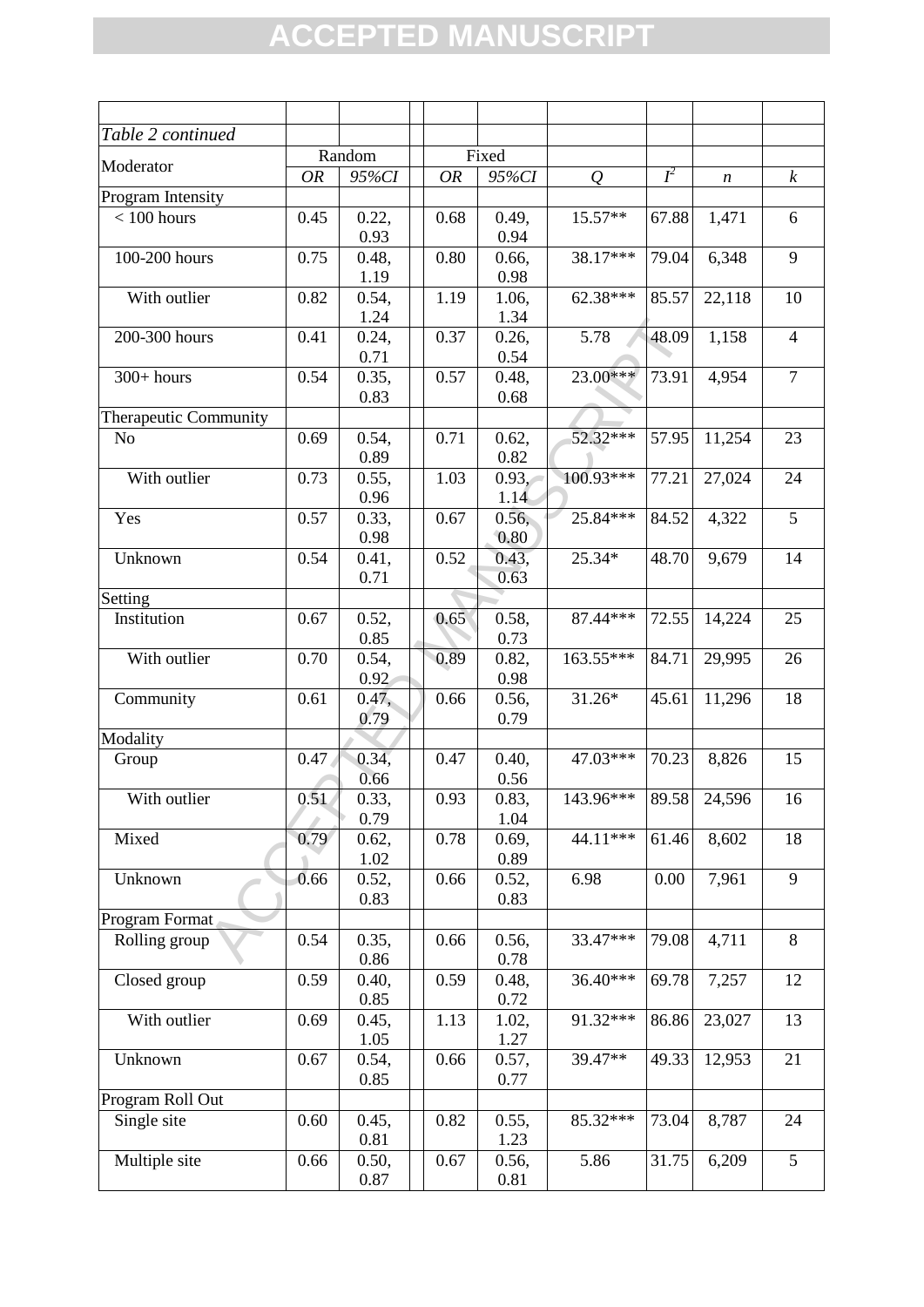| Table 2 continued            |           |               |           |               |                |       |                  |                  |
|------------------------------|-----------|---------------|-----------|---------------|----------------|-------|------------------|------------------|
|                              |           | Random        |           | Fixed         |                |       |                  |                  |
| Moderator                    | <b>OR</b> | 95%CI         | <b>OR</b> | 95%CI         | $\overline{Q}$ | $I^2$ | $\boldsymbol{n}$ | $\boldsymbol{k}$ |
| Program Intensity            |           |               |           |               |                |       |                  |                  |
| $< 100$ hours                | 0.45      | 0.22,         | 0.68      | 0.49,         | 15.57**        | 67.88 | 1,471            | 6                |
|                              |           | 0.93          |           | 0.94          |                |       |                  |                  |
| 100-200 hours                | 0.75      | 0.48,         | 0.80      | 0.66,         | 38.17***       | 79.04 | 6,348            | 9                |
|                              |           | 1.19          |           | 0.98          |                |       |                  |                  |
| With outlier                 | 0.82      | 0.54,         | 1.19      | 1.06,         | 62.38***       | 85.57 | 22,118           | 10               |
|                              |           | 1.24          |           | 1.34          |                |       |                  |                  |
| 200-300 hours                | 0.41      | 0.24,         | 0.37      | 0.26,         | 5.78           | 48.09 | 1,158            | $\overline{4}$   |
|                              |           | 0.71          |           | 0.54          |                |       |                  |                  |
| $300+ hours$                 | 0.54      | 0.35,         | 0.57      | 0.48,         | 23.00***       | 73.91 | 4,954            | $\overline{7}$   |
|                              |           | 0.83          |           | 0.68          |                |       |                  |                  |
| <b>Therapeutic Community</b> |           |               |           |               |                |       |                  |                  |
| N <sub>o</sub>               | 0.69      | 0.54,<br>0.89 | 0.71      | 0.62,<br>0.82 | 52.32***       | 57.95 | 11,254           | 23               |
| With outlier                 | 0.73      | 0.55,         | 1.03      | 0.93,         | $100.93***$    | 77.21 | 27,024           | 24               |
|                              |           | 0.96          |           | 1.14          |                |       |                  |                  |
| Yes                          | 0.57      | 0.33,         | 0.67      | 0.56,         | 25.84***       | 84.52 | 4,322            | $\overline{5}$   |
|                              |           | 0.98          |           | 0.80          |                |       |                  |                  |
| Unknown                      | 0.54      | 0.41,         | 0.52      | 0.43,         | 25.34*         | 48.70 | 9,679            | 14               |
|                              |           | 0.71          |           | 0.63          |                |       |                  |                  |
| Setting                      |           |               |           |               |                |       |                  |                  |
| Institution                  | 0.67      | 0.52,         | 0.65      | 0.58,         | 87.44***       | 72.55 | 14,224           | 25               |
|                              |           | 0.85          |           | 0.73          |                |       |                  |                  |
| With outlier                 | 0.70      | 0.54,         | 0.89      | 0.82,         | 163.55***      | 84.71 | 29,995           | 26               |
|                              |           | 0.92          |           | 0.98          |                |       |                  |                  |
| Community                    | 0.61      | 0.47,         | 0.66      | 0.56,         | $31.26*$       | 45.61 | 11,296           | 18               |
|                              |           | 0.79          |           | 0.79          |                |       |                  |                  |
| Modality                     |           |               |           |               |                |       |                  |                  |
| Group                        | 0.47      | 0.34,         | 0.47      | 0.40,         | 47.03***       | 70.23 | 8,826            | 15               |
|                              |           | 0.66          |           | 0.56          |                |       |                  |                  |
| With outlier                 | 0.51      | 0.33,         | 0.93      | 0.83,         | $143.96***$    |       | 89.58 24,596     | 16               |
|                              |           | 0.79          |           | 1.04          |                |       |                  |                  |
| Mixed                        | 0.79      | 0.62,         | 0.78      | 0.69,         | 44.11***       | 61.46 | 8,602            | 18               |
|                              |           | 1.02          |           | 0.89          |                |       |                  | 9                |
| Unknown                      | 0.66      | 0.52,<br>0.83 | 0.66      | 0.52,<br>0.83 | 6.98           | 0.00  | 7,961            |                  |
| Program Format               |           |               |           |               |                |       |                  |                  |
| Rolling group                | 0.54      | 0.35,         | 0.66      | 0.56,         | 33.47***       | 79.08 | 4,711            | 8                |
|                              |           | 0.86          |           | 0.78          |                |       |                  |                  |
| Closed group                 | 0.59      | 0.40,         | 0.59      | 0.48,         | 36.40***       | 69.78 | 7,257            | 12               |
|                              |           | 0.85          |           | 0.72          |                |       |                  |                  |
| With outlier                 | 0.69      | 0.45,         | 1.13      | 1.02,         | 91.32***       | 86.86 | 23,027           | 13               |
|                              |           | 1.05          |           | 1.27          |                |       |                  |                  |
| Unknown                      | 0.67      | 0.54,         | 0.66      | 0.57,         | 39.47**        | 49.33 | 12,953           | 21               |
|                              |           | 0.85          |           | 0.77          |                |       |                  |                  |
| Program Roll Out             |           |               |           |               |                |       |                  |                  |
| Single site                  | 0.60      | 0.45,         | 0.82      | 0.55,         | 85.32***       | 73.04 | 8,787            | 24               |
|                              |           | 0.81          |           | 1.23          |                |       |                  |                  |
| Multiple site                | 0.66      | 0.50,         | 0.67      | 0.56,         | 5.86           | 31.75 | 6,209            | $\overline{5}$   |
|                              |           | 0.87          |           | 0.81          |                |       |                  |                  |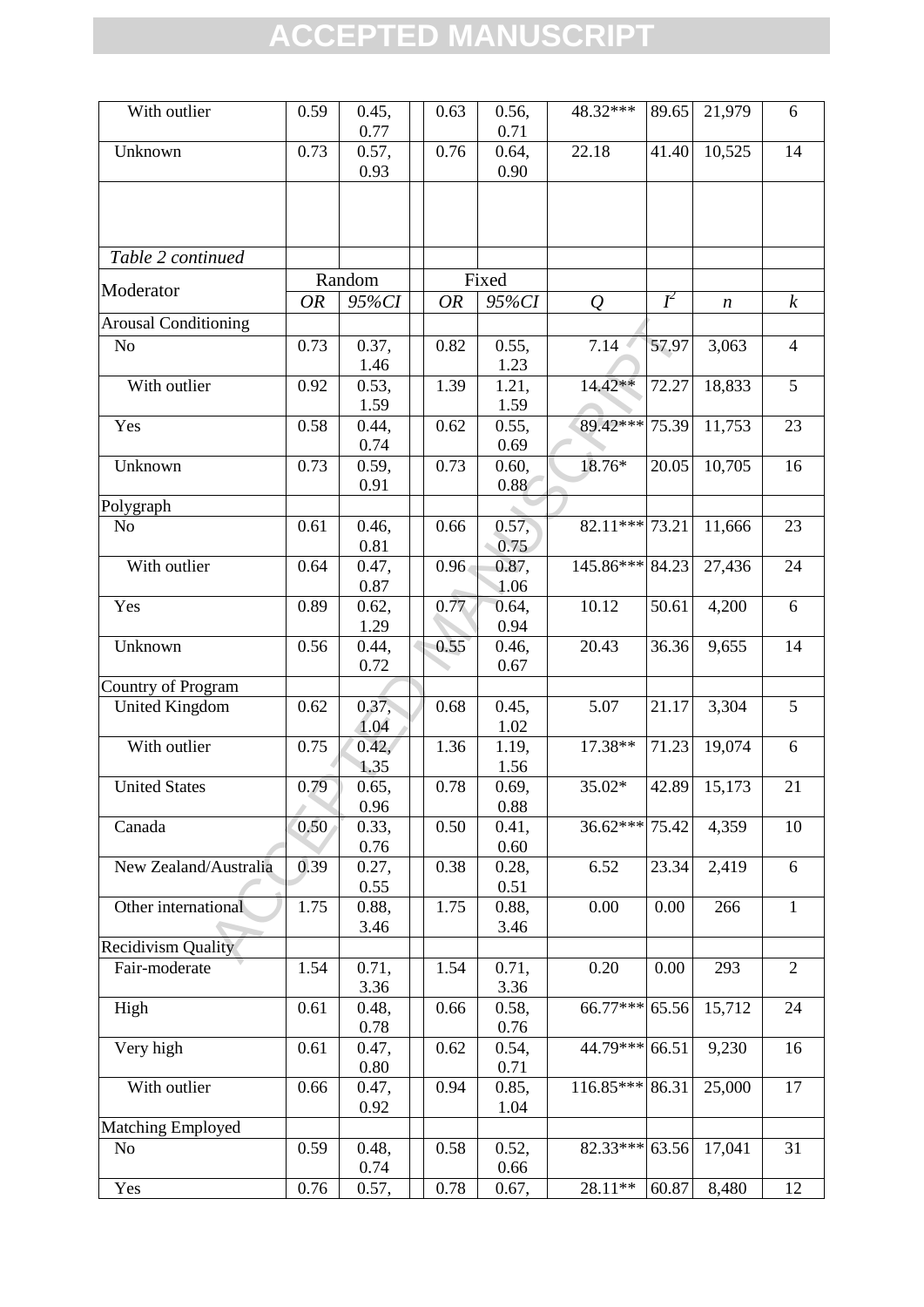| With outlier                | 0.59      | 0.45,<br>0.77 | 0.63              | 0.56,<br>0.71 | 48.32***         | 89.65 | 21,979 | 6                |
|-----------------------------|-----------|---------------|-------------------|---------------|------------------|-------|--------|------------------|
| Unknown                     | 0.73      | 0.57,<br>0.93 | 0.76              | 0.64,<br>0.90 | 22.18            | 41.40 | 10,525 | 14               |
|                             |           |               |                   |               |                  |       |        |                  |
| Table 2 continued           |           |               |                   |               |                  |       |        |                  |
|                             |           | Random        |                   | Fixed         |                  |       |        |                  |
| Moderator                   | <b>OR</b> | 95%CI         | <b>OR</b>         | 95%CI         | $\mathcal{Q}$    | $I^2$ | n      | $\boldsymbol{k}$ |
| <b>Arousal Conditioning</b> |           |               |                   |               |                  |       |        |                  |
| N <sub>o</sub>              | 0.73      | 0.37,<br>1.46 | 0.82              | 0.55,<br>1.23 | 7.14             | 57.97 | 3,063  | $\overline{4}$   |
| With outlier                | 0.92      | 0.53,         | 1.39              | 1.21,         | $14.42**$        | 72.27 | 18,833 | 5                |
|                             |           | 1.59          |                   | 1.59          |                  |       |        |                  |
| Yes                         | 0.58      | 0.44,         | 0.62              | 0.55,         | 89.42***         | 75.39 | 11,753 | 23               |
|                             |           | 0.74          |                   | 0.69          |                  |       |        |                  |
| Unknown                     | 0.73      | 0.59,         | 0.73              | 0.60,         | 18.76*           | 20.05 | 10,705 | 16               |
|                             |           | 0.91          |                   | 0.88          |                  |       |        |                  |
| Polygraph                   |           |               |                   |               |                  |       |        |                  |
| N <sub>o</sub>              | 0.61      | 0.46,<br>0.81 | 0.66              | 0.57,<br>0.75 | $82.11***$       | 73.21 | 11,666 | 23               |
| With outlier                | 0.64      | 0.47,<br>0.87 | 0.96 <sub>•</sub> | 0.87,<br>1.06 | 145.86***        | 84.23 | 27,436 | $24\,$           |
| Yes                         | 0.89      | 0.62,         | 0.77              | 0.64,         | 10.12            | 50.61 | 4,200  | 6                |
|                             |           | 1.29          |                   | 0.94          |                  |       |        |                  |
| Unknown                     | 0.56      | 0.44,<br>0.72 | 0.55              | 0.46,<br>0.67 | 20.43            | 36.36 | 9,655  | 14               |
| Country of Program          |           |               |                   |               |                  |       |        |                  |
| <b>United Kingdom</b>       | 0.62      | 0.37,<br>1.04 | 0.68              | 0.45,<br>1.02 | 5.07             | 21.17 | 3,304  | 5                |
| With outlier                | 0.75      | 0.42,         | 1.36              | 1.19,         | 17.38**          | 71.23 | 19,074 | 6                |
|                             |           | 1.35          |                   | 1.56          |                  |       |        |                  |
| <b>United States</b>        | 0.79      | 0.65,         | 0.78              | 0.69,         | $35.02*$         | 42.89 | 15,173 | 21               |
|                             |           | 0.96          |                   | 0.88          |                  |       |        |                  |
| Canada                      | 0.50      | 0.33,         | 0.50              | 0.41,         | $36.62***$ 75.42 |       | 4,359  | 10               |
|                             |           | 0.76          |                   | 0.60          |                  |       |        |                  |
| New Zealand/Australia       | 0.39      | 0.27,         | 0.38              | 0.28,         | 6.52             | 23.34 | 2,419  | 6                |
|                             |           | 0.55          |                   | 0.51          |                  |       |        |                  |
| Other international         | 1.75      | 0.88,         | 1.75              | 0.88,         | 0.00             | 0.00  | 266    | $\mathbf{1}$     |
| <b>Recidivism Quality</b>   |           | 3.46          |                   | 3.46          |                  |       |        |                  |
| Fair-moderate               | 1.54      | 0.71,         | 1.54              | 0.71,         | 0.20             | 0.00  | 293    | $\overline{2}$   |
|                             |           | 3.36          |                   | 3.36          |                  |       |        |                  |
| High                        | 0.61      | 0.48,         | 0.66              | 0.58,         | 66.77***         | 65.56 | 15,712 | 24               |
|                             |           | 0.78          |                   | 0.76          |                  |       |        |                  |
| Very high                   | 0.61      | 0.47,<br>0.80 | 0.62              | 0.54,<br>0.71 | 44.79***         | 66.51 | 9,230  | 16               |
| With outlier                | 0.66      | 0.47,         | 0.94              | 0.85,         | 116.85***        | 86.31 | 25,000 | 17               |
|                             |           | 0.92          |                   | 1.04          |                  |       |        |                  |
| <b>Matching Employed</b>    |           |               |                   |               | 82.33***         |       |        |                  |
| N <sub>0</sub>              | 0.59      | 0.48,<br>0.74 | 0.58              | 0.52,<br>0.66 |                  | 63.56 | 17,041 | 31               |
| Yes                         | 0.76      | 0.57,         | 0.78              | 0.67,         | 28.11**          | 60.87 | 8,480  | 12               |
|                             |           |               |                   |               |                  |       |        |                  |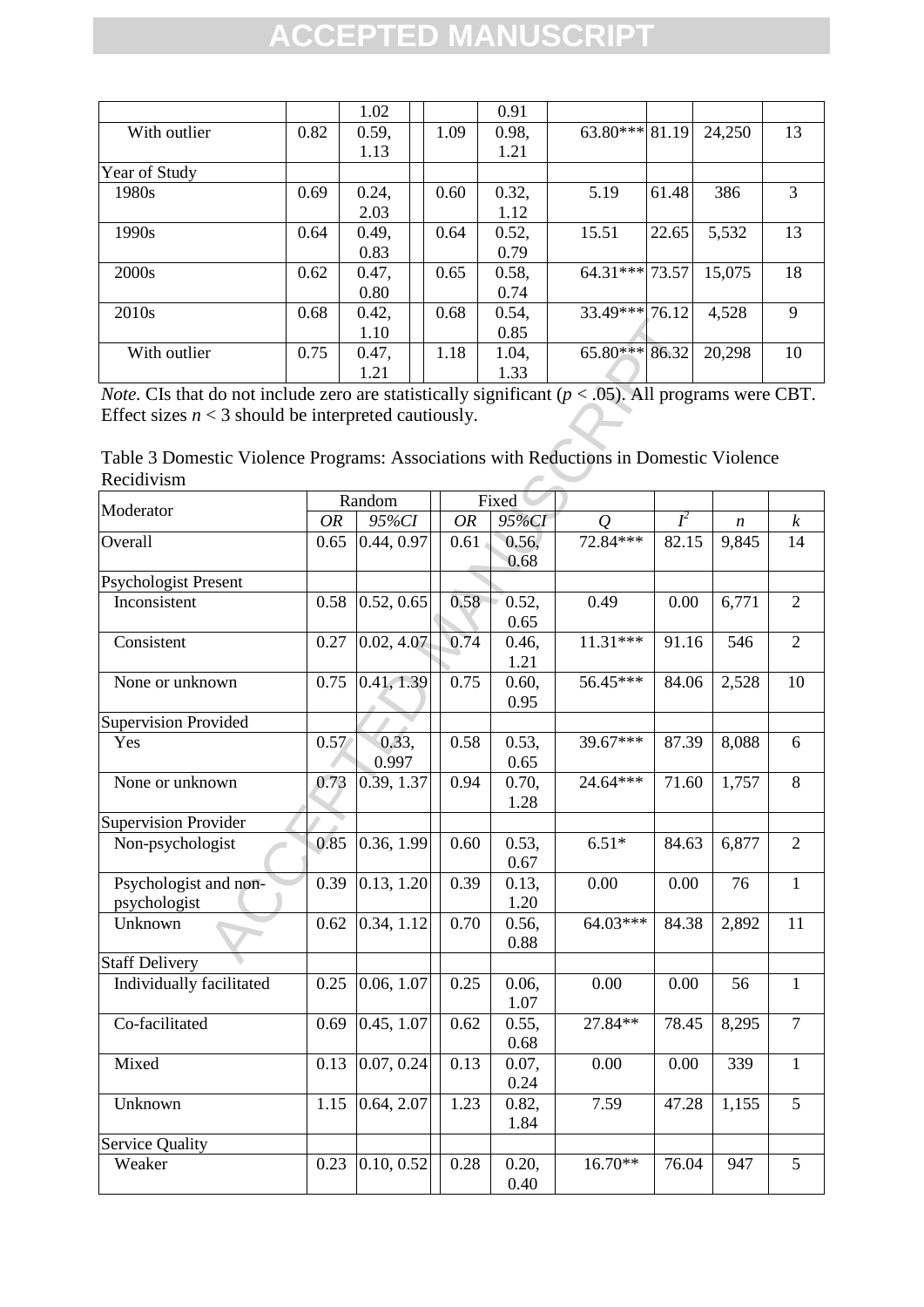|                   |      | 1.02  |      | 0.91  |                  |       |        |    |
|-------------------|------|-------|------|-------|------------------|-------|--------|----|
| With outlier      | 0.82 | 0.59, | 1.09 | 0.98. | $63.80***$ 81.19 |       | 24,250 | 13 |
|                   |      | 1.13  |      | 1.21  |                  |       |        |    |
| Year of Study     |      |       |      |       |                  |       |        |    |
| 1980s             | 0.69 | 0.24, | 0.60 | 0.32, | 5.19             | 61.48 | 386    | 3  |
|                   |      | 2.03  |      | 1.12  |                  |       |        |    |
| 1990s             | 0.64 | 0.49, | 0.64 | 0.52, | 15.51            | 22.65 | 5,532  | 13 |
|                   |      | 0.83  |      | 0.79  |                  |       |        |    |
| 2000s             | 0.62 | 0.47, | 0.65 | 0.58, | $64.31***$ 73.57 |       | 15,075 | 18 |
|                   |      | 0.80  |      | 0.74  |                  |       |        |    |
| 2010 <sub>s</sub> | 0.68 | 0.42, | 0.68 | 0.54, | 33.49*** 76.12   |       | 4,528  | 9  |
|                   |      | 1.10  |      | 0.85  |                  |       |        |    |
| With outlier      | 0.75 | 0.47, | 1.18 | 1.04, | $65.80***$ 86.32 |       | 20,298 | 10 |
|                   |      | 1.21  |      | 1.33  |                  |       |        |    |

| Table 3 Domestic Violence Programs: Associations with Reductions in Domestic Violence |  |  |
|---------------------------------------------------------------------------------------|--|--|
| Recidivism                                                                            |  |  |

|      | 1.10  |                                                                                                                                |                                                                                                                                                                                                                            | 0.85                                                           |                                                                                                                                    |                              |                                    |                                                                                                                                                                                                                                                                                                                     |
|------|-------|--------------------------------------------------------------------------------------------------------------------------------|----------------------------------------------------------------------------------------------------------------------------------------------------------------------------------------------------------------------------|----------------------------------------------------------------|------------------------------------------------------------------------------------------------------------------------------------|------------------------------|------------------------------------|---------------------------------------------------------------------------------------------------------------------------------------------------------------------------------------------------------------------------------------------------------------------------------------------------------------------|
| 0.75 | 0.47, |                                                                                                                                |                                                                                                                                                                                                                            | 1.04,                                                          |                                                                                                                                    |                              |                                    | 10                                                                                                                                                                                                                                                                                                                  |
|      |       |                                                                                                                                |                                                                                                                                                                                                                            |                                                                |                                                                                                                                    |                              |                                    |                                                                                                                                                                                                                                                                                                                     |
|      |       |                                                                                                                                |                                                                                                                                                                                                                            |                                                                |                                                                                                                                    |                              |                                    |                                                                                                                                                                                                                                                                                                                     |
|      |       |                                                                                                                                |                                                                                                                                                                                                                            |                                                                |                                                                                                                                    |                              |                                    |                                                                                                                                                                                                                                                                                                                     |
|      |       |                                                                                                                                |                                                                                                                                                                                                                            |                                                                |                                                                                                                                    |                              |                                    |                                                                                                                                                                                                                                                                                                                     |
|      |       |                                                                                                                                |                                                                                                                                                                                                                            |                                                                |                                                                                                                                    |                              |                                    |                                                                                                                                                                                                                                                                                                                     |
|      |       |                                                                                                                                |                                                                                                                                                                                                                            |                                                                |                                                                                                                                    |                              |                                    |                                                                                                                                                                                                                                                                                                                     |
| OR   |       |                                                                                                                                | <b>OR</b>                                                                                                                                                                                                                  | 95%CI                                                          | $\overline{O}$                                                                                                                     | $I^2$                        | $\boldsymbol{n}$                   | $\boldsymbol{k}$                                                                                                                                                                                                                                                                                                    |
|      |       |                                                                                                                                |                                                                                                                                                                                                                            | 0.56,<br>0.68                                                  |                                                                                                                                    |                              | 9,845                              | 14                                                                                                                                                                                                                                                                                                                  |
|      |       |                                                                                                                                |                                                                                                                                                                                                                            |                                                                |                                                                                                                                    |                              |                                    |                                                                                                                                                                                                                                                                                                                     |
|      |       |                                                                                                                                |                                                                                                                                                                                                                            | 0.65                                                           |                                                                                                                                    |                              |                                    | $\overline{2}$                                                                                                                                                                                                                                                                                                      |
|      |       |                                                                                                                                |                                                                                                                                                                                                                            | 0.46,<br>1.21                                                  |                                                                                                                                    |                              | 546                                | $\overline{2}$                                                                                                                                                                                                                                                                                                      |
|      |       |                                                                                                                                | 0.75                                                                                                                                                                                                                       | 0.60,                                                          | 56.45***                                                                                                                           |                              | 2,528                              | 10                                                                                                                                                                                                                                                                                                                  |
|      |       |                                                                                                                                |                                                                                                                                                                                                                            |                                                                |                                                                                                                                    |                              |                                    |                                                                                                                                                                                                                                                                                                                     |
|      |       |                                                                                                                                | 0.58                                                                                                                                                                                                                       | 0.53,<br>0.65                                                  | 39.67***                                                                                                                           |                              | 8,088                              | 6                                                                                                                                                                                                                                                                                                                   |
|      |       |                                                                                                                                | 0.94                                                                                                                                                                                                                       | 0.70,                                                          | 24.64***                                                                                                                           |                              | 1,757                              | 8                                                                                                                                                                                                                                                                                                                   |
|      |       |                                                                                                                                |                                                                                                                                                                                                                            |                                                                |                                                                                                                                    |                              |                                    |                                                                                                                                                                                                                                                                                                                     |
|      |       |                                                                                                                                | 0.60                                                                                                                                                                                                                       | 0.53,<br>0.67                                                  | $6.51*$                                                                                                                            |                              | 6,877                              | $\overline{2}$                                                                                                                                                                                                                                                                                                      |
|      |       |                                                                                                                                | 0.39                                                                                                                                                                                                                       | 0.13,                                                          | 0.00                                                                                                                               | 0.00                         | 76                                 | $\mathbf{1}$                                                                                                                                                                                                                                                                                                        |
|      |       |                                                                                                                                | 0.70                                                                                                                                                                                                                       | 0.56,                                                          |                                                                                                                                    |                              | 2,892                              | 11                                                                                                                                                                                                                                                                                                                  |
|      |       |                                                                                                                                |                                                                                                                                                                                                                            |                                                                |                                                                                                                                    |                              |                                    |                                                                                                                                                                                                                                                                                                                     |
|      |       |                                                                                                                                | 0.25                                                                                                                                                                                                                       | 0.06,                                                          | 0.00                                                                                                                               | 0.00                         | 56                                 | $\mathbf{1}$                                                                                                                                                                                                                                                                                                        |
|      |       |                                                                                                                                | 0.62                                                                                                                                                                                                                       | 0.55,                                                          | 27.84**                                                                                                                            |                              | 8,295                              | $\tau$                                                                                                                                                                                                                                                                                                              |
|      |       |                                                                                                                                | 0.13                                                                                                                                                                                                                       | 0.07,                                                          | 0.00                                                                                                                               | 0.00                         | 339                                | $\mathbf{1}$                                                                                                                                                                                                                                                                                                        |
|      |       |                                                                                                                                | 1.23                                                                                                                                                                                                                       | 0.82,                                                          | 7.59                                                                                                                               |                              | 1,155                              | 5                                                                                                                                                                                                                                                                                                                   |
|      |       |                                                                                                                                |                                                                                                                                                                                                                            |                                                                |                                                                                                                                    |                              |                                    |                                                                                                                                                                                                                                                                                                                     |
|      |       |                                                                                                                                |                                                                                                                                                                                                                            | 0.20,                                                          | 16.70**                                                                                                                            |                              | 947                                | 5                                                                                                                                                                                                                                                                                                                   |
|      |       | 1.21<br>Random<br>0.65<br>0.58<br>0.27<br>0.75<br>0.57<br>0.73<br>0.85<br>0.39<br>0.62<br>0.25<br>0.69<br>0.13<br>1.15<br>0.23 | 95%CI<br>0.44, 0.97<br>0.52, 0.65<br>0.02, 4.07<br>0.41, 1.39<br>0.33,<br>0.997<br>0.39, 1.37<br>0.36, 1.99<br>$\overline{0.13, 1.20}$<br>0.34, 1.12<br>0.06, 1.07<br>0.45, 1.07<br>0.07, 0.24<br>0.64, 2.07<br>0.10, 0.52 | 1.18<br>Effect sizes $n < 3$ should be interpreted cautiously. | 1.33<br>Fixed<br>$0.61 -$<br>0.58<br>0.52,<br>0.74<br>0.95<br>1.28<br>1.20<br>0.88<br>1.07<br>0.68<br>0.24<br>1.84<br>0.28<br>0.40 | 72.84***<br>0.49<br>11.31*** | 65.80*** 86.32<br>0.00<br>64.03*** | 20,298<br><i>Note.</i> CIs that do not include zero are statistically significant ( $p < .05$ ). All programs were CBT.<br>Table 3 Domestic Violence Programs: Associations with Reductions in Domestic Violence<br>82.15<br>6,771<br>91.16<br>84.06<br>87.39<br>71.60<br>84.63<br>84.38<br>78.45<br>47.28<br>76.04 |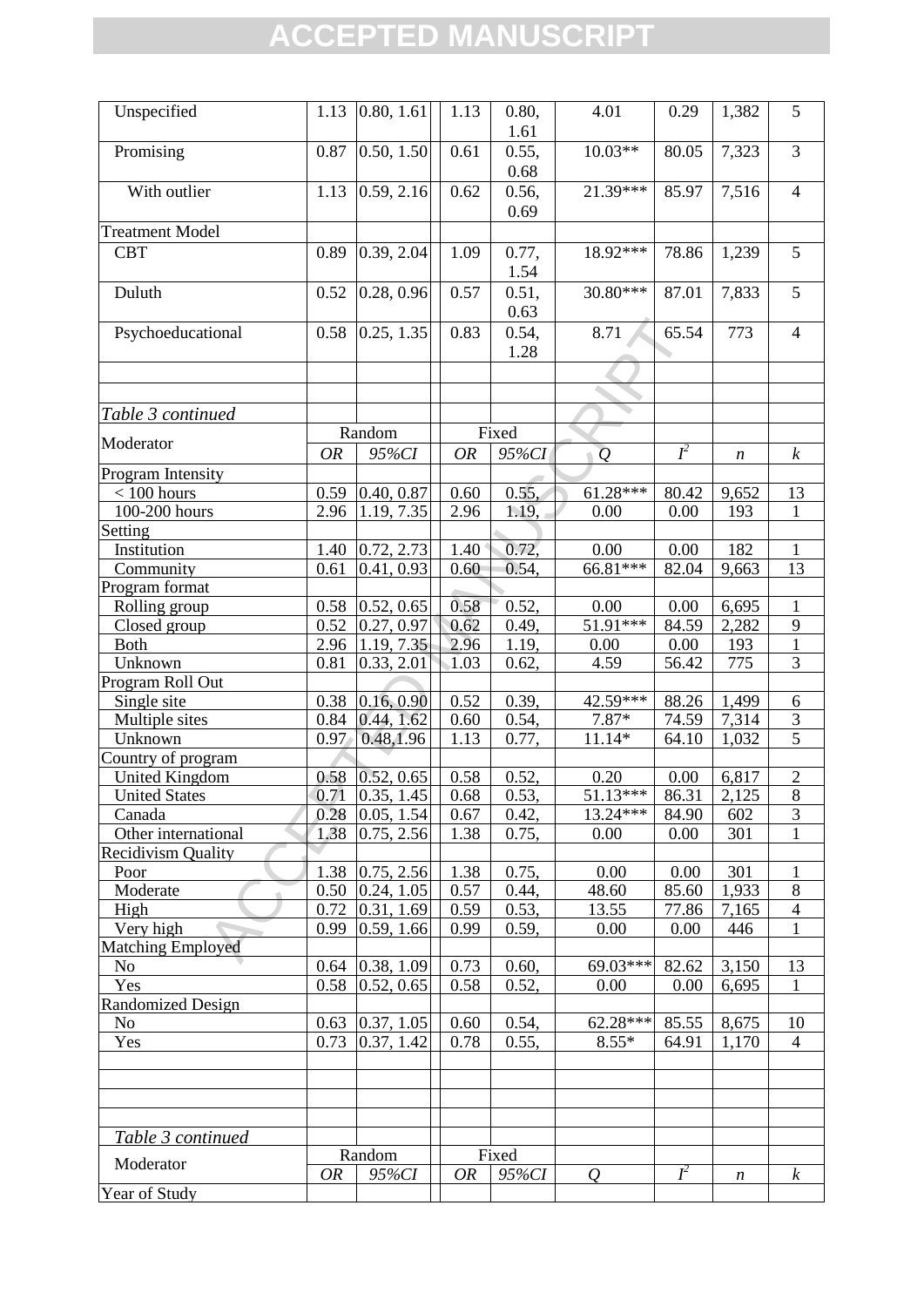| Unspecified               | 1.13         | 0.80, 1.61                 | 1.13         | 0.80,<br>1.61  | 4.01                   | 0.29  | 1,382            | 5                                |
|---------------------------|--------------|----------------------------|--------------|----------------|------------------------|-------|------------------|----------------------------------|
| Promising                 | 0.87         | 0.50, 1.50                 | 0.61         | 0.55,<br>0.68  | $10.03**$              | 80.05 | 7,323            | $\overline{3}$                   |
| With outlier              | 1.13         | 0.59, 2.16                 | 0.62         | 0.56,<br>0.69  | 21.39***               | 85.97 | 7,516            | $\overline{4}$                   |
| <b>Treatment Model</b>    |              |                            |              |                |                        |       |                  |                                  |
| <b>CBT</b>                | 0.89         | 0.39, 2.04                 | 1.09         | 0.77,<br>1.54  | 18.92***               | 78.86 | 1,239            | 5                                |
| Duluth                    | 0.52         | 0.28, 0.96                 | 0.57         | 0.51,<br>0.63  | 30.80***               | 87.01 | 7,833            | $\overline{5}$                   |
| Psychoeducational         | 0.58         | 0.25, 1.35                 | 0.83         | 0.54,<br>1.28  | 8.71                   | 65.54 | 773              | $\overline{4}$                   |
|                           |              |                            |              |                |                        |       |                  |                                  |
|                           |              |                            |              |                |                        |       |                  |                                  |
| Table 3 continued         |              |                            |              |                |                        |       |                  |                                  |
|                           |              | Random                     |              | Fixed          |                        |       |                  |                                  |
| Moderator                 | <b>OR</b>    | 95%CI                      | <b>OR</b>    | 95%CI          | $\overline{Q}$         | $I^2$ | $\boldsymbol{n}$ | $\boldsymbol{k}$                 |
| Program Intensity         |              |                            |              |                |                        |       |                  |                                  |
| $< 100$ hours             | 0.59         | 0.40, 0.87                 | 0.60         | 0.55.          | $61.28***$             | 80.42 | 9,652            | 13                               |
| 100-200 hours             | 2.96         | 1.19, 7.35                 | 2.96         | 1.19.          | 0.00                   | 0.00  | 193              | 1                                |
| Setting                   |              |                            |              |                |                        |       |                  |                                  |
| Institution               | 1.40         | 0.72, 2.73                 | 1.40         | 0.72,          | 0.00                   | 0.00  | 182              | $\mathbf{1}$                     |
| Community                 | 0.61         | 0.41, 0.93                 | 0.60         | 0.54,          | $66.81***$             | 82.04 | 9,663            | 13                               |
| Program format            |              |                            |              |                |                        |       |                  |                                  |
| Rolling group             | 0.58         | 0.52, 0.65                 | 0.58         | 0.52,          | 0.00                   | 0.00  | 6,695            | $\mathbf{1}$                     |
| Closed group              | 0.52         | 0.27, 0.97                 | 0.62         | 0.49,          | 51.91***               | 84.59 | 2,282            | 9                                |
| <b>Both</b>               | 2.96         | 1.19, 7.35                 | 2.96         | 1.19,          | 0.00                   | 0.00  | 193              | 1                                |
| Unknown                   | 0.81         | 0.33, 2.01                 | 1.03         | 0.62,          | 4.59                   | 56.42 | 775              | 3                                |
| Program Roll Out          |              |                            |              |                |                        |       |                  |                                  |
| Single site               | 0.38         | 0.16, 0.90                 | 0.52         | 0.39,          | 42.59***<br>$7.87*$    | 88.26 | 1,499            | 6                                |
| Multiple sites<br>Unknown | 0.84<br>0.97 | 0.44, 1.62<br>0.48,1.96    | 0.60<br>1.13 | 0.54,<br>0.77, | $11.14*$               | 74.59 | 7,314            | $\overline{3}$<br>$\overline{5}$ |
| Country of program        |              |                            |              |                |                        | 64.10 | 1,032            |                                  |
| <b>United Kingdom</b>     |              | $0.58$ 0.52, 0.65          | 0.58         | 0.52,          | 0.20                   | 0.00  | 6,817            | 2                                |
| <b>United States</b>      |              | $0.71$ $ 0.35, 1.45 $ 0.68 |              | 0.53,          | $51.13***$ 86.31 2,125 |       |                  | $\overline{8}$                   |
| Canada                    |              | $0.28$ $ 0.05, 1.54$       | 0.67         | 0.42,          | $13.24***$             | 84.90 | 602              | 3                                |
| Other international       | 1.38         | 0.75, 2.56                 | 1.38         | 0.75,          | 0.00                   | 0.00  | 301              |                                  |
| <b>Recidivism Quality</b> |              |                            |              |                |                        |       |                  |                                  |
| Poor                      | 1.38         | 0.75, 2.56                 | 1.38         | 0.75,          | 0.00                   | 0.00  | 301              |                                  |
| Moderate<br>$\triangle$   | 0.50         | 0.24, 1.05                 | 0.57         | 0.44,          | 48.60                  | 85.60 | 1,933            | 8                                |
| High                      | 0.72         | 0.31, 1.69                 | 0.59         | 0.53,          | 13.55                  | 77.86 | 7,165            | 4                                |
| Very high                 | 0.99         | 0.59, 1.66                 | 0.99         | 0.59,          | 0.00                   | 0.00  | 446              | 1                                |
| <b>Matching Employed</b>  |              |                            |              |                |                        |       |                  |                                  |
| No                        | 0.64         | 0.38, 1.09                 | 0.73         | 0.60,          | 69.03***               | 82.62 | 3,150            | 13                               |
| Yes                       | 0.58         | 0.52, 0.65                 | 0.58         | 0.52,          | 0.00                   | 0.00  | 6,695            | 1                                |
| <b>Randomized Design</b>  |              |                            |              |                |                        |       |                  |                                  |
| N <sub>o</sub>            | 0.63         | 0.37, 1.05                 | 0.60         | 0.54,          | 62.28***               | 85.55 | 8,675            | 10                               |
| Yes                       | 0.73         | 0.37, 1.42                 | 0.78         | 0.55,          | $8.55*$                | 64.91 | 1,170            | 4                                |
|                           |              |                            |              |                |                        |       |                  |                                  |
|                           |              |                            |              |                |                        |       |                  |                                  |
| Table 3 continued         |              |                            |              |                |                        |       |                  |                                  |
| Moderator                 | <b>OR</b>    | Random<br>95%CI            | <b>OR</b>    | Fixed<br>95%CI | $\overline{O}$         | $I^2$ | n                | $\boldsymbol{k}$                 |
| Year of Study             |              |                            |              |                |                        |       |                  |                                  |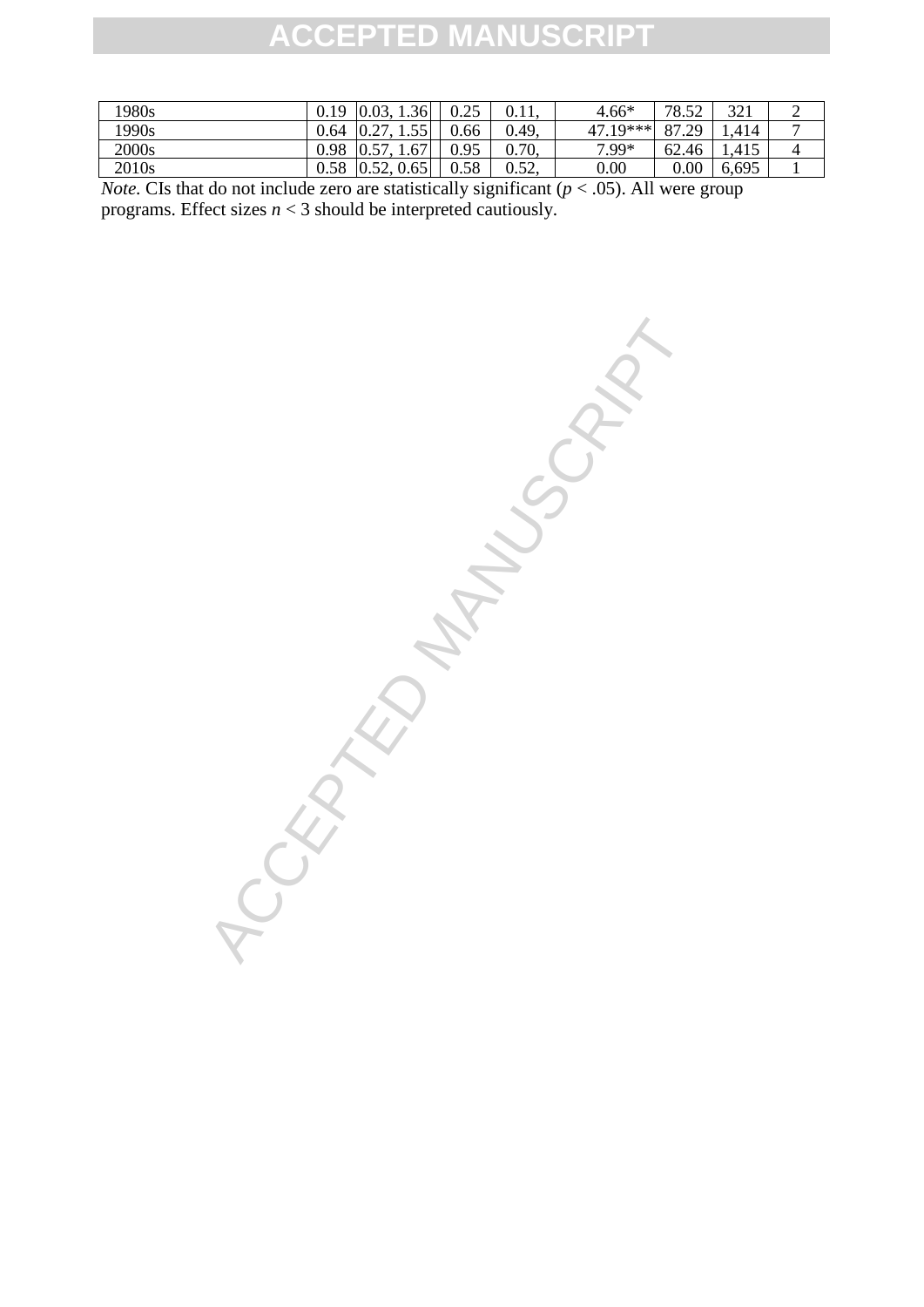| 1980s             | 19   | 0.03,<br>1.36      | 0.25 | 0.11  | $4.66*$  | 78.52     | 321   | ∠              |
|-------------------|------|--------------------|------|-------|----------|-----------|-------|----------------|
| 1990s             | 0.64 | 55<br>0.27         | 0.66 | 0.49. | 47.19*** | 87.<br>29 | .414  | $\overline{ }$ |
| 2000s             | 0.98 | 1.67<br>57         | 0.95 | 0.70, | 7.99*    | 62.46     | 1,415 | 4              |
| 2010 <sub>s</sub> | 0.58 | 52<br>0.65<br>0.34 | 0.58 | 0.52, | 0.00     | $0.00\,$  | 6,695 |                |

*Note.* CIs that do not include zero are statistically significant  $(p < .05)$ . All were group programs. Effect sizes *n* < 3 should be interpreted cautiously.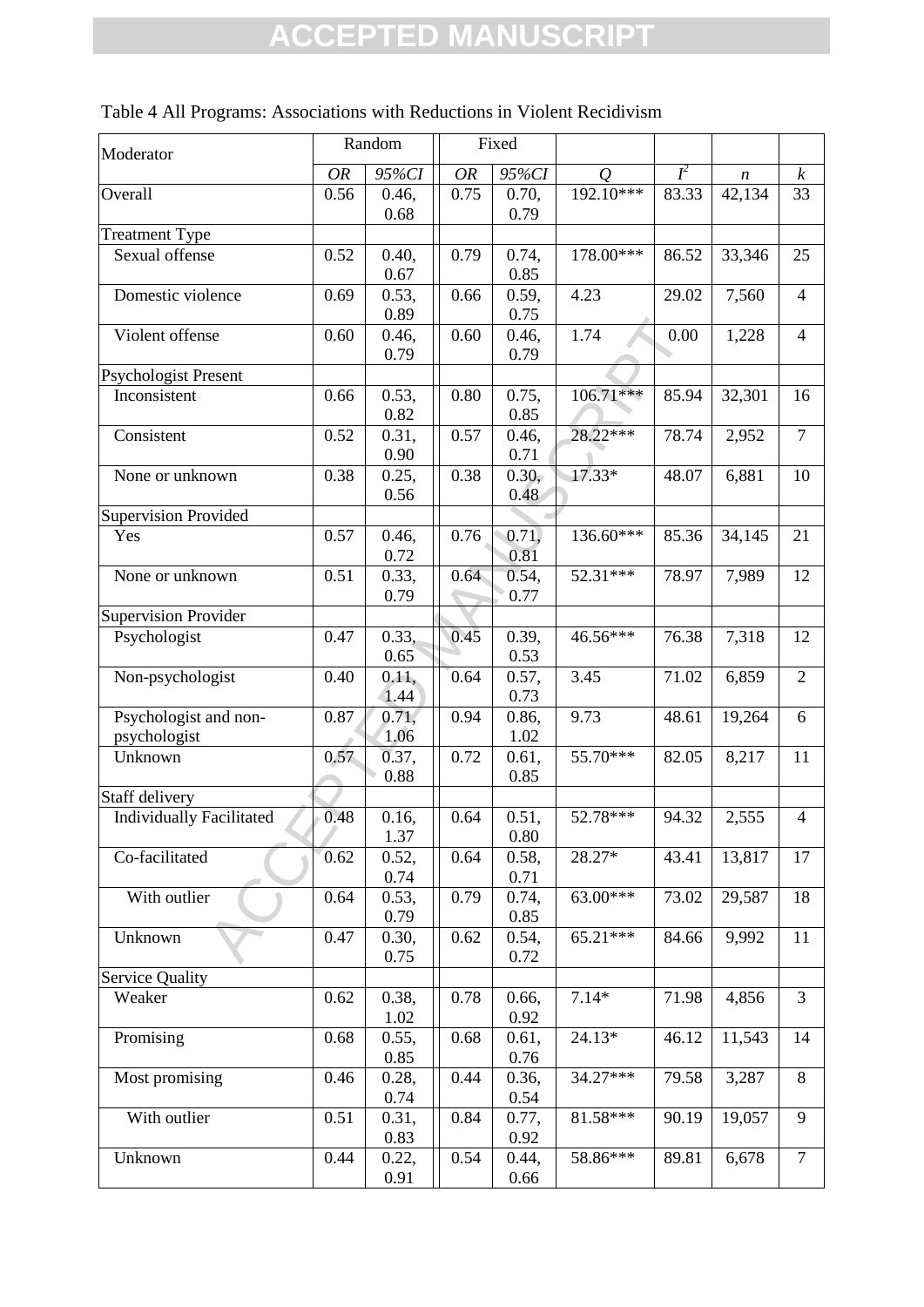| Moderator                             |      | Random                |           | Fixed                 |                |       |                  |                  |
|---------------------------------------|------|-----------------------|-----------|-----------------------|----------------|-------|------------------|------------------|
|                                       | OR   | 95%CI                 | <b>OR</b> | 95%CI                 | $\overline{O}$ | $I^2$ | $\boldsymbol{n}$ | $\boldsymbol{k}$ |
| Overall                               | 0.56 | 0.46,<br>0.68         | 0.75      | 0.70,<br>0.79         | 192.10***      | 83.33 | 42,134           | 33               |
| <b>Treatment Type</b>                 |      |                       |           |                       |                |       |                  |                  |
| Sexual offense                        | 0.52 | 0.40,                 | 0.79      | 0.74,                 | 178.00***      | 86.52 | 33,346           | 25               |
|                                       |      | 0.67                  |           | 0.85                  |                |       |                  |                  |
| Domestic violence                     | 0.69 | 0.53,<br>0.89         | 0.66      | 0.59,<br>0.75         | 4.23           | 29.02 | 7,560            | $\overline{4}$   |
| Violent offense                       | 0.60 | 0.46,<br>0.79         | 0.60      | 0.46,<br>0.79         | 1.74           | 0.00  | 1,228            | $\overline{4}$   |
| <b>Psychologist Present</b>           |      |                       |           |                       |                |       |                  |                  |
| Inconsistent                          | 0.66 | 0.53,<br>0.82         | 0.80      | 0.75,<br>0.85         | $106.71***$    | 85.94 | 32,301           | 16               |
| Consistent                            | 0.52 | 0.31,                 | 0.57      | 0.46,                 | 28.22***       | 78.74 | 2,952            | $\overline{7}$   |
| None or unknown                       | 0.38 | 0.90<br>0.25,         | 0.38      | 0.71<br>0.30,         | $17.33*$       | 48.07 | 6,881            | 10               |
|                                       |      | 0.56                  |           | 0.48                  |                |       |                  |                  |
| <b>Supervision Provided</b><br>Yes    | 0.57 | 0.46,                 | 0.76      | 0.71,                 | 136.60***      | 85.36 | 34,145           | 21               |
| None or unknown                       | 0.51 | 0.72<br>0.33,<br>0.79 | 0.64      | 0.81<br>0.54,<br>0.77 | 52.31***       | 78.97 | 7,989            | 12               |
| <b>Supervision Provider</b>           |      |                       |           |                       |                |       |                  |                  |
| Psychologist                          | 0.47 | 0.33,<br>0.65         | 0.45      | 0.39,<br>0.53         | 46.56***       | 76.38 | 7,318            | 12               |
| Non-psychologist                      | 0.40 | 0.11,<br>1.44         | 0.64      | 0.57,<br>0.73         | 3.45           | 71.02 | 6,859            | $\overline{2}$   |
| Psychologist and non-<br>psychologist | 0.87 | 0.71,<br>1.06         | 0.94      | 0.86,<br>1.02         | 9.73           | 48.61 | 19,264           | 6                |
| Unknown                               | 0.57 | 0.37,<br>0.88         | 0.72      | 0.61,<br>0.85         | 55.70***       | 82.05 | 8,217            | 11               |
| Staff delivery                        |      |                       |           |                       |                |       |                  |                  |
| <b>Individually Facilitated</b>       | 0.48 | 0.16,<br>1.37         | 0.64      | 0.51,<br>0.80         | 52.78***       | 94.32 | 2,555            | $\overline{4}$   |
| Co-facilitated                        | 0.62 | 0.52,                 | 0.64      | 0.58,                 | 28.27*         | 43.41 | 13,817           | 17               |
| With outlier                          | 0.64 | 0.74<br>0.53,         | 0.79      | 0.71<br>0.74,         | $63.00***$     | 73.02 | 29,587           | 18               |
| Unknown                               | 0.47 | 0.79<br>0.30,         | 0.62      | 0.85<br>0.54,         | 65.21***       | 84.66 | 9,992            | 11               |
| <b>Service Quality</b>                |      | 0.75                  |           | 0.72                  |                |       |                  |                  |
| Weaker                                | 0.62 | 0.38,                 | 0.78      | 0.66,                 | $7.14*$        | 71.98 | 4,856            | 3                |
| Promising                             | 0.68 | 1.02<br>0.55,         | 0.68      | 0.92<br>0.61,         | 24.13*         | 46.12 | 11,543           | 14               |
| Most promising                        | 0.46 | 0.85<br>0.28,         | 0.44      | 0.76<br>0.36,         | 34.27***       | 79.58 | 3,287            | $8\,$            |
|                                       |      | 0.74                  |           | 0.54                  |                |       |                  |                  |
| With outlier                          | 0.51 | 0.31,<br>0.83         | 0.84      | 0.77,<br>0.92         | 81.58***       | 90.19 | 19,057           | 9                |
| Unknown                               | 0.44 | 0.22,<br>0.91         | 0.54      | 0.44,<br>0.66         | 58.86***       | 89.81 | 6,678            | $\tau$           |

| Table 4 All Programs: Associations with Reductions in Violent Recidivism |  |  |  |
|--------------------------------------------------------------------------|--|--|--|
|--------------------------------------------------------------------------|--|--|--|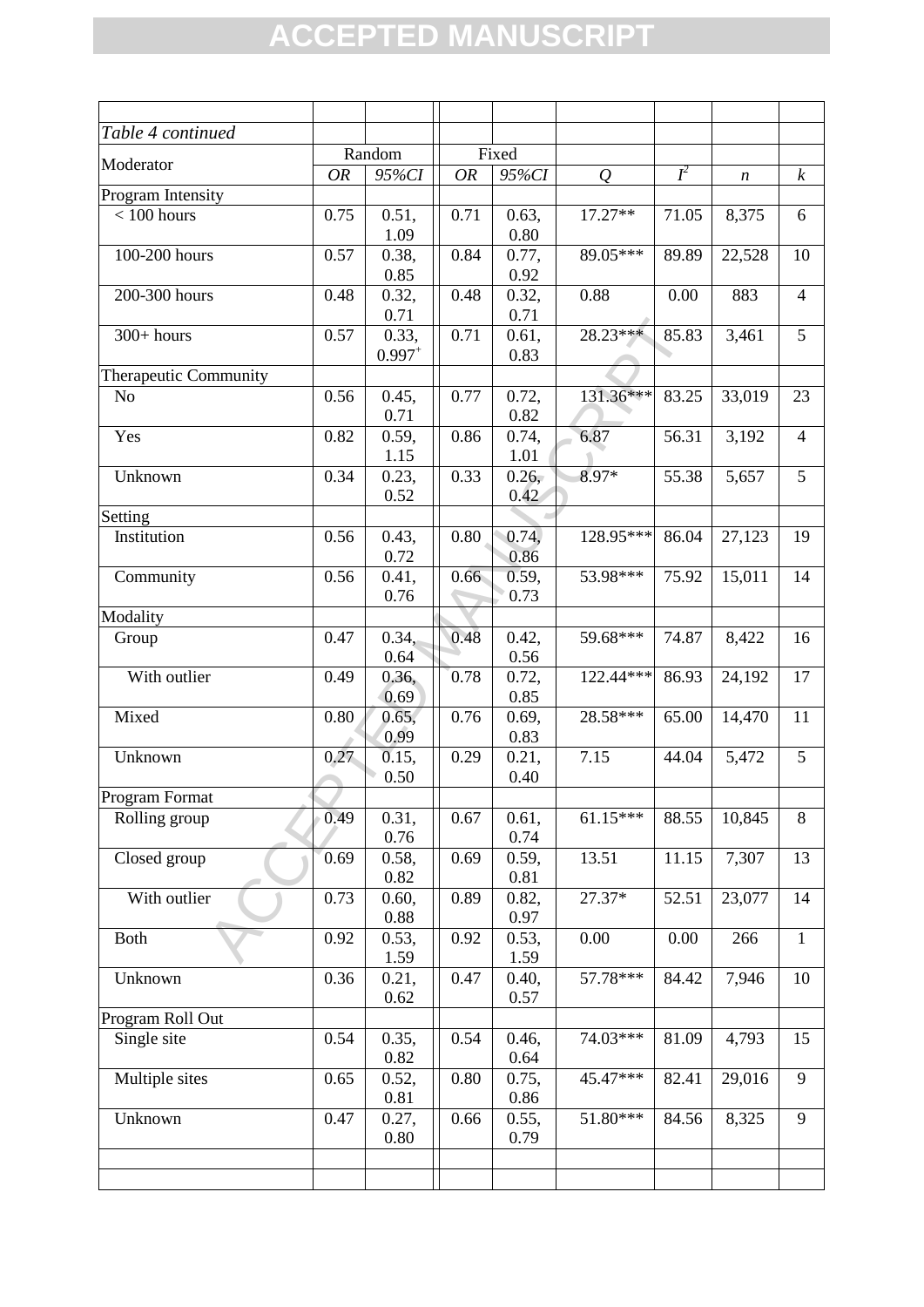| Table 4 continued     |           |               |           |               |               |       |        |                  |
|-----------------------|-----------|---------------|-----------|---------------|---------------|-------|--------|------------------|
| Moderator             |           | Random        |           | Fixed         |               |       |        |                  |
|                       | <b>OR</b> | 95%CI         | <b>OR</b> | 95%CI         | $\mathcal{Q}$ | $I^2$ | n      | $\boldsymbol{k}$ |
| Program Intensity     |           |               |           |               |               |       |        |                  |
| $< 100$ hours         | 0.75      | 0.51,         | 0.71      | 0.63,         | 17.27**       | 71.05 | 8,375  | 6                |
|                       |           | 1.09          |           | 0.80          |               |       |        |                  |
| 100-200 hours         | 0.57      | 0.38,         | 0.84      | 0.77,         | 89.05***      | 89.89 | 22,528 | 10               |
|                       |           | 0.85          |           | 0.92          |               |       |        |                  |
| 200-300 hours         | 0.48      | 0.32,         | 0.48      | 0.32,         | 0.88          | 0.00  | 883    | $\overline{4}$   |
| $300+ hours$          | 0.57      | 0.71<br>0.33, | 0.71      | 0.71<br>0.61, | 28.23***      | 85.83 | 3,461  | 5                |
|                       |           | $0.997^{+}$   |           | 0.83          |               |       |        |                  |
| Therapeutic Community |           |               |           |               |               |       |        |                  |
| N <sub>o</sub>        | 0.56      | 0.45,         | 0.77      | 0.72,         | 131.36***     | 83.25 | 33,019 | 23               |
|                       |           | 0.71          |           | 0.82          |               |       |        |                  |
| Yes                   | 0.82      | 0.59,         | 0.86      | 0.74,         | 6.87          | 56.31 | 3,192  | $\overline{4}$   |
|                       |           | 1.15          |           | 1.01          |               |       |        |                  |
| Unknown               | 0.34      | 0.23,         | 0.33      | 0.26,         | 8.97*         | 55.38 | 5,657  | 5                |
|                       |           | 0.52          |           | 0.42          |               |       |        |                  |
| Setting               |           |               |           |               |               |       |        |                  |
| Institution           | 0.56      | 0.43,         | 0.80      | 0.74,         | 128.95***     | 86.04 | 27,123 | 19               |
|                       |           | 0.72          |           | 0.86          |               |       |        |                  |
| Community             | 0.56      | 0.41,         | 0.66      | 0.59,         | 53.98***      | 75.92 | 15,011 | 14               |
|                       |           | 0.76          |           | 0.73          |               |       |        |                  |
| Modality              |           |               |           |               |               |       |        |                  |
| Group                 | 0.47      | 0.34,         | 0.48      | 0.42,         | 59.68***      | 74.87 | 8,422  | 16               |
| With outlier          | 0.49      | 0.64<br>0.36, | 0.78      | 0.56<br>0.72, | 122.44***     | 86.93 | 24,192 | 17               |
|                       |           | 0.69          |           | 0.85          |               |       |        |                  |
| Mixed                 | 0.80      | 0.65,         | 0.76      | 0.69,         | 28.58***      | 65.00 | 14,470 | 11               |
|                       |           | 0.99          |           | 0.83          |               |       |        |                  |
| Unknown               | 0.27      | 0.15,         | 0.29      | 0.21,         | 7.15          | 44.04 | 5,472  | 5                |
|                       |           | 0.50          |           | 0.40          |               |       |        |                  |
| Program Format        |           |               |           |               |               |       |        |                  |
| Rolling group         | 0.49      | 0.31,         | 0.67      | 0.61,         | $61.15***$    | 88.55 | 10,845 | 8                |
|                       |           | 0.76          |           | 0.74          |               |       |        |                  |
| Closed group          | 0.69      | 0.58,         | 0.69      | 0.59,         | 13.51         | 11.15 | 7,307  | 13               |
|                       |           | 0.82          |           | 0.81          |               |       |        |                  |
| With outlier          | 0.73      | 0.60,         | 0.89      | 0.82,         | 27.37*        | 52.51 | 23,077 | 14               |
|                       |           | 0.88          |           | 0.97          |               |       |        |                  |
| <b>Both</b>           | 0.92      | 0.53,         | 0.92      | 0.53,         | 0.00          | 0.00  | 266    | $\mathbf{1}$     |
| Unknown               | 0.36      | 1.59          | 0.47      | 1.59<br>0.40, | 57.78***      | 84.42 | 7,946  | 10               |
|                       |           | 0.21,<br>0.62 |           | 0.57          |               |       |        |                  |
| Program Roll Out      |           |               |           |               |               |       |        |                  |
| Single site           | 0.54      | 0.35,         | 0.54      | 0.46,         | 74.03***      | 81.09 | 4,793  | 15               |
|                       |           | 0.82          |           | 0.64          |               |       |        |                  |
| Multiple sites        | 0.65      | 0.52,         | 0.80      | 0.75,         | 45.47***      | 82.41 | 29,016 | 9                |
|                       |           | 0.81          |           | 0.86          |               |       |        |                  |
| Unknown               | 0.47      | 0.27,         | 0.66      | 0.55,         | 51.80***      | 84.56 | 8,325  | 9                |
|                       |           | 0.80          |           | 0.79          |               |       |        |                  |
|                       |           |               |           |               |               |       |        |                  |
|                       |           |               |           |               |               |       |        |                  |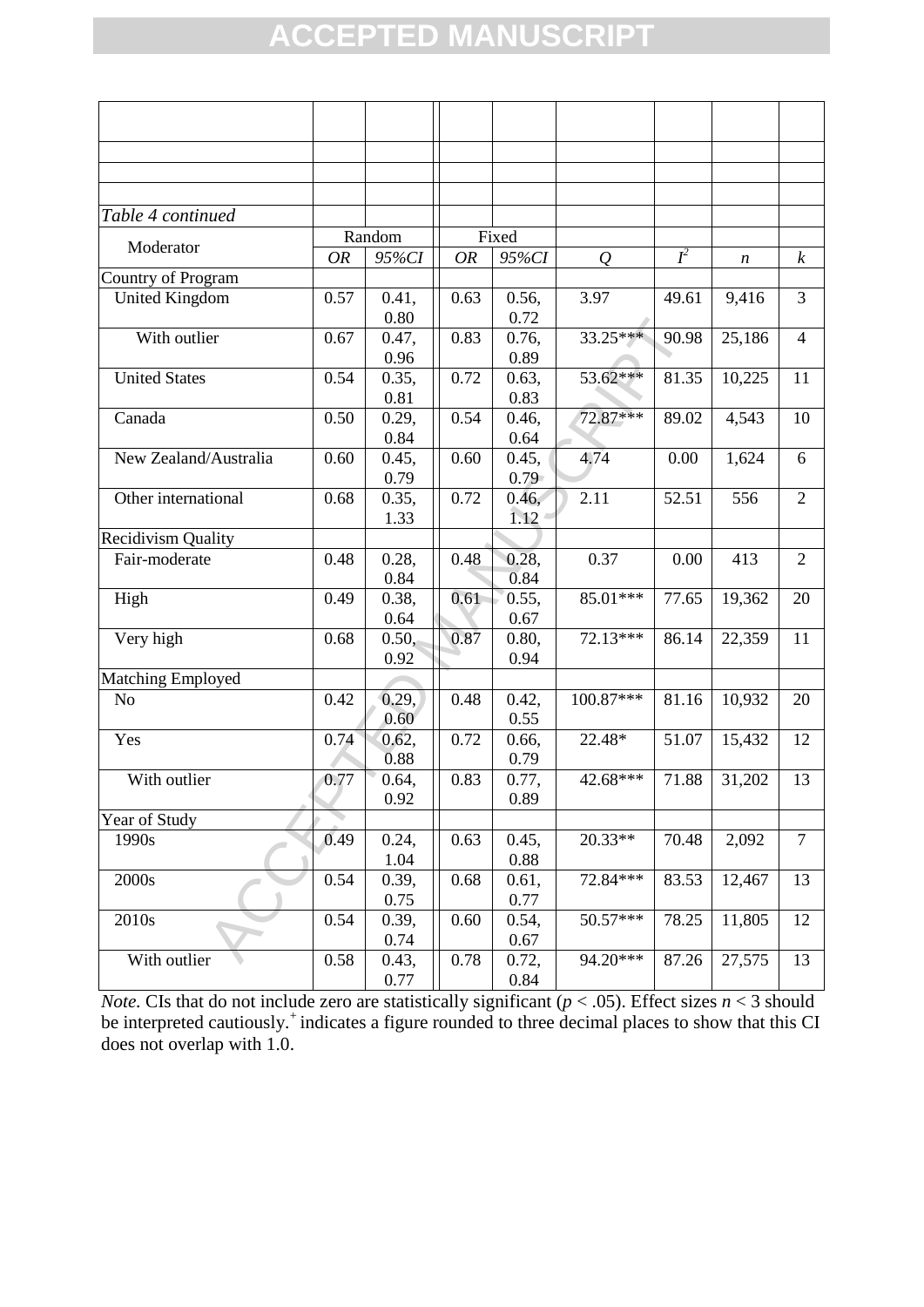| Table 4 continued         |           |               |      |                            |               |                    |                  |                  |
|---------------------------|-----------|---------------|------|----------------------------|---------------|--------------------|------------------|------------------|
| Moderator                 |           | Random        |      | Fixed                      |               |                    |                  |                  |
|                           | <b>OR</b> | 95%CI         | OR   | 95%CI                      | $\mathcal{Q}$ | $I^2$              | $\boldsymbol{n}$ | $\boldsymbol{k}$ |
| Country of Program        |           |               |      |                            |               |                    |                  |                  |
| United Kingdom            | 0.57      | 0.41,<br>0.80 | 0.63 | 0.56,<br>0.72              | 3.97          | 49.61              | 9,416            | 3                |
| With outlier              | 0.67      | 0.47,         | 0.83 | 0.76,                      | 33.25***      | 90.98              | 25,186           | $\overline{4}$   |
|                           |           | 0.96          |      | 0.89                       |               |                    |                  |                  |
| <b>United States</b>      | 0.54      | 0.35,<br>0.81 | 0.72 | 0.63,<br>0.83              | 53.62***      | 81.35              | 10,225           | 11               |
| Canada                    | 0.50      | 0.29,         | 0.54 | 0.46,                      | 72.87***      | 89.02              | 4,543            | 10               |
|                           |           | 0.84          |      | 0.64                       |               |                    |                  |                  |
| New Zealand/Australia     | 0.60      | 0.45,<br>0.79 | 0.60 | 0.45,<br>$0.79 -$          | 4.74          | 0.00               | 1,624            | 6                |
| Other international       | 0.68      | 0.35,<br>1.33 | 0.72 | 0.46,<br>1.12 <sup>4</sup> | 2.11          | 52.51              | 556              | $\overline{2}$   |
| <b>Recidivism Quality</b> |           |               |      |                            |               |                    |                  |                  |
| Fair-moderate             | 0.48      | 0.28,<br>0.84 | 0.48 | 0.28,<br>0.84              | 0.37          | 0.00               | 413              | $\overline{2}$   |
| High                      | 0.49      | 0.38,         | 0.61 | 0.55,                      | 85.01***      | 77.65              | 19,362           | 20               |
| Very high                 | 0.68      | 0.64          | 0.87 | 0.67<br>0.80,              | 72.13***      | 86.14              |                  | 11               |
|                           |           | 0.50,<br>0.92 |      | 0.94                       |               |                    | 22,359           |                  |
| Matching Employed         |           |               |      |                            |               |                    |                  |                  |
| N <sub>o</sub>            | 0.42      | 0.29,         | 0.48 | 0.42,                      | 100.87***     | 81.16              | 10,932           | 20               |
|                           |           | 0.60          |      | 0.55                       |               |                    |                  |                  |
| Yes                       | 0.74      | 0.62,<br>0.88 | 0.72 | 0.66,<br>0.79              | 22.48*        | 51.07              | 15,432           | 12               |
| With outlier              | 0.77      | 0.64,         | 0.83 | 0.77,                      | 42.68***      | 71.88              | 31,202           | 13               |
|                           |           | 0.92          |      | 0.89                       |               |                    |                  |                  |
| Year of Study             |           |               |      |                            |               |                    |                  |                  |
| 1990s                     | 0.49      | 0.24,         | 0.63 | 0.45,                      | 20.33**       | $\overline{70.48}$ | 2,092            | $\overline{7}$   |
|                           |           | 1.04          |      | 0.88                       |               |                    |                  |                  |
| 2000s                     | 0.54      | 0.39,         | 0.68 | 0.61,                      | 72.84***      | 83.53              | 12,467           | 13               |
|                           |           | 0.75          |      | 0.77                       |               |                    |                  |                  |
| 2010s                     | 0.54      | 0.39,         | 0.60 | 0.54,                      | 50.57***      | 78.25              | 11,805           | 12               |
|                           |           | 0.74          |      | 0.67                       |               |                    |                  |                  |
| With outlier              | 0.58      | 0.43,<br>0.77 | 0.78 | 0.72,<br>0.84              | 94.20***      | 87.26              | 27,575           | 13               |

*Note.* CIs that do not include zero are statistically significant ( $p < .05$ ). Effect sizes  $n < 3$  should be interpreted cautiously.<sup>+</sup> indicates a figure rounded to three decimal places to show that this CI does not overlap with 1.0.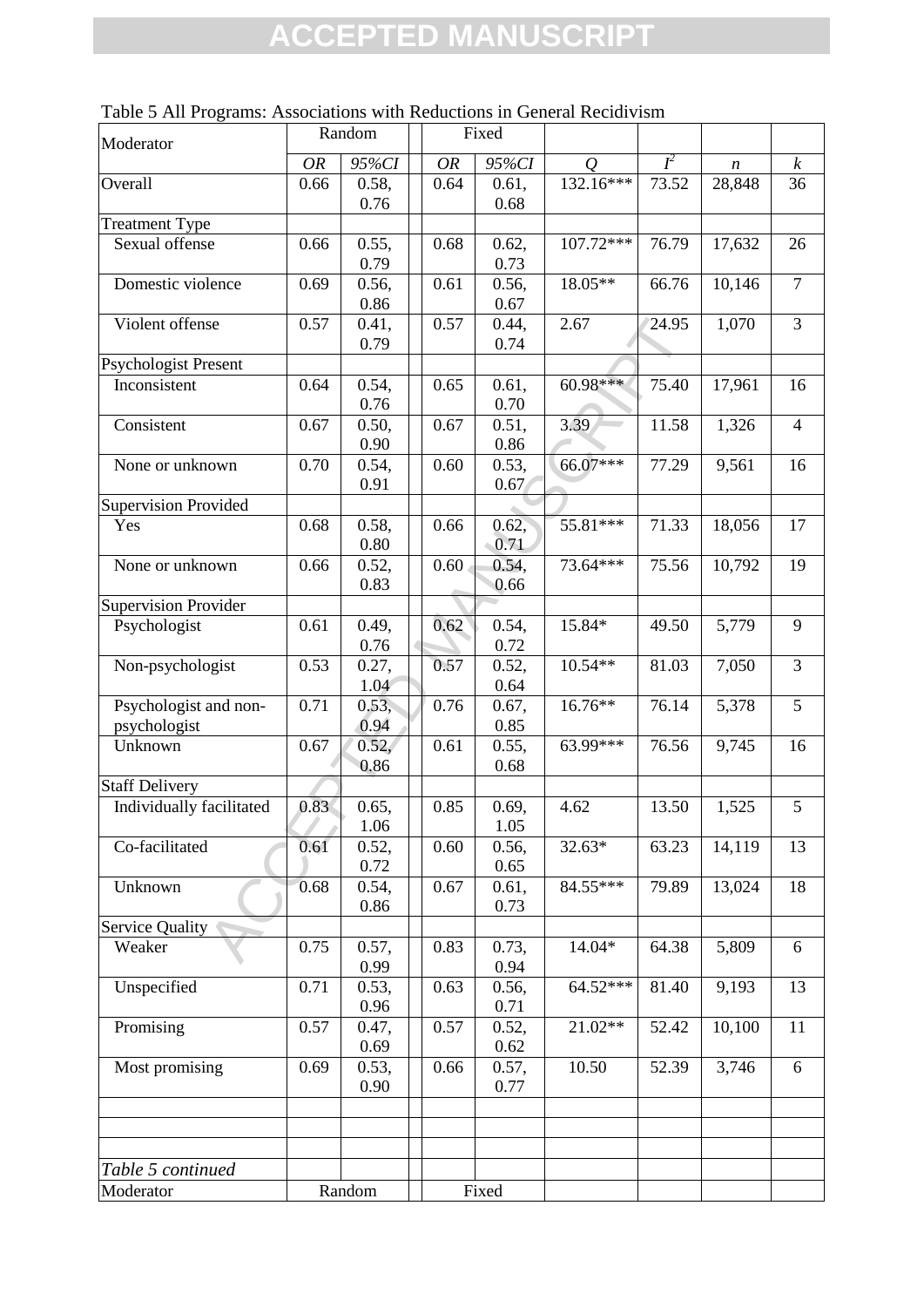| Moderator                   |           | Random        |           | Fixed         |                |       |                  |                  |
|-----------------------------|-----------|---------------|-----------|---------------|----------------|-------|------------------|------------------|
|                             | <b>OR</b> | 95%CI         | <b>OR</b> | 95%CI         | $\overline{O}$ | $I^2$ | $\boldsymbol{n}$ | $\boldsymbol{k}$ |
| Overall                     | 0.66      | 0.58,         | 0.64      | 0.61,         | 132.16***      | 73.52 | 28,848           | 36               |
|                             |           | 0.76          |           | 0.68          |                |       |                  |                  |
| <b>Treatment Type</b>       |           |               |           |               |                |       |                  |                  |
| Sexual offense              | 0.66      | 0.55,         | 0.68      | 0.62,         | 107.72***      | 76.79 | 17,632           | 26               |
|                             |           | 0.79          |           | 0.73          |                |       |                  |                  |
| Domestic violence           | 0.69      | 0.56,         | 0.61      | 0.56,         | 18.05**        | 66.76 | 10,146           | $\overline{7}$   |
|                             |           | 0.86          |           | 0.67          |                |       |                  |                  |
| Violent offense             | 0.57      | 0.41,         | 0.57      | 0.44,         | 2.67           | 24.95 | 1,070            | $\overline{3}$   |
|                             |           | 0.79          |           | 0.74          |                |       |                  |                  |
| <b>Psychologist Present</b> |           |               |           |               |                |       |                  |                  |
| Inconsistent                | 0.64      | 0.54,         | 0.65      | 0.61,         | $60.98***$     | 75.40 | 17,961           | 16               |
|                             |           | 0.76          |           | 0.70          |                |       |                  |                  |
| Consistent                  | 0.67      | 0.50,         | 0.67      | 0.51,         | 3.39           | 11.58 | 1,326            | $\overline{4}$   |
|                             |           | 0.90          |           | 0.86          |                |       |                  |                  |
| None or unknown             | 0.70      | 0.54,         | 0.60      | 0.53,         | 66.07***       | 77.29 | 9,561            | 16               |
|                             |           | 0.91          |           | 0.67          |                |       |                  |                  |
| <b>Supervision Provided</b> |           |               |           |               |                |       |                  |                  |
| Yes                         | 0.68      | 0.58,<br>0.80 | 0.66      | 0.62,<br>0.71 | 55.81***       | 71.33 | 18,056           | 17               |
| None or unknown             | 0.66      | 0.52,         | $0.60 -$  | 0.54,         | 73.64***       | 75.56 | 10,792           | 19               |
|                             |           | 0.83          |           | 0.66          |                |       |                  |                  |
| <b>Supervision Provider</b> |           |               |           |               |                |       |                  |                  |
| Psychologist                | 0.61      | 0.49,         | 0.62      | 0.54,         | 15.84*         | 49.50 | 5,779            | 9                |
|                             |           | 0.76          |           | 0.72          |                |       |                  |                  |
| Non-psychologist            | 0.53      | 0.27,         | 0.57      | 0.52,         | $10.54**$      | 81.03 | 7,050            | 3                |
|                             |           | 1.04          |           | 0.64          |                |       |                  |                  |
| Psychologist and non-       | 0.71      | 0.53,         | 0.76      | 0.67,         | 16.76**        | 76.14 | 5,378            | 5                |
| psychologist                |           | 0.94          |           | 0.85          |                |       |                  |                  |
| Unknown                     | 0.67      | 0.52,         | 0.61      | 0.55,         | 63.99***       | 76.56 | 9,745            | 16               |
|                             |           | 0.86          |           | 0.68          |                |       |                  |                  |
| <b>Staff Delivery</b>       |           |               |           |               |                |       |                  |                  |
| Individually facilitated    | 0.83      | 0.65,         | 0.85      | 0.69,         | 4.62           | 13.50 | 1,525            | 5                |
|                             |           | 1.06          |           | 1.05          |                |       |                  |                  |
| Co-facilitated              | 0.61      | 0.52,         | 0.60      | 0.56,         | $32.63*$       | 63.23 | 14,119           | 13               |
|                             |           | 0.72          |           | 0.65          |                |       |                  |                  |
| Unknown                     | 0.68      | 0.54,         | 0.67      | 0.61,         | 84.55***       | 79.89 | 13,024           | 18               |
|                             |           | 0.86          |           | 0.73          |                |       |                  |                  |
| Service Quality             |           |               |           |               |                |       |                  |                  |
| Weaker                      | 0.75      | 0.57,         | 0.83      | 0.73,         | 14.04*         | 64.38 | 5,809            | 6                |
|                             |           | 0.99          |           | 0.94          |                |       |                  |                  |
| Unspecified                 | 0.71      | 0.53,         | 0.63      | 0.56,         | 64.52***       | 81.40 | 9,193            | 13               |
|                             |           | 0.96          |           | 0.71          |                |       |                  |                  |
| Promising                   | 0.57      | 0.47,         | 0.57      | 0.52,         | 21.02**        | 52.42 | 10,100           | 11               |
|                             |           | 0.69          |           | 0.62          |                |       |                  |                  |
| Most promising              | 0.69      | 0.53,         | 0.66      | 0.57,         | 10.50          | 52.39 | 3,746            | 6                |
|                             |           | 0.90          |           | 0.77          |                |       |                  |                  |
|                             |           |               |           |               |                |       |                  |                  |
|                             |           |               |           |               |                |       |                  |                  |
|                             |           |               |           |               |                |       |                  |                  |
| Table 5 continued           |           |               |           |               |                |       |                  |                  |
| Moderator                   |           | Random        |           | Fixed         |                |       |                  |                  |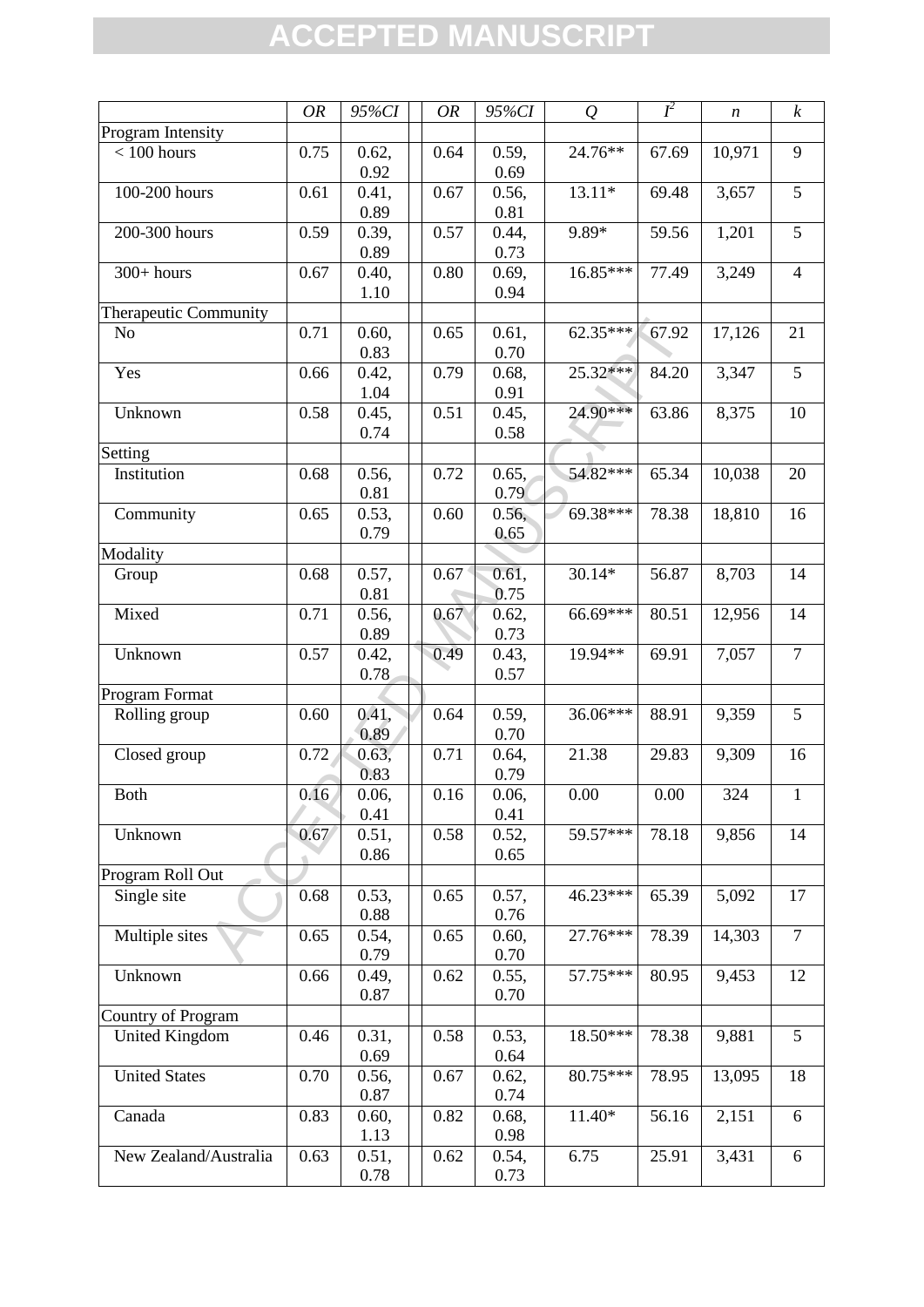|                                 | <b>OR</b> | 95%CI             | <b>OR</b> | 95%CI         | Q          | $I^2$ | $\boldsymbol{n}$ | $\boldsymbol{k}$ |
|---------------------------------|-----------|-------------------|-----------|---------------|------------|-------|------------------|------------------|
| Program Intensity               |           |                   |           |               |            |       |                  |                  |
| $< 100$ hours                   | 0.75      | $\overline{0.62}$ | 0.64      | 0.59,         | 24.76**    | 67.69 | 10,971           | 9                |
|                                 |           | 0.92              |           | 0.69          |            |       |                  |                  |
| 100-200 hours                   | 0.61      | 0.41,             | 0.67      | 0.56,         | $13.11*$   | 69.48 | 3,657            | 5                |
|                                 |           | 0.89              |           | 0.81          |            |       |                  |                  |
| 200-300 hours                   | 0.59      | 0.39,             | 0.57      | 0.44,         | 9.89*      | 59.56 | 1,201            | 5                |
|                                 |           | 0.89              |           | 0.73          |            |       |                  |                  |
| $300+ hours$                    | 0.67      | 0.40,             | 0.80      | 0.69,         | 16.85***   | 77.49 | 3,249            | $\overline{4}$   |
|                                 |           | 1.10              |           | 0.94          |            |       |                  |                  |
| Therapeutic Community           |           |                   |           |               |            |       |                  |                  |
| No                              | 0.71      | 0.60,             | 0.65      | 0.61,         | $62.35***$ | 67.92 | 17,126           | 21               |
|                                 |           | 0.83              |           | 0.70          |            |       |                  |                  |
| Yes                             | 0.66      | 0.42,             | 0.79      | 0.68,         | 25.32***   | 84.20 | 3,347            | $\overline{5}$   |
|                                 |           | 1.04              |           | 0.91          |            |       |                  |                  |
| Unknown                         | 0.58      | 0.45,             | 0.51      | 0.45,         | $24.90***$ | 63.86 | 8,375            | 10               |
|                                 |           | 0.74              |           | 0.58          |            |       |                  |                  |
| Setting                         |           |                   |           |               |            |       |                  |                  |
| Institution                     | 0.68      | 0.56,             | 0.72      | 0.65,         | 54.82***   | 65.34 | 10,038           | 20               |
|                                 |           | 0.81              |           | 0.79          |            |       |                  |                  |
| Community                       | 0.65      | 0.53,             | 0.60      | 0.56,         | 69.38***   | 78.38 | 18,810           | 16               |
|                                 |           | 0.79              |           | 0.65          |            |       |                  |                  |
| Modality                        |           |                   |           |               |            |       |                  |                  |
| Group                           | 0.68      | 0.57,             | 0.67      | 0.61,         | $30.14*$   | 56.87 | 8,703            | 14               |
|                                 |           | 0.81              |           | 0.75          |            |       |                  |                  |
| Mixed                           | 0.71      | 0.56,             | 0.67      | 0.62,         | 66.69***   | 80.51 | 12,956           | 14               |
|                                 |           | 0.89              |           | 0.73          |            |       |                  |                  |
| Unknown                         | 0.57      | 0.42,             | 0.49      | 0.43,         | 19.94**    | 69.91 | 7,057            | $\overline{7}$   |
|                                 |           | 0.78              |           | 0.57          |            |       |                  |                  |
| Program Format                  |           |                   |           |               |            |       |                  |                  |
|                                 |           | 0.41,             | 0.64      | 0.59,         | 36.06***   | 88.91 | 9,359            | 5                |
| Rolling group                   | 0.60      | 0.89              |           | 0.70          |            |       |                  |                  |
|                                 | 0.72      | 0.63,             | 0.71      | 0.64,         | 21.38      | 29.83 | 9,309            | 16               |
| Closed group                    |           | 0.83              |           |               |            |       |                  |                  |
| Both                            | 0.16      | 0.06,             | 0.16      | 0.79<br>0.06, | 0.00       | 0.00  | 324              | $\mathbf{1}$     |
|                                 |           | 0.41              |           | 0.41          |            |       |                  |                  |
|                                 |           |                   |           |               | 59.57***   | 78.18 |                  | 14               |
| Unknown                         | 0.67      | 0.51,<br>0.86     | 0.58      | 0.52,<br>0.65 |            |       | 9,856            |                  |
|                                 |           |                   |           |               |            |       |                  |                  |
| Program Roll Out<br>Single site | 0.68      | 0.53,             | 0.65      | 0.57,         | 46.23***   | 65.39 | 5,092            | 17               |
|                                 |           | 0.88              |           | 0.76          |            |       |                  |                  |
|                                 | 0.65      |                   | 0.65      |               | 27.76***   | 78.39 | 14,303           | $\overline{7}$   |
| Multiple sites                  |           | 0.54,             |           | 0.60,         |            |       |                  |                  |
|                                 |           | 0.79              |           | 0.70          | 57.75***   |       |                  |                  |
| Unknown                         | 0.66      | 0.49,             | 0.62      | 0.55,         |            | 80.95 | 9,453            | 12               |
|                                 |           | 0.87              |           | 0.70          |            |       |                  |                  |
| Country of Program              |           |                   |           |               |            |       |                  |                  |
| <b>United Kingdom</b>           | 0.46      | 0.31,             | 0.58      | 0.53,         | 18.50***   | 78.38 | 9,881            | 5                |
|                                 |           | 0.69              |           | 0.64          |            |       |                  |                  |
| <b>United States</b>            | 0.70      | 0.56,             | 0.67      | 0.62,         | 80.75***   | 78.95 | 13,095           | 18               |
|                                 |           | 0.87              |           | 0.74          |            |       |                  |                  |
| Canada                          | 0.83      | 0.60,             | 0.82      | 0.68,         | 11.40*     | 56.16 | 2,151            | 6                |
|                                 |           | 1.13              |           | 0.98          |            |       |                  |                  |
| New Zealand/Australia           | 0.63      | 0.51,             | 0.62      | 0.54,         | 6.75       | 25.91 | 3,431            | 6                |
|                                 |           | 0.78              |           | 0.73          |            |       |                  |                  |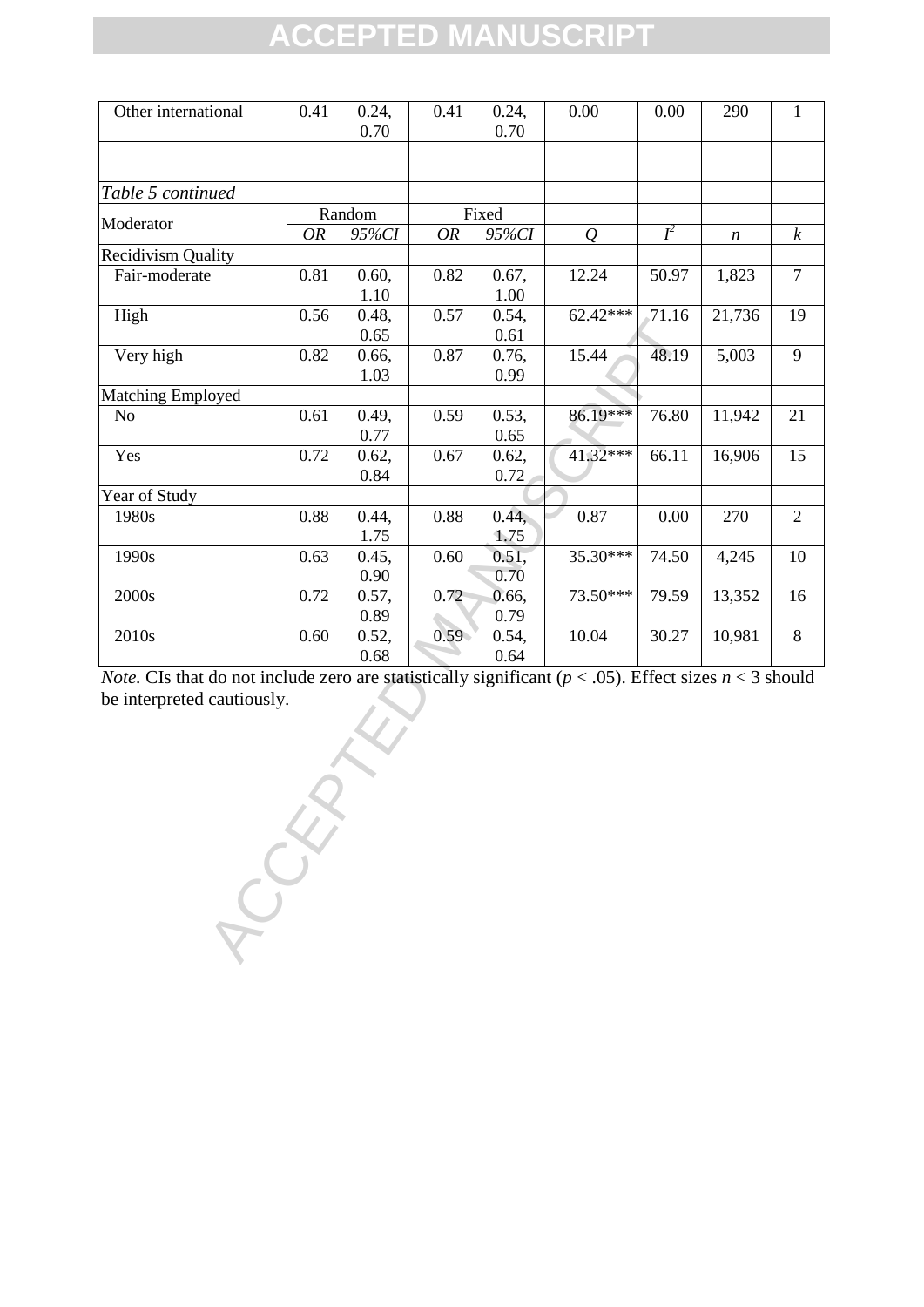| Other international       | 0.41      | 0.24,<br>0.70 | 0.41      | 0.24,<br>0.70 | 0.00       | 0.00  | 290              | $\mathbf{1}$     |
|---------------------------|-----------|---------------|-----------|---------------|------------|-------|------------------|------------------|
|                           |           |               |           |               |            |       |                  |                  |
| Table 5 continued         |           |               |           |               |            |       |                  |                  |
| Moderator                 |           | Random        |           | Fixed         |            |       |                  |                  |
|                           | <b>OR</b> | 95%CI         | <b>OR</b> | 95%CI         | Q          | $I^2$ | $\boldsymbol{n}$ | $\boldsymbol{k}$ |
| <b>Recidivism Quality</b> |           |               |           |               |            |       |                  |                  |
| Fair-moderate             | 0.81      | 0.60,         | 0.82      | 0.67,         | 12.24      | 50.97 | 1,823            | $\overline{7}$   |
|                           |           | 1.10          |           | 1.00          |            |       |                  |                  |
| High                      | 0.56      | 0.48,         | 0.57      | 0.54,         | $62.42***$ | 71.16 | 21,736           | 19               |
|                           |           | 0.65          |           | 0.61          |            |       |                  |                  |
| Very high                 | 0.82      | 0.66,         | 0.87      | 0.76,         | 15.44      | 48.19 | 5,003            | 9                |
|                           |           | 1.03          |           | 0.99          |            |       |                  |                  |
| <b>Matching Employed</b>  |           |               |           |               |            |       |                  |                  |
| No                        | 0.61      | 0.49,         | 0.59      | 0.53,         | 86.19***   | 76.80 | 11,942           | 21               |
|                           |           | 0.77          |           | 0.65          |            |       |                  |                  |
| Yes                       | 0.72      | 0.62,         | 0.67      | 0.62,         | 41.32***   | 66.11 | 16,906           | 15               |
|                           |           | 0.84          |           | 0.72          |            |       |                  |                  |
| Year of Study             |           |               |           |               |            |       |                  |                  |
| 1980s                     | 0.88      | 0.44,         | 0.88      | 0.44,         | 0.87       | 0.00  | 270              | $\overline{2}$   |
|                           |           | 1.75          |           | 1.75          |            |       |                  |                  |
| 1990s                     | 0.63      | 0.45,         | 0.60      | 0.51,         | 35.30***   | 74.50 | 4,245            | 10               |
|                           |           | 0.90          |           | 0.70          |            |       |                  |                  |
| 2000s                     | 0.72      | 0.57,         | 0.72      | 0.66,         | 73.50***   | 79.59 | 13,352           | 16               |
|                           |           | 0.89          |           | 0.79          |            |       |                  |                  |
| 2010s                     | 0.60      | 0.52,         | 0.59      | 0.54,         | 10.04      | 30.27 | 10,981           | 8                |
|                           |           | 0.68          |           | 0.64          |            |       |                  |                  |

*Note.* CIs that do not include zero are statistically significant ( $p < .05$ ). Effect sizes  $n < 3$  should be interpreted cautiously.

ROCKETTE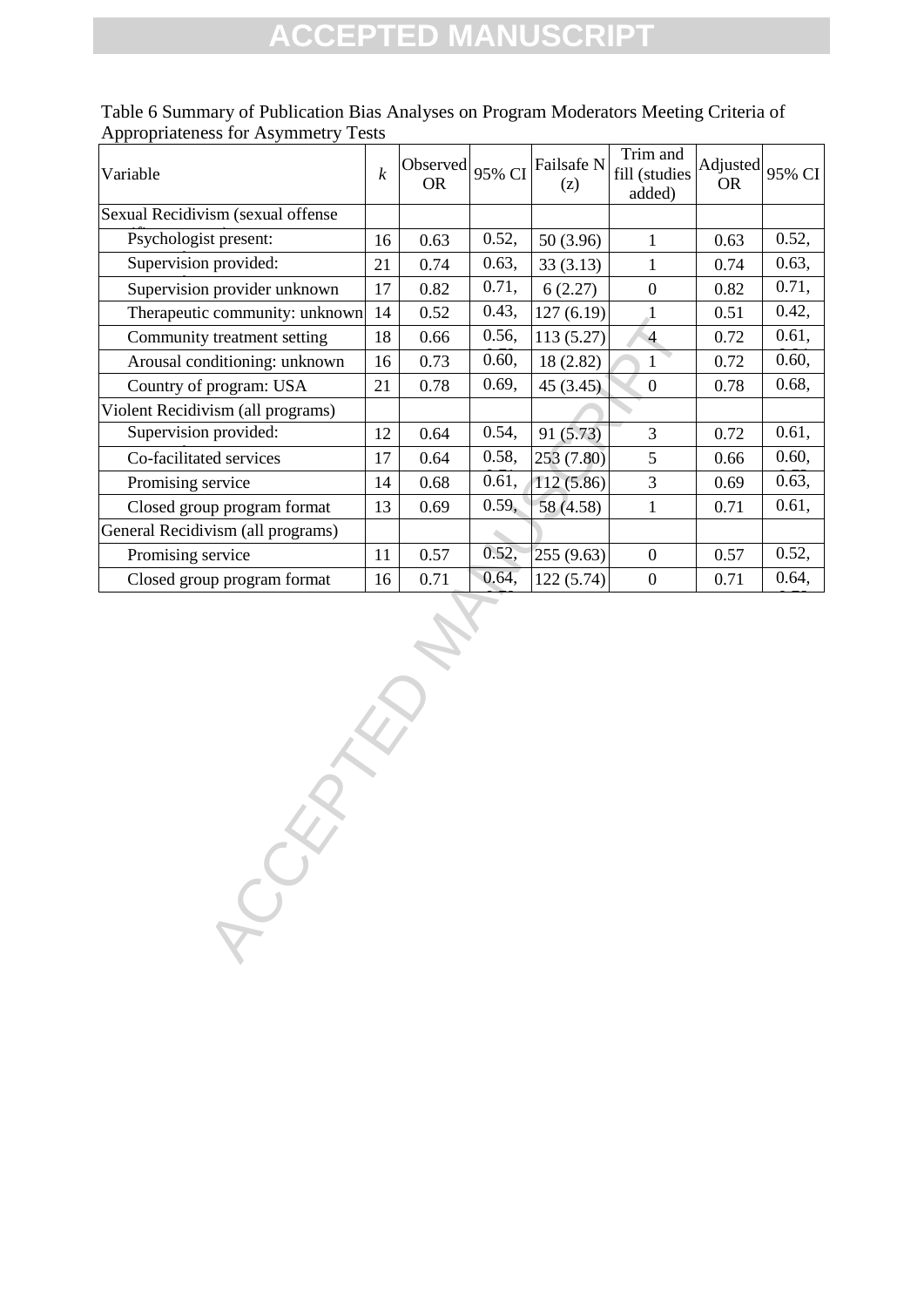| $\boldsymbol{k}$ | <b>OR</b> | 95% CI | Failsafe N<br>(z) | Trim and<br>fill (studies | <b>OR</b> | 95% CI   |
|------------------|-----------|--------|-------------------|---------------------------|-----------|----------|
|                  |           |        |                   |                           |           |          |
| 16               | 0.63      | 0.52,  | 50 (3.96)         | $\mathbf{1}$              | 0.63      | 0.52,    |
| 21               | 0.74      | 0.63,  | 33(3.13)          | $\mathbf{1}$              | 0.74      | 0.63,    |
| 17               | 0.82      | 0.71,  | 6(2.27)           | $\boldsymbol{0}$          | 0.82      | 0.71,    |
| 14               | 0.52      | 0.43,  | 127(6.19)         | $\cdot$ 1                 | 0.51      | 0.42,    |
| 18               | 0.66      | 0.56,  | 113(5.27)         | $\overline{4}$            | 0.72      | 0.61,    |
| 16               | 0.73      | 0.60,  | 18 (2.82)         | $\mathbf{1}$              | 0.72      | 0.60,    |
| 21               | 0.78      | 0.69,  | 45(3.45)          | $\overline{0}$            | 0.78      | 0.68,    |
|                  |           |        |                   |                           |           |          |
| 12               | 0.64      | 0.54,  | 91 (5.73)         | 3                         | 0.72      | 0.61,    |
| 17               | 0.64      | 0.58,  | 253 (7.80)        | 5                         | 0.66      | 0.60,    |
| 14               | 0.68      | 0.61,  | 112(5.86)         | 3                         | 0.69      | 0.63,    |
| 13               | 0.69      | 0.59,  | 58 (4.58)         | $\mathbf{1}$              | 0.71      | 0.61,    |
|                  |           |        |                   |                           |           |          |
| 11               | 0.57      | 0.52,  | 255(9.63)         | $\boldsymbol{0}$          | 0.57      | 0.52,    |
| 16               | 0.71      | 0.64,  | 122(5.74)         | $\boldsymbol{0}$          | 0.71      | 0.64,    |
|                  |           |        |                   |                           |           |          |
|                  |           | E      | Observed          |                           | added)    | Adjusted |

Table 6 Summary of Publication Bias Analyses on Program Moderators Meeting Criteria of Appropriateness for Asymmetry Tests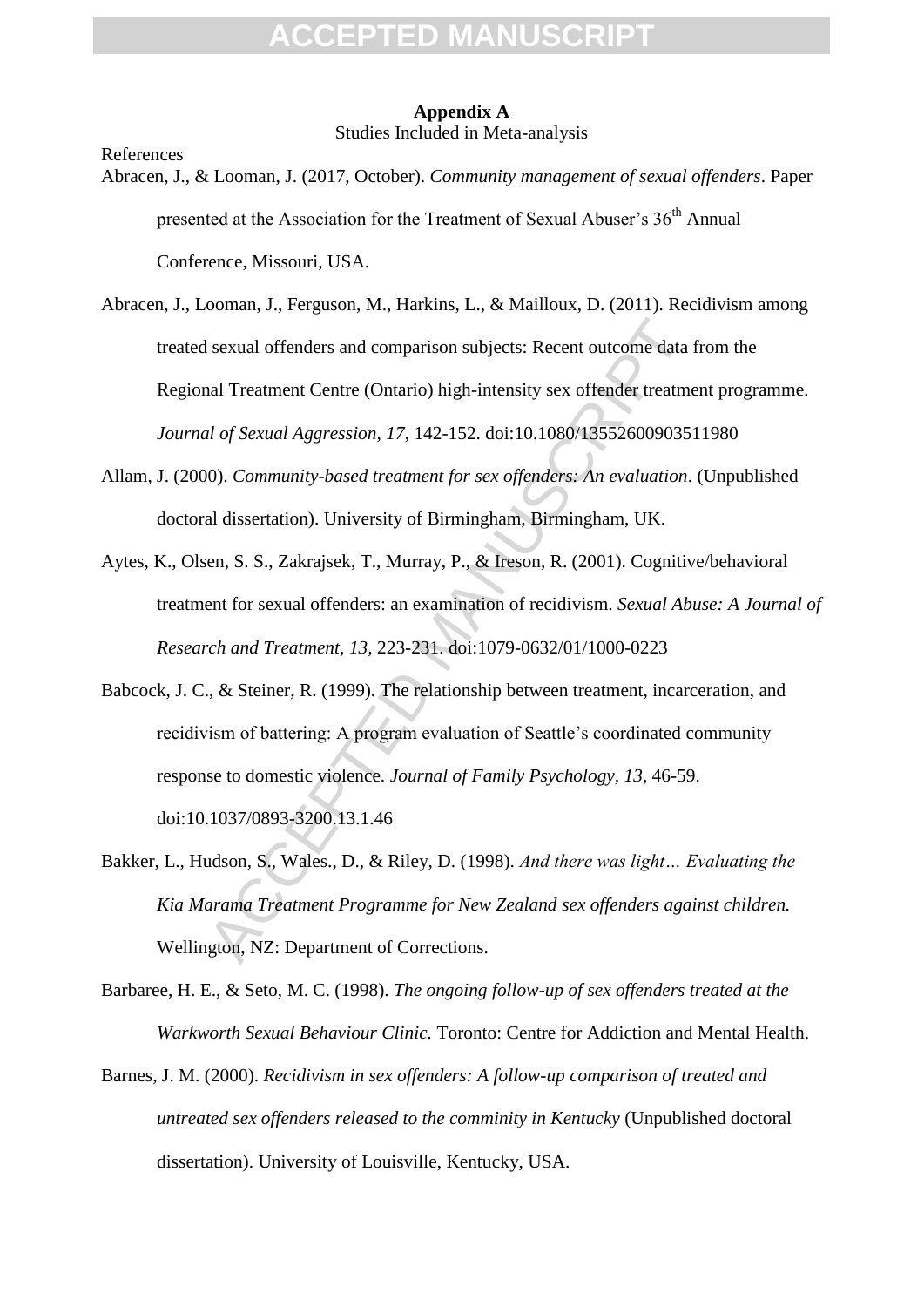#### **Appendix A** Studies Included in Meta-analysis

References

- Abracen, J., & Looman, J. (2017, October). *Community management of sexual offenders*. Paper presented at the Association for the Treatment of Sexual Abuser's 36<sup>th</sup> Annual Conference, Missouri, USA.
- Abracen, J., Looman, J., Ferguson, M., Harkins, L., & Mailloux, D. (2011). Recidivism among treated sexual offenders and comparison subjects: Recent outcome data from the Regional Treatment Centre (Ontario) high-intensity sex offender treatment programme. *Journal of Sexual Aggression, 17*, 142-152. doi:10.1080/13552600903511980
- Allam, J. (2000). *Community-based treatment for sex offenders: An evaluation*. (Unpublished doctoral dissertation). University of Birmingham, Birmingham, UK.
- Aytes, K., Olsen, S. S., Zakrajsek, T., Murray, P., & Ireson, R. (2001). Cognitive/behavioral treatment for sexual offenders: an examination of recidivism. *Sexual Abuse: A Journal of Research and Treatment, 13,* 223-231. doi:1079-0632/01/1000-0223
- sexual offenders and comparison subjects: Recent outcome data that Treatment Centre (Ontario) high-intensity sex offender treatment of *Sexual Aggression*, 17, 142-152. doi:10.1080/1355260090351<br>OD. Community-based treatme Babcock, J. C., & Steiner, R. (1999). The relationship between treatment, incarceration, and recidivism of battering: A program evaluation of Seattle's coordinated community response to domestic violence. *Journal of Family Psychology, 13*, 46-59. doi:10.1037/0893-3200.13.1.46
- Bakker, L., Hudson, S., Wales., D., & Riley, D. (1998). *And there was light… Evaluating the Kia Marama Treatment Programme for New Zealand sex offenders against children.* Wellington, NZ: Department of Corrections.
- Barbaree, H. E., & Seto, M. C. (1998). *The ongoing follow-up of sex offenders treated at the Warkworth Sexual Behaviour Clinic.* Toronto: Centre for Addiction and Mental Health.
- Barnes, J. M. (2000). *Recidivism in sex offenders: A follow-up comparison of treated and untreated sex offenders released to the comminity in Kentucky* (Unpublished doctoral dissertation). University of Louisville, Kentucky, USA.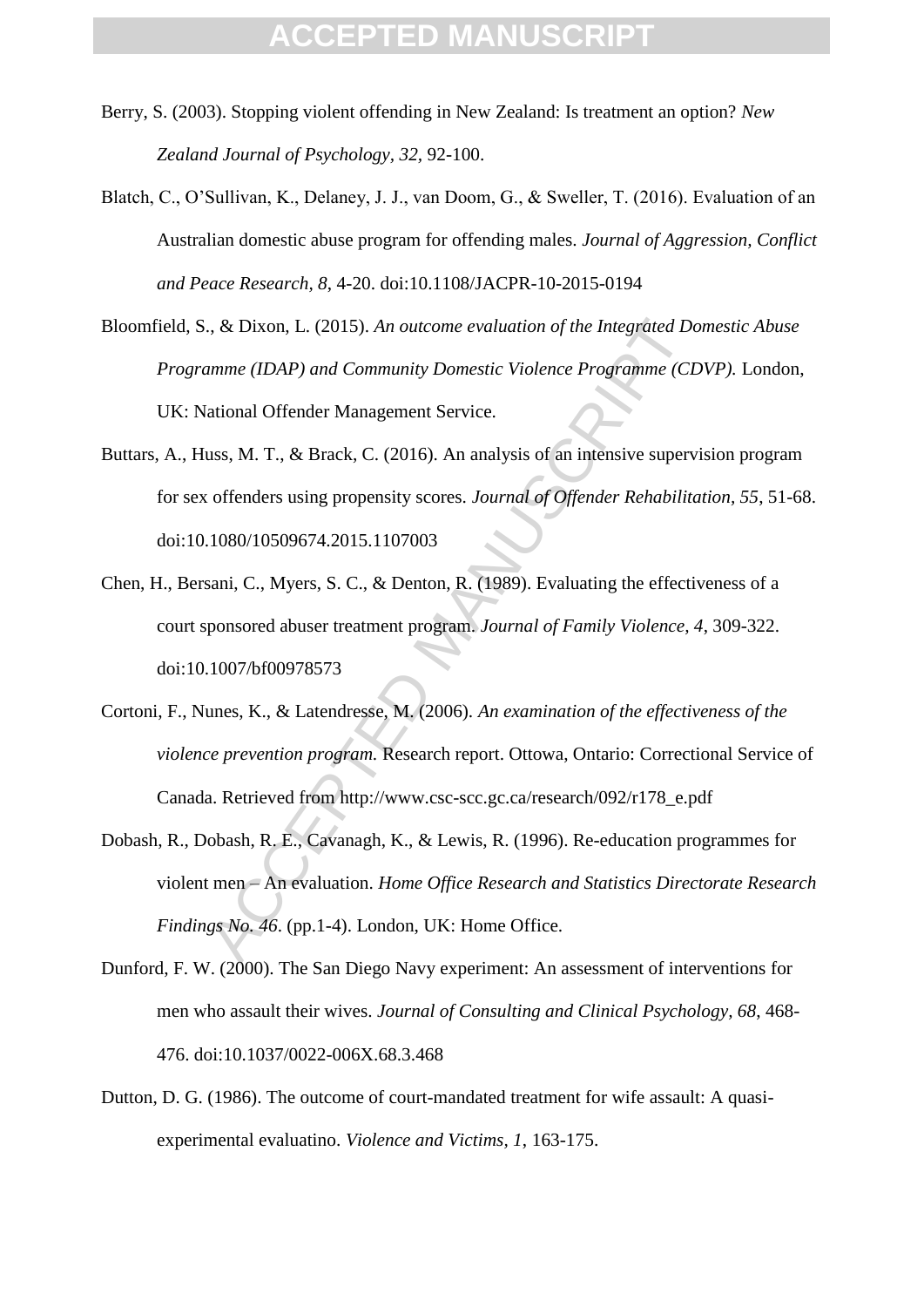- Berry, S. (2003). Stopping violent offending in New Zealand: Is treatment an option? *New Zealand Journal of Psychology, 32,* 92-100.
- Blatch, C., O'Sullivan, K., Delaney, J. J., van Doom, G., & Sweller, T. (2016). Evaluation of an Australian domestic abuse program for offending males. *Journal of Aggression, Conflict and Peace Research, 8*, 4-20. doi:10.1108/JACPR-10-2015-0194
- Bloomfield, S., & Dixon, L. (2015). *An outcome evaluation of the Integrated Domestic Abuse Programme (IDAP) and Community Domestic Violence Programme (CDVP).* London, UK: National Offender Management Service.
- Buttars, A., Huss, M. T., & Brack, C. (2016). An analysis of an intensive supervision program for sex offenders using propensity scores. *Journal of Offender Rehabilitation, 55*, 51-68. doi:10.1080/10509674.2015.1107003
- Chen, H., Bersani, C., Myers, S. C., & Denton, R. (1989). Evaluating the effectiveness of a court sponsored abuser treatment program. *Journal of Family Violence, 4*, 309-322. doi:10.1007/bf00978573
- Cortoni, F., Nunes, K., & Latendresse, M. (2006). *An examination of the effectiveness of the violence prevention program.* Research report. Ottowa, Ontario: Correctional Service of Canada. Retrieved from http://www.csc-scc.gc.ca/research/092/r178\_e.pdf
- ., & Dixon, L. (2015). An outcome evaluation of the Integrated De<br>
amme (IDAP) and Community Domestic Violence Programme (CI<br>
ational Offender Management Service.<br>
uss, M. T., & Brack, C. (2016). An analysis of an intensiv Dobash, R., Dobash, R. E., Cavanagh, K., & Lewis, R. (1996). Re-education programmes for violent men – An evaluation. *Home Office Research and Statistics Directorate Research Findings No. 46*. (pp.1-4). London, UK: Home Office.
- Dunford, F. W. (2000). The San Diego Navy experiment: An assessment of interventions for men who assault their wives. *Journal of Consulting and Clinical Psychology, 68*, 468- 476. doi:10.1037/0022-006X.68.3.468
- Dutton, D. G. (1986). The outcome of court-mandated treatment for wife assault: A quasiexperimental evaluatino. *Violence and Victims, 1*, 163-175.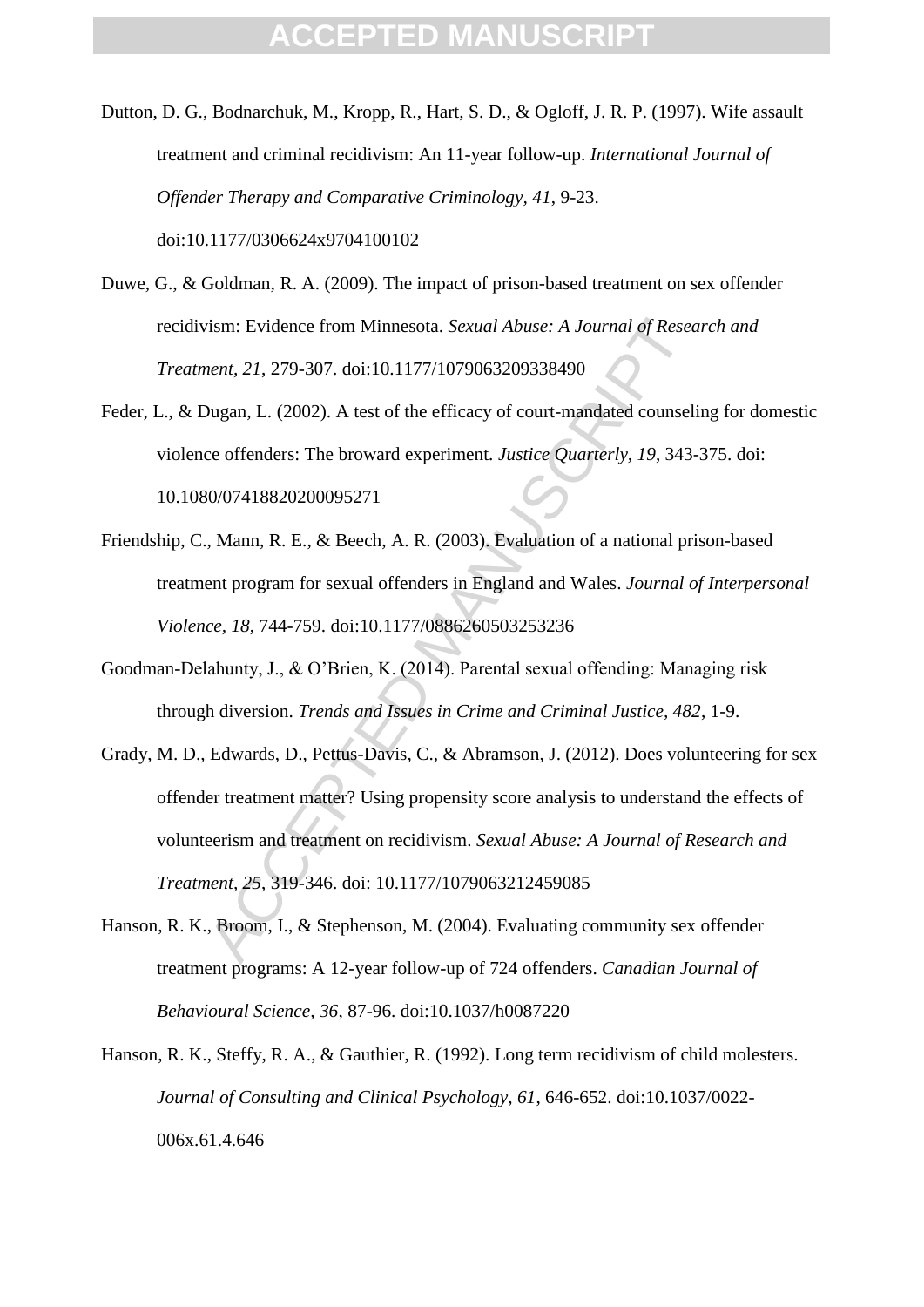- Dutton, D. G., Bodnarchuk, M., Kropp, R., Hart, S. D., & Ogloff, J. R. P. (1997). Wife assault treatment and criminal recidivism: An 11-year follow-up. *International Journal of Offender Therapy and Comparative Criminology, 41*, 9-23. doi:10.1177/0306624x9704100102
- Duwe, G., & Goldman, R. A. (2009). The impact of prison-based treatment on sex offender recidivism: Evidence from Minnesota. *Sexual Abuse: A Journal of Research and Treatment, 21*, 279-307. doi:10.1177/1079063209338490
- Feder, L., & Dugan, L. (2002). A test of the efficacy of court-mandated counseling for domestic violence offenders: The broward experiment. *Justice Quarterly, 19*, 343-375. doi: 10.1080/07418820200095271
- Friendship, C., Mann, R. E., & Beech, A. R. (2003). Evaluation of a national prison-based treatment program for sexual offenders in England and Wales. *Journal of Interpersonal Violence, 18*, 744-759. doi:10.1177/0886260503253236
- Goodman-Delahunty, J., & O'Brien, K. (2014). Parental sexual offending: Managing risk through diversion. *Trends and Issues in Crime and Criminal Justice, 482*, 1-9.
- vism: Evidence from Minnesota. *Sexual Abuse: A Journal of Reset*<br> *Neart, 21, 279-307.* doi:10.1177/1079063209338490<br>
Dugan, L. (2002). A test of the efficacy of court-mandated counsel:<br>
ce offenders: The broward experim Grady, M. D., Edwards, D., Pettus-Davis, C., & Abramson, J. (2012). Does volunteering for sex offender treatment matter? Using propensity score analysis to understand the effects of volunteerism and treatment on recidivism. *Sexual Abuse: A Journal of Research and Treatment, 25*, 319-346. doi: 10.1177/1079063212459085
- Hanson, R. K., Broom, I., & Stephenson, M. (2004). Evaluating community sex offender treatment programs: A 12-year follow-up of 724 offenders. *Canadian Journal of Behavioural Science, 36*, 87-96. doi:10.1037/h0087220
- Hanson, R. K., Steffy, R. A., & Gauthier, R. (1992). Long term recidivism of child molesters. *Journal of Consulting and Clinical Psychology, 61*, 646-652. doi:10.1037/0022- 006x.61.4.646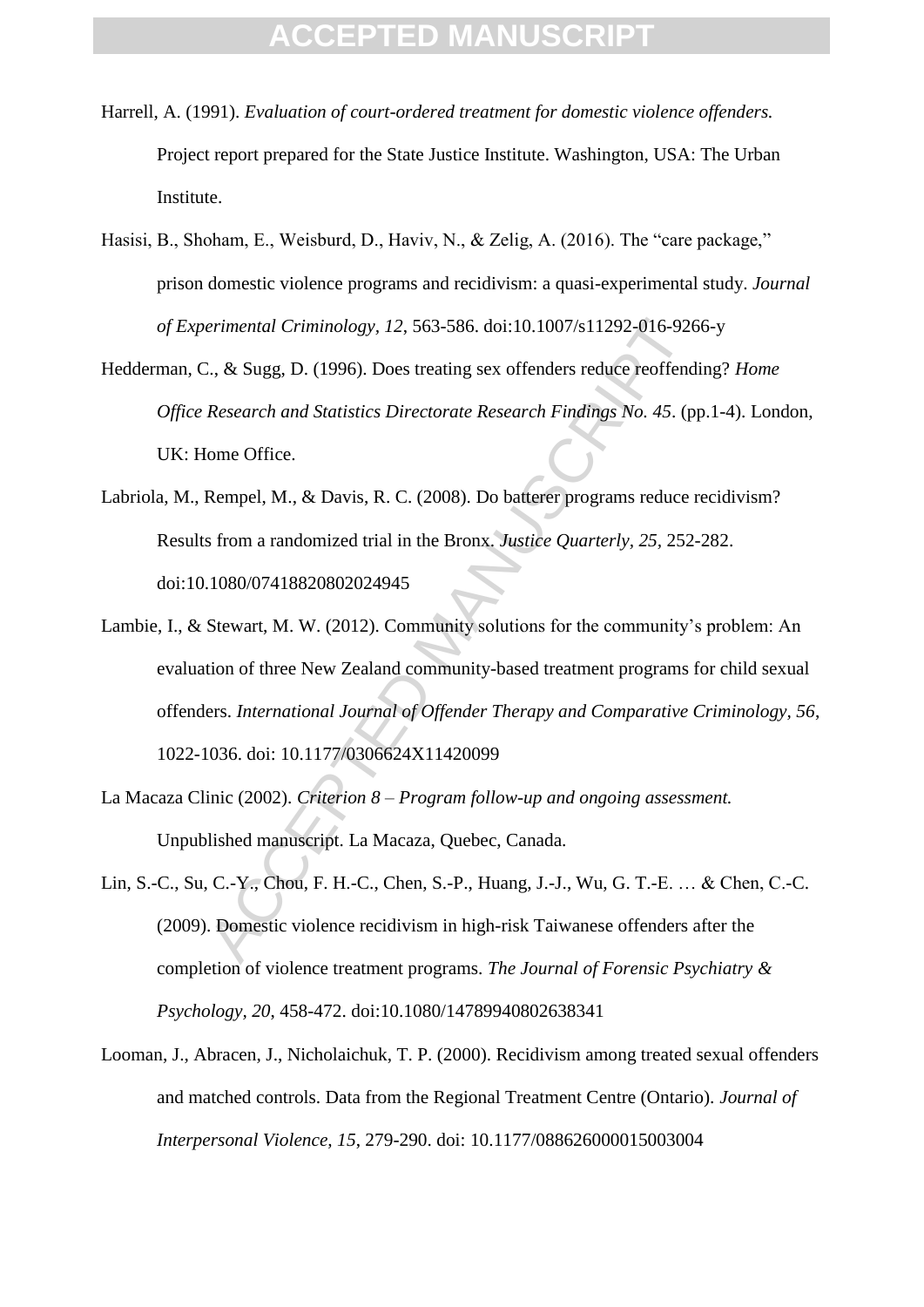- Harrell, A. (1991). *Evaluation of court-ordered treatment for domestic violence offenders.* Project report prepared for the State Justice Institute. Washington, USA: The Urban Institute.
- Hasisi, B., Shoham, E., Weisburd, D., Haviv, N., & Zelig, A. (2016). The "care package," prison domestic violence programs and recidivism: a quasi-experimental study. *Journal of Experimental Criminology, 12*, 563-586. doi:10.1007/s11292-016-9266-y
- Hedderman, C., & Sugg, D. (1996). Does treating sex offenders reduce reoffending? *Home Office Research and Statistics Directorate Research Findings No. 45*. (pp.1-4). London, UK: Home Office.
- Labriola, M., Rempel, M., & Davis, R. C. (2008). Do batterer programs reduce recidivism? Results from a randomized trial in the Bronx. *Justice Quarterly, 25,* 252-282. doi:10.1080/07418820802024945
- erimental Criminology, 12, 563-586. doi:10.1007/s11292-016-926<br>
2., & Sugg, D. (1996). Does treating sex offenders reduce reoffend<br>
Research and Statistics Directorate Research Findings No. 45. (p<br>
[ome Office.<br>
Rempel, M. Lambie, I., & Stewart, M. W. (2012). Community solutions for the community's problem: An evaluation of three New Zealand community-based treatment programs for child sexual offenders. *International Journal of Offender Therapy and Comparative Criminology, 56*, 1022-1036. doi: 10.1177/0306624X11420099
- La Macaza Clinic (2002). *Criterion 8 – Program follow-up and ongoing assessment.* Unpublished manuscript. La Macaza, Quebec, Canada.
- Lin, S.-C., Su, C.-Y., Chou, F. H.-C., Chen, S.-P., Huang, J.-J., Wu, G. T.-E. … & Chen, C.-C. (2009). Domestic violence recidivism in high-risk Taiwanese offenders after the completion of violence treatment programs. *The Journal of Forensic Psychiatry & Psychology, 20*, 458-472. doi:10.1080/14789940802638341
- Looman, J., Abracen, J., Nicholaichuk, T. P. (2000). Recidivism among treated sexual offenders and matched controls. Data from the Regional Treatment Centre (Ontario). *Journal of Interpersonal Violence, 15*, 279-290. doi: 10.1177/088626000015003004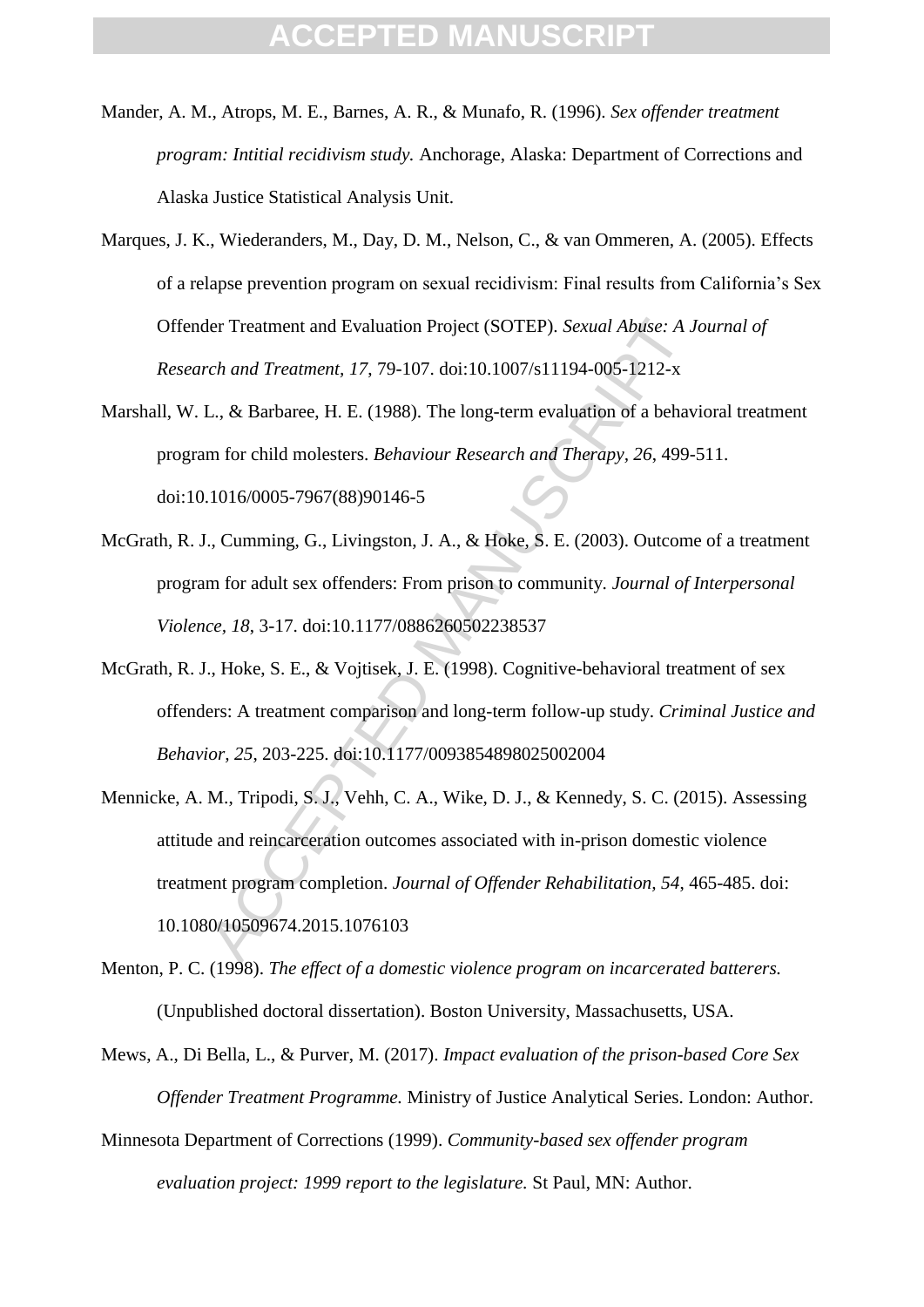- Mander, A. M., Atrops, M. E., Barnes, A. R., & Munafo, R. (1996). *Sex offender treatment program: Intitial recidivism study.* Anchorage, Alaska: Department of Corrections and Alaska Justice Statistical Analysis Unit.
- Marques, J. K., Wiederanders, M., Day, D. M., Nelson, C., & van Ommeren, A. (2005). Effects of a relapse prevention program on sexual recidivism: Final results from California's Sex Offender Treatment and Evaluation Project (SOTEP). *Sexual Abuse: A Journal of Research and Treatment, 17*, 79-107. doi:10.1007/s11194-005-1212-x
- Marshall, W. L., & Barbaree, H. E. (1988). The long-term evaluation of a behavioral treatment program for child molesters. *Behaviour Research and Therapy, 26*, 499-511. doi:10.1016/0005-7967(88)90146-5
- McGrath, R. J., Cumming, G., Livingston, J. A., & Hoke, S. E. (2003). Outcome of a treatment program for adult sex offenders: From prison to community. *Journal of Interpersonal Violence, 18*, 3-17. doi:10.1177/0886260502238537
- McGrath, R. J., Hoke, S. E., & Vojtisek, J. E. (1998). Cognitive-behavioral treatment of sex offenders: A treatment comparison and long-term follow-up study. *Criminal Justice and Behavior, 25*, 203-225. doi:10.1177/0093854898025002004
- ler Treatment and Evaluation Project (SOTEP). *Sexual Abuse: A J*<br>rch and Treatment, 17, 79-107. doi:10.1007/s11194-005-1212-x<br>L., & Barbaree, H. E. (1988). The long-term evaluation of a behav<br>m for child molesters. *Behav* Mennicke, A. M., Tripodi, S. J., Vehh, C. A., Wike, D. J., & Kennedy, S. C. (2015). Assessing attitude and reincarceration outcomes associated with in-prison domestic violence treatment program completion. *Journal of Offender Rehabilitation, 54*, 465-485. doi: 10.1080/10509674.2015.1076103
- Menton, P. C. (1998). *The effect of a domestic violence program on incarcerated batterers.* (Unpublished doctoral dissertation). Boston University, Massachusetts, USA.
- Mews, A., Di Bella, L., & Purver, M. (2017). *Impact evaluation of the prison-based Core Sex Offender Treatment Programme.* Ministry of Justice Analytical Series. London: Author.
- Minnesota Department of Corrections (1999). *Community-based sex offender program evaluation project: 1999 report to the legislature.* St Paul, MN: Author.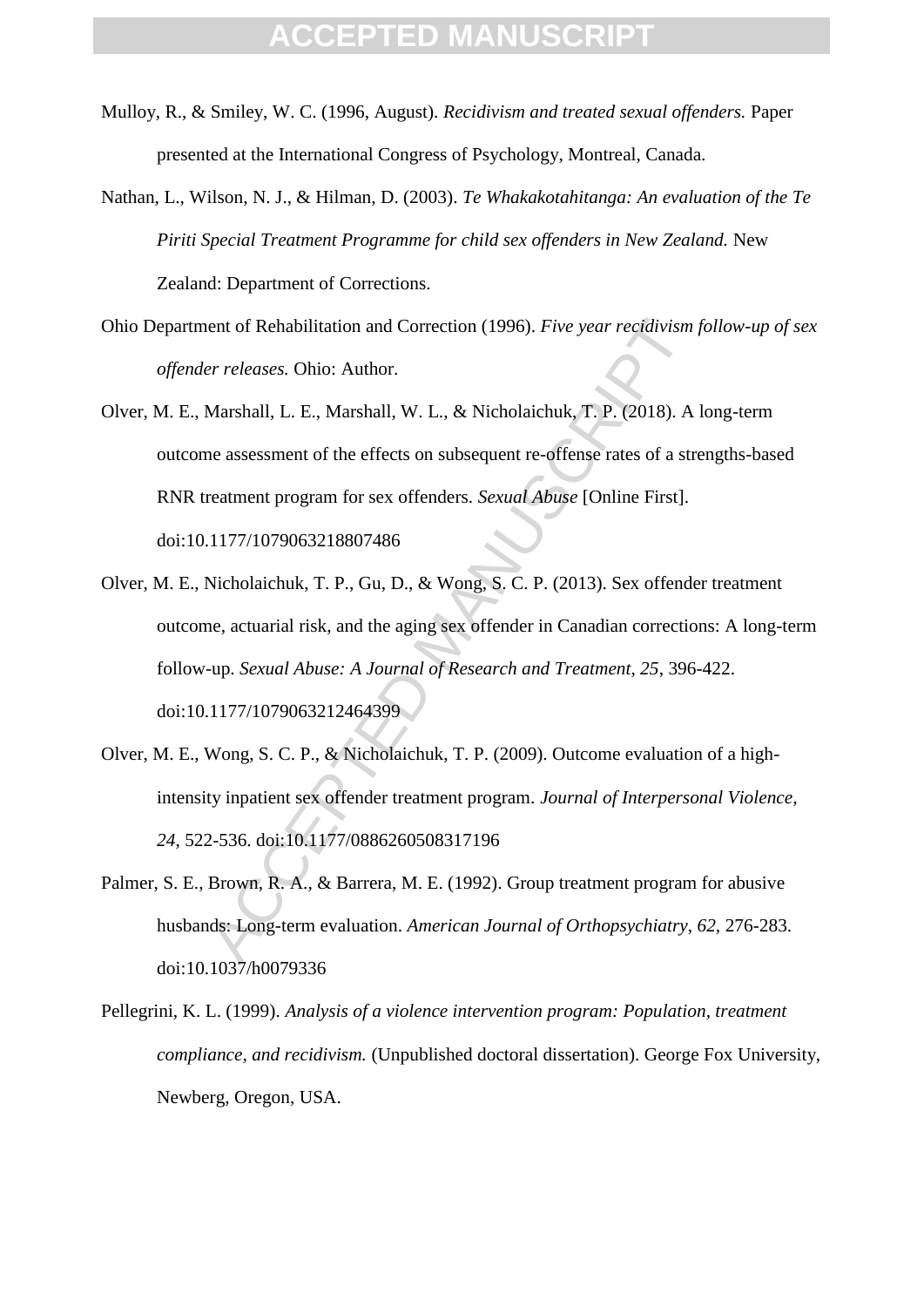- Mulloy, R., & Smiley, W. C. (1996, August). *Recidivism and treated sexual offenders.* Paper presented at the International Congress of Psychology, Montreal, Canada.
- Nathan, L., Wilson, N. J., & Hilman, D. (2003). *Te Whakakotahitanga: An evaluation of the Te Piriti Special Treatment Programme for child sex offenders in New Zealand.* New Zealand: Department of Corrections.
- Ohio Department of Rehabilitation and Correction (1996). *Five year recidivism follow-up of sex offender releases.* Ohio: Author.
- Olver, M. E., Marshall, L. E., Marshall, W. L., & Nicholaichuk, T. P. (2018). A long-term outcome assessment of the effects on subsequent re-offense rates of a strengths-based RNR treatment program for sex offenders. *Sexual Abuse* [Online First]. doi:10.1177/1079063218807486
- ent of Rehabilitation and Correction (1996). *Five year recidivism*<br> *er releases.* Ohio: Author.<br>
Marshall, L. E., Marshall, W. L., & Nicholaichuk, T. P. (2018). A<br>
me assessment of the effects on subsequent re-offense ra Olver, M. E., Nicholaichuk, T. P., Gu, D., & Wong, S. C. P. (2013). Sex offender treatment outcome, actuarial risk, and the aging sex offender in Canadian corrections: A long-term follow-up. *Sexual Abuse: A Journal of Research and Treatment, 25*, 396-422. doi:10.1177/1079063212464399
- Olver, M. E., Wong, S. C. P., & Nicholaichuk, T. P. (2009). Outcome evaluation of a highintensity inpatient sex offender treatment program. *Journal of Interpersonal Violence, 24*, 522-536. doi:10.1177/0886260508317196
- Palmer, S. E., Brown, R. A., & Barrera, M. E. (1992). Group treatment program for abusive husbands: Long-term evaluation. *American Journal of Orthopsychiatry, 62,* 276-283. doi:10.1037/h0079336
- Pellegrini, K. L. (1999). *Analysis of a violence intervention program: Population, treatment compliance, and recidivism.* (Unpublished doctoral dissertation). George Fox University, Newberg, Oregon, USA.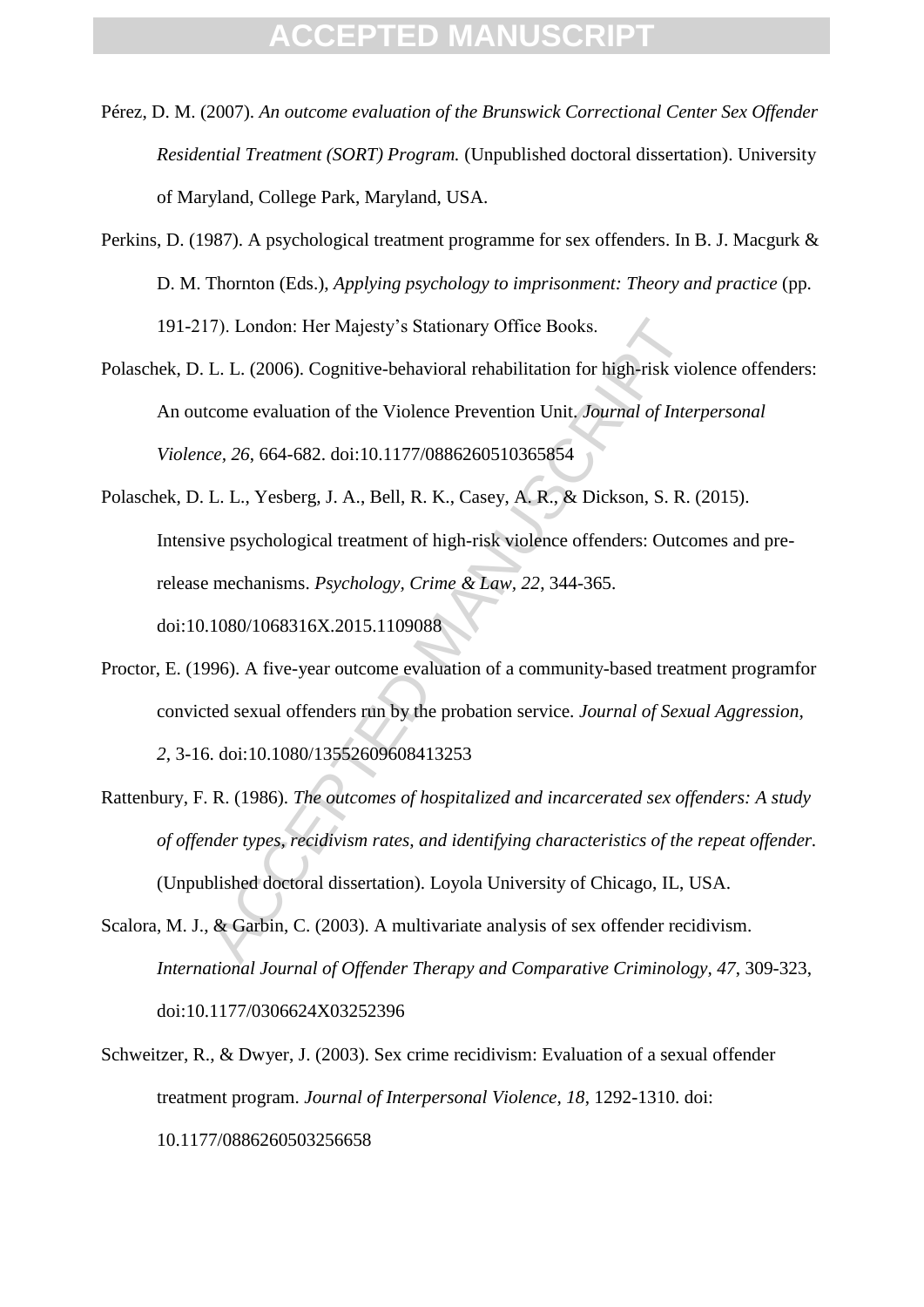- Pérez, D. M. (2007). *An outcome evaluation of the Brunswick Correctional Center Sex Offender Residential Treatment (SORT) Program.* (Unpublished doctoral dissertation). University of Maryland, College Park, Maryland, USA.
- Perkins, D. (1987). A psychological treatment programme for sex offenders. In B. J. Macgurk & D. M. Thornton (Eds.), *Applying psychology to imprisonment: Theory and practice* (pp. 191-217). London: Her Majesty's Stationary Office Books.
- Polaschek, D. L. L. (2006). Cognitive-behavioral rehabilitation for high-risk violence offenders: An outcome evaluation of the Violence Prevention Unit. *Journal of Interpersonal Violence, 26*, 664-682. doi:10.1177/0886260510365854
- 17). London: Her Majesty's Stationary Office Books.<br>
L. L. (2006). Cognitive-behavioral rehabilitation for high-risk vio<br>
tcome evaluation of the Violence Prevention Unit, Journal of Inter<br>
cc, 26, 664-682. doi:10.1177/08 Polaschek, D. L. L., Yesberg, J. A., Bell, R. K., Casey, A. R., & Dickson, S. R. (2015). Intensive psychological treatment of high-risk violence offenders: Outcomes and prerelease mechanisms. *Psychology, Crime & Law, 22*, 344-365. doi:10.1080/1068316X.2015.1109088
- Proctor, E. (1996). A five-year outcome evaluation of a community-based treatment programfor convicted sexual offenders run by the probation service. *Journal of Sexual Aggression, 2*, 3-16. doi:10.1080/13552609608413253
- Rattenbury, F. R. (1986). *The outcomes of hospitalized and incarcerated sex offenders: A study of offender types, recidivism rates, and identifying characteristics of the repeat offender.* (Unpublished doctoral dissertation). Loyola University of Chicago, IL, USA.
- Scalora, M. J., & Garbin, C. (2003). A multivariate analysis of sex offender recidivism. *International Journal of Offender Therapy and Comparative Criminology, 47*, 309-323, doi:10.1177/0306624X03252396
- Schweitzer, R., & Dwyer, J. (2003). Sex crime recidivism: Evaluation of a sexual offender treatment program. *Journal of Interpersonal Violence, 18*, 1292-1310. doi: 10.1177/0886260503256658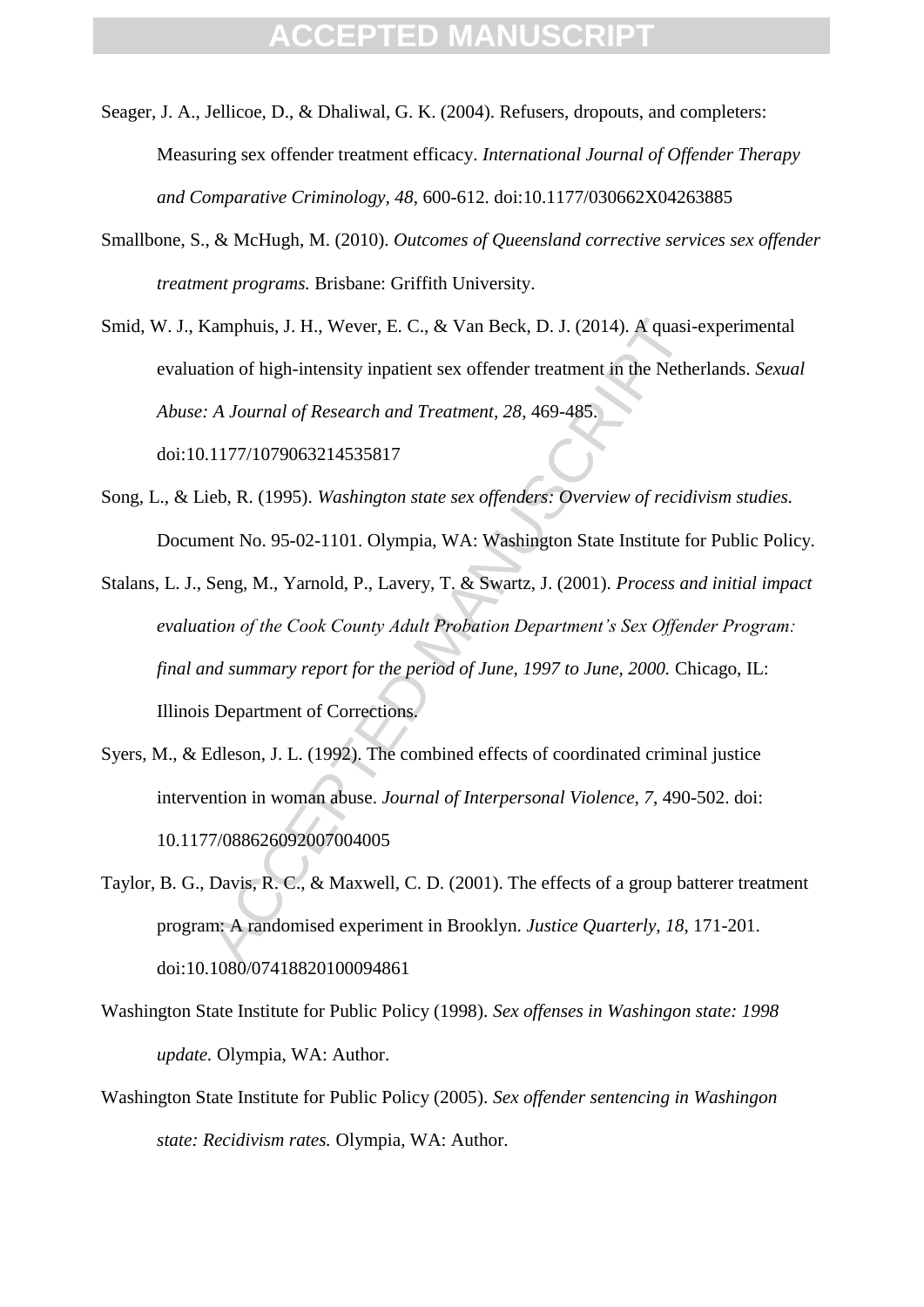- Seager, J. A., Jellicoe, D., & Dhaliwal, G. K. (2004). Refusers, dropouts, and completers: Measuring sex offender treatment efficacy. *International Journal of Offender Therapy and Comparative Criminology, 48*, 600-612. doi:10.1177/030662X04263885
- Smallbone, S., & McHugh, M. (2010). *Outcomes of Queensland corrective services sex offender treatment programs.* Brisbane: Griffith University.
- Smid, W. J., Kamphuis, J. H., Wever, E. C., & Van Beck, D. J. (2014). A quasi-experimental evaluation of high-intensity inpatient sex offender treatment in the Netherlands. *Sexual Abuse: A Journal of Research and Treatment, 28*, 469-485. doi:10.1177/1079063214535817
- Song, L., & Lieb, R. (1995). *Washington state sex offenders: Overview of recidivism studies.* Document No. 95-02-1101. Olympia, WA: Washington State Institute for Public Policy.
- Camphuis, J. H., Wever, E. C., & Van Beck, D. J. (2014). A quasi-<br>tion of high-intensity inpatient sex offender treatment in the Nether<br>
A Journal of Research and Treatment, 28, 469-485.<br>
1177/1079063214535817<br>
ieb, R. (19 Stalans, L. J., Seng, M., Yarnold, P., Lavery, T. & Swartz, J. (2001). *Process and initial impact evaluation of the Cook County Adult Probation Department's Sex Offender Program: final and summary report for the period of June, 1997 to June, 2000.* Chicago, IL: Illinois Department of Corrections.
- Syers, M., & Edleson, J. L. (1992). The combined effects of coordinated criminal justice intervention in woman abuse. *Journal of Interpersonal Violence, 7*, 490-502. doi: 10.1177/088626092007004005
- Taylor, B. G., Davis, R. C., & Maxwell, C. D. (2001). The effects of a group batterer treatment program: A randomised experiment in Brooklyn. *Justice Quarterly, 18*, 171-201. doi:10.1080/07418820100094861
- Washington State Institute for Public Policy (1998). *Sex offenses in Washingon state: 1998 update.* Olympia, WA: Author.
- Washington State Institute for Public Policy (2005). *Sex offender sentencing in Washingon state: Recidivism rates.* Olympia, WA: Author.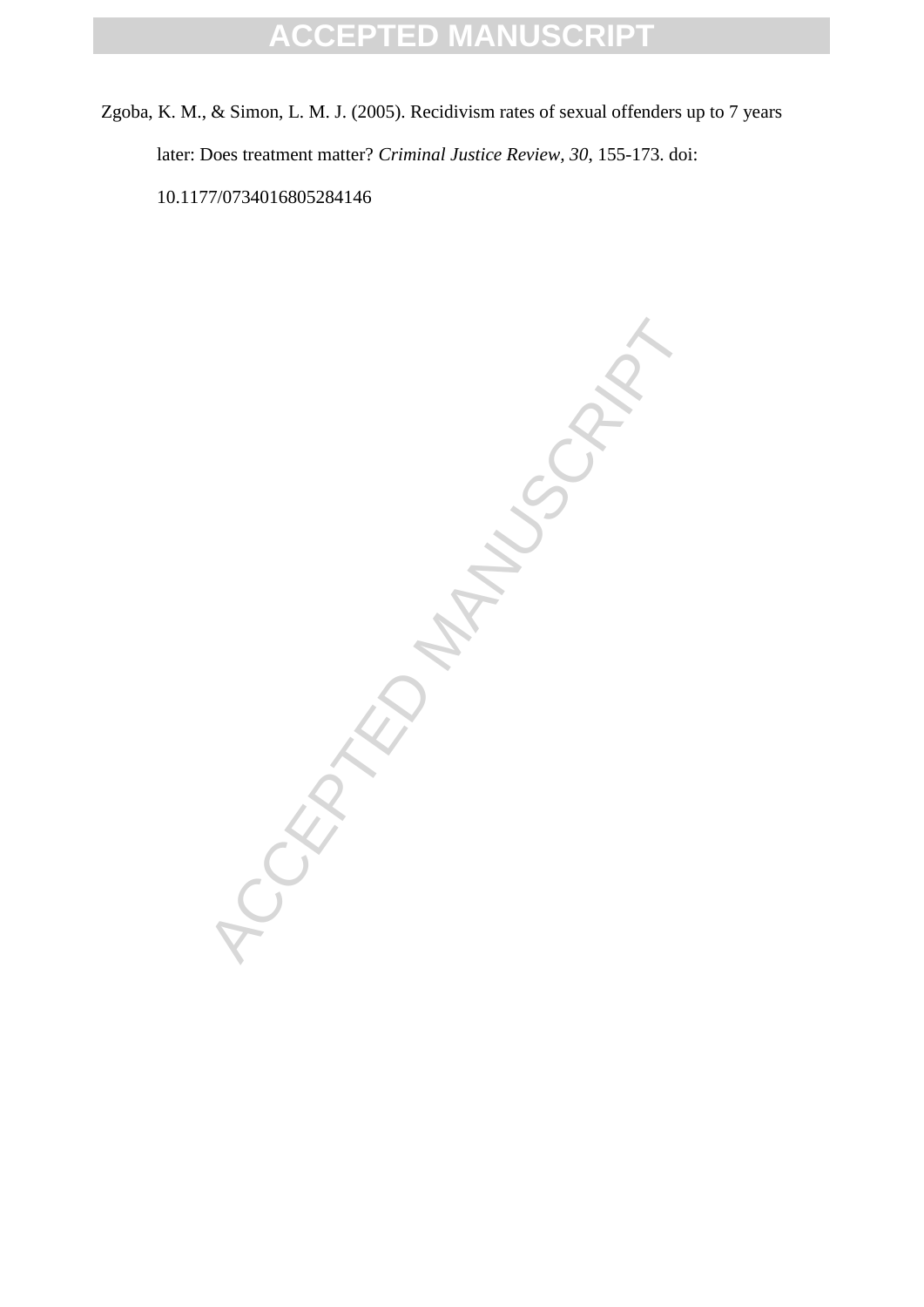Zgoba, K. M., & Simon, L. M. J. (2005). Recidivism rates of sexual offenders up to 7 years later: Does treatment matter? *Criminal Justice Review, 30*, 155-173. doi: 10.1177/0734016805284146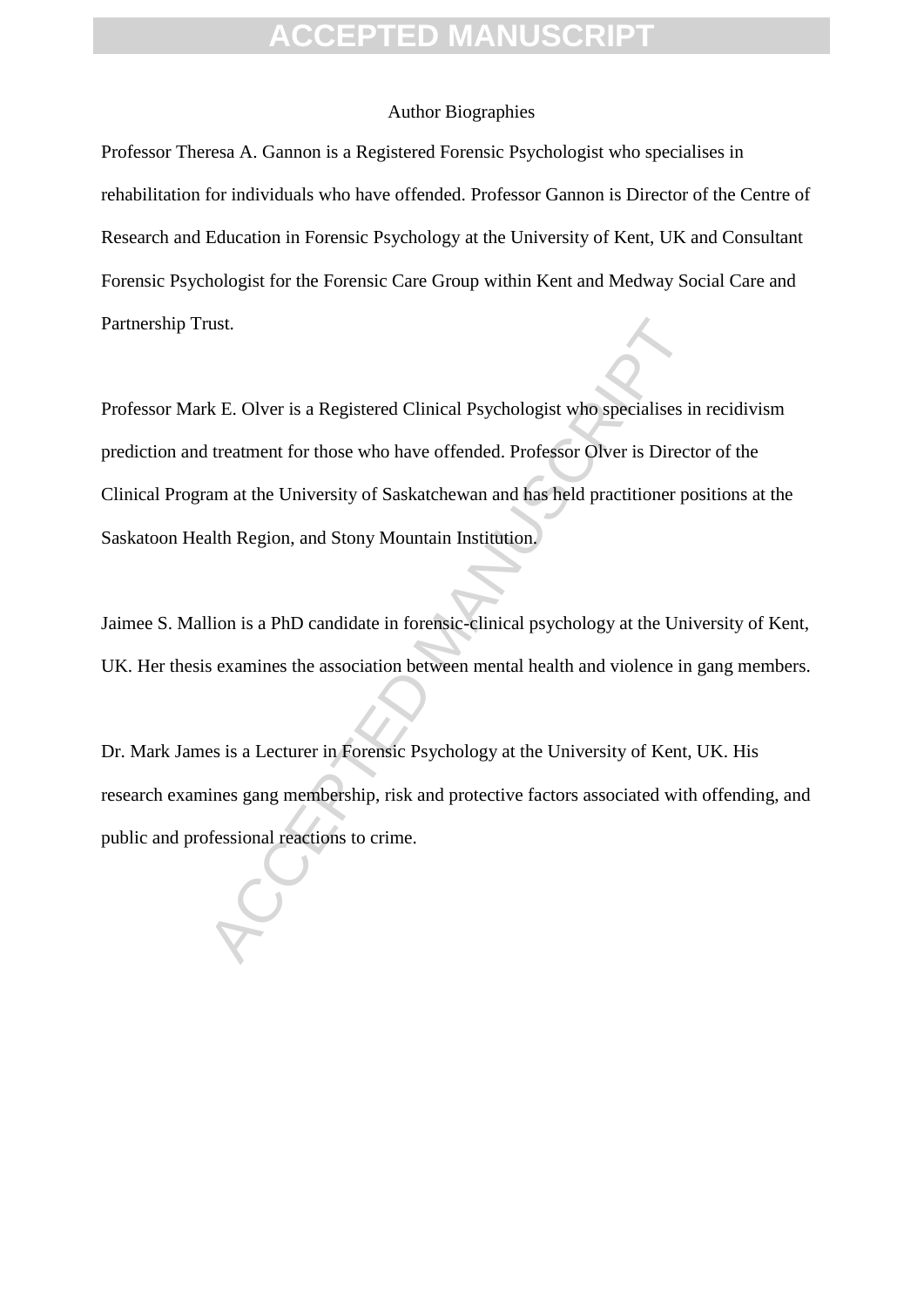#### Author Biographies

Professor Theresa A. Gannon is a Registered Forensic Psychologist who specialises in rehabilitation for individuals who have offended. Professor Gannon is Director of the Centre of Research and Education in Forensic Psychology at the University of Kent, UK and Consultant Forensic Psychologist for the Forensic Care Group within Kent and Medway Social Care and Partnership Trust.

rust.<br>
Accel B. Olver is a Registered Clinical Psychologist who specialises in<br>
Itreatment for those who have offended. Professor Olver is Direct<br>
am at the University of Saskatchewan and has held practitioner po<br>
alth Reg Professor Mark E. Olver is a Registered Clinical Psychologist who specialises in recidivism prediction and treatment for those who have offended. Professor Olver is Director of the Clinical Program at the University of Saskatchewan and has held practitioner positions at the Saskatoon Health Region, and Stony Mountain Institution.

Jaimee S. Mallion is a PhD candidate in forensic-clinical psychology at the University of Kent, UK. Her thesis examines the association between mental health and violence in gang members.

Dr. Mark James is a Lecturer in Forensic Psychology at the University of Kent, UK. His research examines gang membership, risk and protective factors associated with offending, and public and professional reactions to crime.